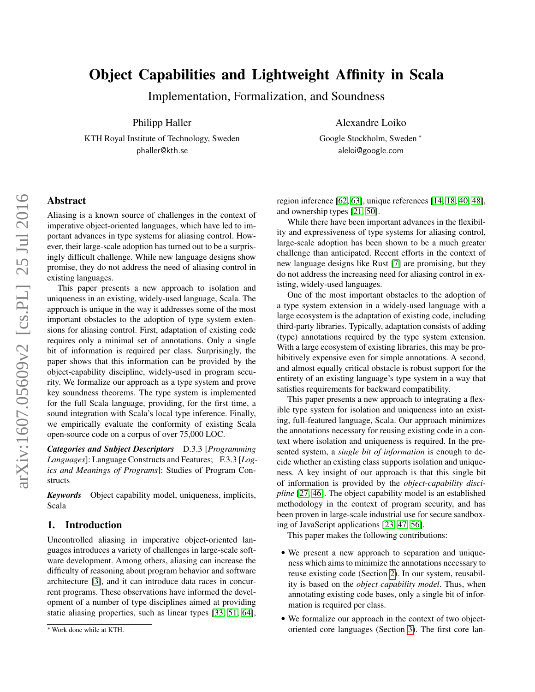# Object Capabilities and Lightweight Affinity in Scala

Implementation, Formalization, and Soundness

Philipp Haller

KTH Royal Institute of Technology, Sweden phaller@kth.se

Alexandre Loiko

Google Stockholm, Sweden <sup>∗</sup> aleloi@google.com

# Abstract

Aliasing is a known source of challenges in the context of imperative object-oriented languages, which have led to important advances in type systems for aliasing control. However, their large-scale adoption has turned out to be a surprisingly difficult challenge. While new language designs show promise, they do not address the need of aliasing control in existing languages.

This paper presents a new approach to isolation and uniqueness in an existing, widely-used language, Scala. The approach is unique in the way it addresses some of the most important obstacles to the adoption of type system extensions for aliasing control. First, adaptation of existing code requires only a minimal set of annotations. Only a single bit of information is required per class. Surprisingly, the paper shows that this information can be provided by the object-capability discipline, widely-used in program security. We formalize our approach as a type system and prove key soundness theorems. The type system is implemented for the full Scala language, providing, for the first time, a sound integration with Scala's local type inference. Finally, we empirically evaluate the conformity of existing Scala open-source code on a corpus of over 75,000 LOC.

*Categories and Subject Descriptors* D.3.3 [*Programming Languages*]: Language Constructs and Features; F.3.3 [*Logics and Meanings of Programs*]: Studies of Program Constructs

*Keywords* Object capability model, uniqueness, implicits, Scala

# 1. Introduction

Uncontrolled aliasing in imperative object-oriented languages introduces a variety of challenges in large-scale software development. Among others, aliasing can increase the difficulty of reasoning about program behavior and software architecture [\[3\]](#page-17-0), and it can introduce data races in concurrent programs. These observations have informed the development of a number of type disciplines aimed at providing static aliasing properties, such as linear types [\[33,](#page-18-0) [51,](#page-18-1) [64\]](#page-18-2),

region inference [\[62,](#page-18-3) [63\]](#page-18-4), unique references [\[14,](#page-17-1) [18,](#page-17-2) [40,](#page-18-5) [48\]](#page-18-6), and ownership types [\[21,](#page-17-3) [50\]](#page-18-7).

While there have been important advances in the flexibility and expressiveness of type systems for aliasing control, large-scale adoption has been shown to be a much greater challenge than anticipated. Recent efforts in the context of new language designs like Rust [\[7\]](#page-17-4) are promising, but they do not address the increasing need for aliasing control in existing, widely-used languages.

One of the most important obstacles to the adoption of a type system extension in a widely-used language with a large ecosystem is the adaptation of existing code, including third-party libraries. Typically, adaptation consists of adding (type) annotations required by the type system extension. With a large ecosystem of existing libraries, this may be prohibitively expensive even for simple annotations. A second, and almost equally critical obstacle is robust support for the entirety of an existing language's type system in a way that satisfies requirements for backward compatibility.

This paper presents a new approach to integrating a flexible type system for isolation and uniqueness into an existing, full-featured language, Scala. Our approach minimizes the annotations necessary for reusing existing code in a context where isolation and uniqueness is required. In the presented system, a *single bit of information* is enough to decide whether an existing class supports isolation and uniqueness. A key insight of our approach is that this single bit of information is provided by the *object-capability discipline* [\[27,](#page-18-8) [46\]](#page-18-9). The object capability model is an established methodology in the context of program security, and has been proven in large-scale industrial use for secure sandboxing of JavaScript applications [\[23,](#page-17-5) [47,](#page-18-10) [56\]](#page-18-11).

This paper makes the following contributions:

- We present a new approach to separation and uniqueness which aims to minimize the annotations necessary to reuse existing code (Section [2\)](#page-1-0). In our system, reusability is based on the *object capability model*. Thus, when annotating existing code bases, only a single bit of information is required per class.
- We formalize our approach in the context of two objectoriented core languages (Section [3\)](#page-4-0). The first core lan-

<sup>∗</sup> Work done while at KTH.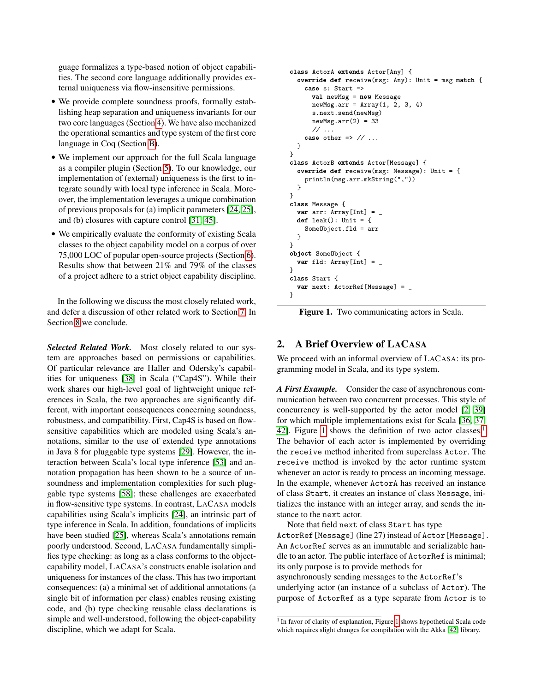guage formalizes a type-based notion of object capabilities. The second core language additionally provides external uniqueness via flow-insensitive permissions.

- We provide complete soundness proofs, formally establishing heap separation and uniqueness invariants for our two core languages (Section [4\)](#page-12-0). We have also mechanized the operational semantics and type system of the first core language in Coq (Section [B\)](#page-32-0).
- We implement our approach for the full Scala language as a compiler plugin (Section [5\)](#page-14-0). To our knowledge, our implementation of (external) uniqueness is the first to integrate soundly with local type inference in Scala. Moreover, the implementation leverages a unique combination of previous proposals for (a) implicit parameters [\[24,](#page-18-12) [25\]](#page-18-13), and (b) closures with capture control [\[31,](#page-18-14) [45\]](#page-18-15).
- We empirically evaluate the conformity of existing Scala classes to the object capability model on a corpus of over 75,000 LOC of popular open-source projects (Section [6\)](#page-15-0). Results show that between 21% and 79% of the classes of a project adhere to a strict object capability discipline.

In the following we discuss the most closely related work, and defer a discussion of other related work to Section [7.](#page-16-0) In Section [8](#page-17-6) we conclude.

*Selected Related Work.* Most closely related to our system are approaches based on permissions or capabilities. Of particular relevance are Haller and Odersky's capabilities for uniqueness [\[38\]](#page-18-16) in Scala ("Cap4S"). While their work shares our high-level goal of lightweight unique references in Scala, the two approaches are significantly different, with important consequences concerning soundness, robustness, and compatibility. First, Cap4S is based on flowsensitive capabilities which are modeled using Scala's annotations, similar to the use of extended type annotations in Java 8 for pluggable type systems [\[29\]](#page-18-17). However, the interaction between Scala's local type inference [\[53\]](#page-18-18) and annotation propagation has been shown to be a source of unsoundness and implementation complexities for such pluggable type systems [\[58\]](#page-18-19); these challenges are exacerbated in flow-sensitive type systems. In contrast, LACASA models capabilities using Scala's implicits [\[24\]](#page-18-12), an intrinsic part of type inference in Scala. In addition, foundations of implicits have been studied [\[25\]](#page-18-13), whereas Scala's annotations remain poorly understood. Second, LACASA fundamentally simplifies type checking: as long as a class conforms to the objectcapability model, LACASA's constructs enable isolation and uniqueness for instances of the class. This has two important consequences: (a) a minimal set of additional annotations (a single bit of information per class) enables reusing existing code, and (b) type checking reusable class declarations is simple and well-understood, following the object-capability discipline, which we adapt for Scala.

```
class ActorA extends Actor[Any] {
  override def receive(msg: Any): Unit = msg match {
    case s: Start =>
      val newMsg = new Message
      newMsg.arr = Array(1, 2, 3, 4)
      s.next.send(newMsg)
      newMsg.array(2) = 33// ...
    case other \Rightarrow // ...
  }
}
class ActorB extends Actor[Message] {
  override def receive(msg: Message): Unit = {
    println(msg.arr.mkString(","))
  }
}
class Message {
  var arr: Array[Int] =def leak(): Unit = {
    SomeObject.fld = arr
  }
}
object SomeObject {
  var fld: Array[Int] =}
class Start {
  var next: ActorRef[Message] = _
}
```
<span id="page-1-1"></span>Figure 1. Two communicating actors in Scala.

# <span id="page-1-0"></span>2. A Brief Overview of LACASA

We proceed with an informal overview of LACASA: its programming model in Scala, and its type system.

*A First Example.* Consider the case of asynchronous communication between two concurrent processes. This style of concurrency is well-supported by the actor model [\[2,](#page-17-7) [39\]](#page-18-20) for which multiple implementations exist for Scala [\[36,](#page-18-21) [37,](#page-18-22) [42\]](#page-18-23). Figure [1](#page-1-1) shows the definition of two actor classes.<sup>[1](#page-1-2)</sup> The behavior of each actor is implemented by overriding the receive method inherited from superclass Actor. The receive method is invoked by the actor runtime system whenever an actor is ready to process an incoming message. In the example, whenever ActorA has received an instance of class Start, it creates an instance of class Message, initializes the instance with an integer array, and sends the instance to the next actor.

Note that field next of class Start has type ActorRef[Message] (line 27) instead of Actor[Message]. An ActorRef serves as an immutable and serializable handle to an actor. The public interface of ActorRef is minimal; its only purpose is to provide methods for asynchronously sending messages to the ActorRef's underlying actor (an instance of a subclass of Actor). The purpose of ActorRef as a type separate from Actor is to

<span id="page-1-2"></span><sup>&</sup>lt;sup>1</sup> In favor of clarity of explanation, Figure [1](#page-1-1) shows hypothetical Scala code which requires slight changes for compilation with the Akka [\[42\]](#page-18-23) library.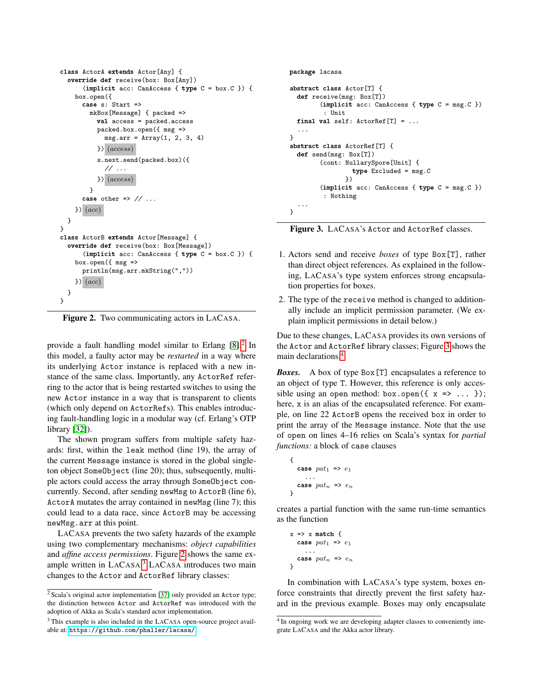```
class ActorA extends Actor[Any] {
  override def receive(box: Box[Any])
      (implicit acc: CanAccess { type C = box.C }) {
    box.open({
      case s: Start =>
        mkBox[Message] { packed =>
          val access = packed.access
          packed.box.open({ msg =>
            msg.array = Array(1, 2, 3, 4)}) (access)
          s.next.send(packed.box)({
             \prime\prime\ldots) (access)
        }
      case other => \frac{1}{1}...
    \} (acc)
  }
}
class ActorB extends Actor[Message] {
  override def receive(box: Box[Message])
      (implicit acc: CanAccess { type C = box.C }) {
    box.open({\{ msg =\}}println(msg.arr.mkString(","))
    \} (acc)
  }
}
```
<span id="page-2-1"></span>Figure 2. Two communicating actors in LACASA.

provide a fault handling model similar to Erlang  $[8]$ .<sup>[2](#page-2-0)</sup> In this model, a faulty actor may be *restarted* in a way where its underlying Actor instance is replaced with a new instance of the same class. Importantly, any ActorRef referring to the actor that is being restarted switches to using the new Actor instance in a way that is transparent to clients (which only depend on ActorRefs). This enables introducing fault-handling logic in a modular way (cf. Erlang's OTP library [\[32\]](#page-18-24)).

The shown program suffers from multiple safety hazards: first, within the leak method (line 19), the array of the current Message instance is stored in the global singleton object SomeObject (line 20); thus, subsequently, multiple actors could access the array through SomeObject concurrently. Second, after sending newMsg to ActorB (line 6), ActorA mutates the array contained in newMsg (line 7); this could lead to a data race, since ActorB may be accessing newMsg.arr at this point.

LACASA prevents the two safety hazards of the example using two complementary mechanisms: *object capabilities* and *affine access permissions*. Figure [2](#page-2-1) shows the same ex-ample written in LACASA.<sup>[3](#page-2-2)</sup> LACASA introduces two main changes to the Actor and ActorRef library classes:

```
package lacasa
abstract class Actor[T] {
  def receive(msg: Box[T])
        (implicit acc: CanAccess { type C = msg.C })
         : Unit
  final val self: ActionRef[T] = ......
}
abstract class ActorRef[T] {
  def send(msg: Box[T])
        (cont: NullarySpore[Unit] {
                 type Excluded = msg.C
               })
        (implicit acc: CanAccess { type C = msg.C })
         : Nothing
  ...
}
```
<span id="page-2-3"></span>Figure 3. LACASA's Actor and ActorRef classes.

- 1. Actors send and receive *boxes* of type Box[T], rather than direct object references. As explained in the following, LACASA's type system enforces strong encapsulation properties for boxes.
- 2. The type of the receive method is changed to additionally include an implicit permission parameter. (We explain implicit permissions in detail below.)

Due to these changes, LACASA provides its own versions of the Actor and ActorRef library classes; Figure [3](#page-2-3) shows the main declarations.[4](#page-2-4)

*Boxes.* A box of type Box[T] encapsulates a reference to an object of type T. However, this reference is only accessible using an open method: box.open $({x \Rightarrow ... \ });$ here, x is an alias of the encapsulated reference. For example, on line 22 ActorB opens the received box in order to print the array of the Message instance. Note that the use of open on lines 4–16 relies on Scala's syntax for *partial functions:* a block of case clauses

$$
\begin{array}{c}\n\{\n\text{case } pat_1 \implies e_1\n\end{array}
$$
\n
$$
\begin{array}{c}\n\text{case } pat_n \implies e_n\n\end{array}
$$
\n
$$
\text{case } pat_n \implies e_n
$$

creates a partial function with the same run-time semantics as the function

```
x \Rightarrow x match {
   case pat_1 \Rightarrow e_1...
   case pat_n => e_n}
```
In combination with LACASA's type system, boxes enforce constraints that directly prevent the first safety hazard in the previous example. Boxes may only encapsulate

<span id="page-2-0"></span><sup>2</sup> Scala's original actor implementation [\[37\]](#page-18-22) only provided an Actor type; the distinction between Actor and ActorRef was introduced with the adoption of Akka as Scala's standard actor implementation.

<span id="page-2-2"></span><sup>3</sup> This example is also included in the LACASA open-source project available at: <https://github.com/phaller/lacasa/>

<span id="page-2-4"></span><sup>&</sup>lt;sup>4</sup> In ongoing work we are developing adapter classes to conveniently integrate LACASA and the Akka actor library.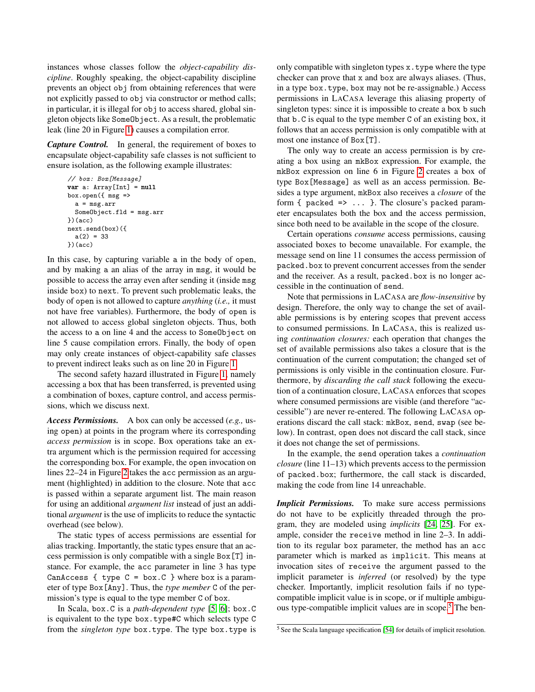instances whose classes follow the *object-capability discipline*. Roughly speaking, the object-capability discipline prevents an object obj from obtaining references that were not explicitly passed to obj via constructor or method calls; in particular, it is illegal for obj to access shared, global singleton objects like SomeObject. As a result, the problematic leak (line 20 in Figure [1\)](#page-1-1) causes a compilation error.

*Capture Control.* In general, the requirement of boxes to encapsulate object-capability safe classes is not sufficient to ensure isolation, as the following example illustrates:

```
// box: Box[Message]
var a: Array[Int] = null
box.open({ msg =>
  a = msg.arr
  SomeObject.fld = msg.arr
})(acc)
next.send(box)({
  a(2) = 33})(acc)
```
In this case, by capturing variable a in the body of open, and by making a an alias of the array in msg, it would be possible to access the array even after sending it (inside msg inside box) to next. To prevent such problematic leaks, the body of open is not allowed to capture *anything* (*i.e.,* it must not have free variables). Furthermore, the body of open is not allowed to access global singleton objects. Thus, both the access to a on line 4 and the access to SomeObject on line 5 cause compilation errors. Finally, the body of open may only create instances of object-capability safe classes to prevent indirect leaks such as on line 20 in Figure [1.](#page-1-1)

The second safety hazard illustrated in Figure [1,](#page-1-1) namely accessing a box that has been transferred, is prevented using a combination of boxes, capture control, and access permissions, which we discuss next.

*Access Permissions.* A box can only be accessed (*e.g.,* using open) at points in the program where its corresponding *access permission* is in scope. Box operations take an extra argument which is the permission required for accessing the corresponding box. For example, the open invocation on lines 22–24 in Figure [2](#page-2-1) takes the acc permission as an argument (highlighted) in addition to the closure. Note that acc is passed within a separate argument list. The main reason for using an additional *argument list* instead of just an additional *argument* is the use of implicits to reduce the syntactic overhead (see below).

The static types of access permissions are essential for alias tracking. Importantly, the static types ensure that an access permission is only compatible with a single Box[T] instance. For example, the acc parameter in line 3 has type CanAccess  $\{ type C = box.C \} where box is a param$ eter of type Box[Any]. Thus, the *type member* C of the permission's type is equal to the type member C of box.

In Scala, box.C is a *path-dependent type* [\[5,](#page-17-9) [6\]](#page-17-10); box.C is equivalent to the type box.type#C which selects type C from the *singleton type* box.type. The type box.type is only compatible with singleton types x.type where the type checker can prove that x and box are always aliases. (Thus, in a type box.type, box may not be re-assignable.) Access permissions in LACASA leverage this aliasing property of singleton types: since it is impossible to create a box b such that b.C is equal to the type member C of an existing box, it follows that an access permission is only compatible with at most one instance of Box[T].

The only way to create an access permission is by creating a box using an mkBox expression. For example, the mkBox expression on line 6 in Figure [2](#page-2-1) creates a box of type Box[Message] as well as an access permission. Besides a type argument, mkBox also receives a *closure* of the form  $\{$  packed  $\Rightarrow$  ...  $\}$ . The closure's packed parameter encapsulates both the box and the access permission, since both need to be available in the scope of the closure.

Certain operations *consume* access permissions, causing associated boxes to become unavailable. For example, the message send on line 11 consumes the access permission of packed.box to prevent concurrent accesses from the sender and the receiver. As a result, packed.box is no longer accessible in the continuation of send.

Note that permissions in LACASA are *flow-insensitive* by design. Therefore, the only way to change the set of available permissions is by entering scopes that prevent access to consumed permissions. In LACASA, this is realized using *continuation closures:* each operation that changes the set of available permissions also takes a closure that is the continuation of the current computation; the changed set of permissions is only visible in the continuation closure. Furthermore, by *discarding the call stack* following the execution of a continuation closure, LACASA enforces that scopes where consumed permissions are visible (and therefore "accessible") are never re-entered. The following LACASA operations discard the call stack: mkBox, send, swap (see below). In contrast, open does not discard the call stack, since it does not change the set of permissions.

In the example, the send operation takes a *continuation closure* (line 11–13) which prevents access to the permission of packed.box; furthermore, the call stack is discarded, making the code from line 14 unreachable.

*Implicit Permissions.* To make sure access permissions do not have to be explicitly threaded through the program, they are modeled using *implicits* [\[24,](#page-18-12) [25\]](#page-18-13). For example, consider the receive method in line 2–3. In addition to its regular box parameter, the method has an acc parameter which is marked as implicit. This means at invocation sites of receive the argument passed to the implicit parameter is *inferred* (or resolved) by the type checker. Importantly, implicit resolution fails if no typecompatible implicit value is in scope, or if multiple ambigu-ous type-compatible implicit values are in scope.<sup>[5](#page-3-0)</sup> The ben-

<span id="page-3-0"></span><sup>5</sup> See the Scala language specification [\[54\]](#page-18-25) for details of implicit resolution.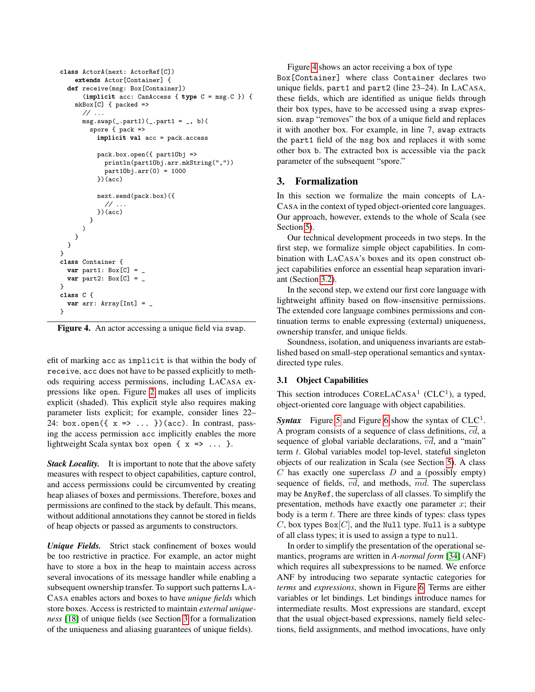```
class ActorA(next: ActorRef[C])
    extends Actor[Container] {
 def receive(msg: Box[Container])
      (implicit acc: CanAccess { type C = msg.C }) {
    mkBox[C] { packed =>
      // ...
      msg.sum(-part1)(...part1 = , b)spore { pack =>
          implicit val acc = pack.access
          pack.box.open({ part1Obj =>
            println(part1Obj.arr.mkString(","))
            part10bj.array(0) = 1000})(acc)
          next.send(pack.box)({
            // ...
          })(acc)
       }
     )
    }
 }
}
class Container {
 var part1: Box[C] =var part2: Box[C] =}
class C {
 var arr: Array[Int] = _
}
```
<span id="page-4-1"></span>Figure 4. An actor accessing a unique field via swap.

efit of marking acc as implicit is that within the body of receive, acc does not have to be passed explicitly to methods requiring access permissions, including LACASA expressions like open. Figure [2](#page-2-1) makes all uses of implicits explicit (shaded). This explicit style also requires making parameter lists explicit; for example, consider lines 22– 24: box.open $({x \Rightarrow ... \ })(acc)$ . In contrast, passing the access permission acc implicitly enables the more lightweight Scala syntax box open  $\{x \Rightarrow ... \}$ .

*Stack Locality.* It is important to note that the above safety measures with respect to object capabilities, capture control, and access permissions could be circumvented by creating heap aliases of boxes and permissions. Therefore, boxes and permissions are confined to the stack by default. This means, without additional annotations they cannot be stored in fields of heap objects or passed as arguments to constructors.

*Unique Fields.* Strict stack confinement of boxes would be too restrictive in practice. For example, an actor might have to store a box in the heap to maintain access across several invocations of its message handler while enabling a subsequent ownership transfer. To support such patterns LA-CASA enables actors and boxes to have *unique fields* which store boxes. Access is restricted to maintain *external uniqueness* [\[18\]](#page-17-2) of unique fields (see Section [3](#page-4-0) for a formalization of the uniqueness and aliasing guarantees of unique fields).

Figure [4](#page-4-1) shows an actor receiving a box of type Box[Container] where class Container declares two unique fields, part1 and part2 (line 23–24). In LACASA, these fields, which are identified as unique fields through their box types, have to be accessed using a swap expression. swap "removes" the box of a unique field and replaces it with another box. For example, in line 7, swap extracts the part1 field of the msg box and replaces it with some other box b. The extracted box is accessible via the pack parameter of the subsequent "spore."

# <span id="page-4-0"></span>3. Formalization

In this section we formalize the main concepts of LA-CASA in the context of typed object-oriented core languages. Our approach, however, extends to the whole of Scala (see Section [5\)](#page-14-0).

Our technical development proceeds in two steps. In the first step, we formalize simple object capabilities. In combination with LACASA's boxes and its open construct object capabilities enforce an essential heap separation invariant (Section [3.2\)](#page-8-0).

In the second step, we extend our first core language with lightweight affinity based on flow-insensitive permissions. The extended core language combines permissions and continuation terms to enable expressing (external) uniqueness, ownership transfer, and unique fields.

Soundness, isolation, and uniqueness invariants are established based on small-step operational semantics and syntaxdirected type rules.

#### 3.1 Object Capabilities

This section introduces  $\text{CORELACASA}^1$  (CLC<sup>1</sup>), a typed, object-oriented core language with object capabilities.

**Syntax** Figure [5](#page-5-0) and Figure [6](#page-5-1) show the syntax of  $CLC<sup>1</sup>$ . A program consists of a sequence of class definitions,  $cd$ , a sequence of global variable declarations, vd, and a "main" term t. Global variables model top-level, stateful singleton objects of our realization in Scala (see Section [5\)](#page-14-0). A class  $C$  has exactly one superclass  $D$  and a (possibly empty) sequence of fields, *vd*, and methods, md. The superclass may be AnyRef, the superclass of all classes. To simplify the presentation, methods have exactly one parameter  $x$ ; their body is a term  $t$ . There are three kinds of types: class types C, box types  $Box[C]$ , and the Null type. Null is a subtype of all class types; it is used to assign a type to null.

In order to simplify the presentation of the operational semantics, programs are written in *A-normal form* [\[34\]](#page-18-26) (ANF) which requires all subexpressions to be named. We enforce ANF by introducing two separate syntactic categories for *terms* and *expressions*, shown in Figure [6.](#page-5-1) Terms are either variables or let bindings. Let bindings introduce names for intermediate results. Most expressions are standard, except that the usual object-based expressions, namely field selections, field assignments, and method invocations, have only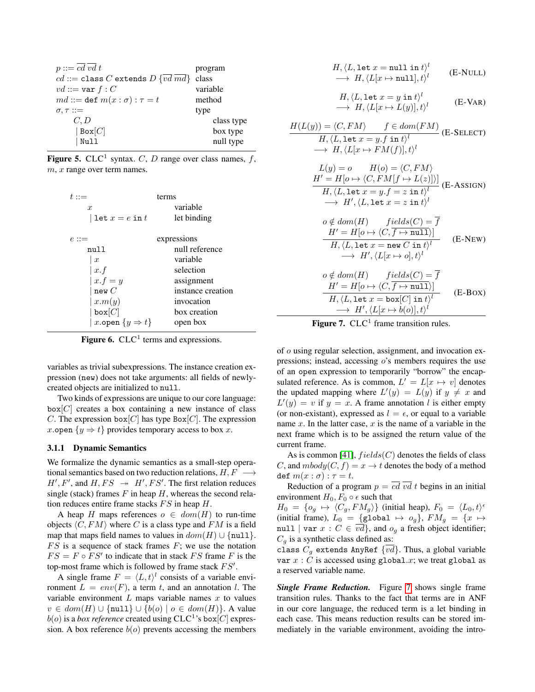| $p ::= cd \, vd \, t$                               | program    |
|-----------------------------------------------------|------------|
| $cd ::=$ class C extends $D \{vd\text{ }md\}$ class |            |
| $vd ::= \text{var } f : C$                          | variable   |
| $md ::= \text{def } m(x : \sigma) : \tau = t$       | method     |
| $\sigma, \tau ::=$                                  | type       |
| C, D                                                | class type |
| Box[C]                                              | box type   |
| Null                                                | null type  |
|                                                     |            |

<span id="page-5-0"></span>Figure 5. CLC<sup>1</sup> syntax. C, D range over class names,  $f$ ,  $m, x$  range over term names.

| terms<br>variable<br>let binding |
|----------------------------------|
| expressions                      |
| null reference                   |
| variable                         |
| selection                        |
| assignment                       |
| instance creation                |
| invocation                       |
| box creation                     |
| open box                         |
|                                  |

<span id="page-5-1"></span>Figure 6.  $CLC<sup>1</sup>$  terms and expressions.

variables as trivial subexpressions. The instance creation expression (new) does not take arguments: all fields of newlycreated objects are initialized to null.

Two kinds of expressions are unique to our core language:  $box[C]$  creates a box containing a new instance of class C. The expression box $[C]$  has type Box $[C]$ . The expression x open  $\{y \Rightarrow t\}$  provides temporary access to box x.

#### 3.1.1 Dynamic Semantics

We formalize the dynamic semantics as a small-step operational semantics based on two reduction relations,  $H, F \longrightarrow$  $H', F'$ , and  $H, FS \rightarrow H', FS'$ . The first relation reduces single (stack) frames  $F$  in heap  $H$ , whereas the second relation reduces entire frame stacks  $FS$  in heap  $H$ .

A heap H maps references  $o \in dom(H)$  to run-time objects  $\langle C, FM \rangle$  where C is a class type and FM is a field map that maps field names to values in  $dom(H) \cup \{null\}.$  $FS$  is a sequence of stack frames  $F$ ; we use the notation  $FS = F \circ FS'$  to indicate that in stack FS frame F is the top-most frame which is followed by frame stack  $FS'$ .

A single frame  $F = \langle L, t \rangle^l$  consists of a variable environment  $L = env(F)$ , a term t, and an annotation l. The variable environment  $L$  maps variable names  $x$  to values  $v \in dom(H) \cup \{null\} \cup \{b(o) \mid o \in dom(H)\}$ . A value  $b(o)$  is a *box reference* created using  $CLC^1$ 's box $[C]$  expression. A box reference  $b(o)$  prevents accessing the members

$$
H, \langle L, \text{let } x = \text{null in } t \rangle^l
$$
  

$$
\longrightarrow H, \langle L[x \mapsto \text{null}], t \rangle^l
$$
 (E-NULL)

$$
H, \langle L, \text{let } x = y \text{ in } t \rangle^{l}
$$
  

$$
\longrightarrow H, \langle L[x \mapsto L(y)], t \rangle^{l}
$$
 (E-VAR)

$$
H(L(y)) = \langle C, FM \rangle \qquad f \in dom(FM)
$$
  
\n
$$
H, \langle L, \text{let } x = y. f \text{ in } t \rangle^{l}
$$
  
\n
$$
\rightarrow H, \langle L[x \mapsto FM(f)], t \rangle^{l}
$$
  
\n
$$
L(y) = o \qquad H(o) = \langle C, FM \rangle
$$
  
\n
$$
H' = H[o \mapsto \langle C, FM[f \mapsto L(z)] \rangle] \qquad (E\text{-ASSIGN})
$$
  
\n
$$
H, \langle L, \text{let } x = y. f = z \text{ in } t \rangle^{l}
$$
  
\n
$$
o \notin dom(H) \qquad fields(C) = \overline{f}
$$
  
\n
$$
H' = H[o \mapsto \langle C, \overline{f} \mapsto \text{null} \rangle] \qquad (E\text{-NEW})
$$
  
\n
$$
H, \langle L, \text{let } x = \text{new } C \text{ in } t \rangle^{l}
$$
  
\n
$$
o \notin dom(H) \qquad fields(C) = \overline{f}
$$
  
\n
$$
H', \langle L[x \mapsto o], t \rangle^{l}
$$
  
\n
$$
o \notin dom(H) \qquad fields(C) = \overline{f}
$$
  
\n
$$
H' = H[o \mapsto \langle C, \overline{f} \mapsto \text{null} \rangle] \qquad (E\text{-Box})
$$
  
\n
$$
H, \langle L, \text{let } x = \text{box}[C] \text{ in } t \rangle^{l}
$$
  
\n
$$
\longrightarrow H', \langle L[x \mapsto b(o)], t \rangle^{l}
$$
  
\n
$$
\longrightarrow H', \langle L[x \mapsto b(o)], t \rangle^{l}
$$

<span id="page-5-2"></span>Figure 7.  $CLC<sup>1</sup>$  frame transition rules.

of o using regular selection, assignment, and invocation expressions; instead, accessing  $o$ 's members requires the use of an open expression to temporarily "borrow" the encapsulated reference. As is common,  $L' = L[x \mapsto v]$  denotes the updated mapping where  $L'(y) = L(y)$  if  $y \neq x$  and  $L'(y) = v$  if  $y = x$ . A frame annotation l is either empty (or non-existant), expressed as  $l = \epsilon$ , or equal to a variable name  $x$ . In the latter case,  $x$  is the name of a variable in the next frame which is to be assigned the return value of the current frame.

As is common [\[41\]](#page-18-27),  $fields(C)$  denotes the fields of class C, and  $mbody(C, f) = x \rightarrow t$  denotes the body of a method def  $m(x : \sigma) : \tau = t$ .

Reduction of a program  $p = cd$  *vd t* begins in an initial environment  $H_0, F_0 \circ \epsilon$  such that

 $H_0 = \{o_g \mapsto \langle C_g, FM_g \rangle\}$  (initial heap),  $F_0 = \langle L_0, t \rangle^{\epsilon}$ (initial frame),  $L_0 = \{$ global  $\mapsto o_q\}$ ,  $FM_q = \{x \mapsto$ null | var  $x : C \in \overline{vd}$ }, and  $o_q$  a fresh object identifier;  $C_q$  is a synthetic class defined as:

class  $C_q$  extends AnyRef  $\{\overline{vd}\}$ . Thus, a global variable var  $x : C$  is accessed using global.x; we treat global as a reserved variable name.

*Single Frame Reduction.* Figure [7](#page-5-2) shows single frame transition rules. Thanks to the fact that terms are in ANF in our core language, the reduced term is a let binding in each case. This means reduction results can be stored immediately in the variable environment, avoiding the intro-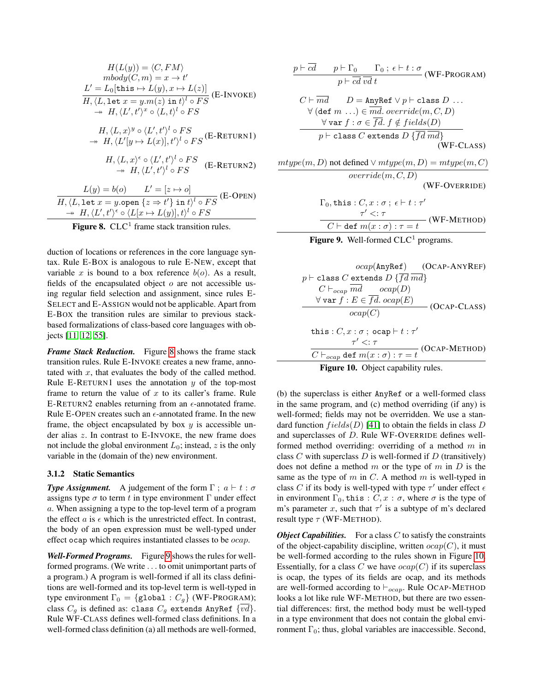$$
H(L(y)) = \langle C, FM \rangle
$$
  
\n
$$
mbody(C, m) = x \to t'
$$
  
\n
$$
L' = L_0[\text{this} \to L(y), x \to L(z)]
$$
  
\n
$$
\overline{H}, \langle L, \text{let } x = y.m(z) \text{ in } t \rangle^l \circ FS
$$
  
\n
$$
\to H, \langle L', t' \rangle^x \circ \langle L, t \rangle^l \circ FS
$$
  
\n
$$
H, \langle L, x \rangle^y \circ \langle L', t' \rangle^l \circ FS
$$
  
\n
$$
\to H, \langle L'(y) \to L(x)], t' \rangle^l \circ FS
$$
  
\n
$$
\to H, \langle L', x \rangle^e \circ \langle L', t' \rangle^l \circ FS
$$
  
\n
$$
\to H, \langle L', t' \rangle^l \circ FS
$$
  
\n
$$
\to H, \langle L', t' \rangle^l \circ FS
$$
  
\n
$$
\xrightarrow{L(y) = b(o)} L' = [z \to o]
$$
  
\n
$$
\overline{H}, \langle L, \text{let } x = y.\text{open } \{z \Rightarrow t'\} \text{ in } t \rangle^l \circ FS
$$
  
\n
$$
\to H, \langle L', t' \rangle^e \circ \langle L[x \mapsto L(y)], t \rangle^l \circ FS
$$

<span id="page-6-0"></span>Figure 8.  $CLC<sup>1</sup>$  frame stack transition rules.

duction of locations or references in the core language syntax. Rule E-BOX is analogous to rule E-NEW, except that variable x is bound to a box reference  $b(o)$ . As a result, fields of the encapsulated object  $o$  are not accessible using regular field selection and assignment, since rules E-SELECT and E-ASSIGN would not be applicable. Apart from E-BOX the transition rules are similar to previous stackbased formalizations of class-based core languages with objects [\[11,](#page-17-11) [12,](#page-17-12) [55\]](#page-18-28).

*Frame Stack Reduction.* Figure [8](#page-6-0) shows the frame stack transition rules. Rule E-INVOKE creates a new frame, annotated with  $x$ , that evaluates the body of the called method. Rule E-RETURN1 uses the annotation  $y$  of the top-most frame to return the value of  $x$  to its caller's frame. Rule E-RETURN2 enables returning from an  $\epsilon$ -annotated frame. Rule E-OPEN creates such an  $\epsilon$ -annotated frame. In the new frame, the object encapsulated by box  $y$  is accessible under alias z. In contrast to E-INVOKE, the new frame does not include the global environment  $L_0$ ; instead, z is the only variable in the (domain of the) new environment.

### 3.1.2 Static Semantics

*Type Assignment.* A judgement of the form  $\Gamma$ ;  $a \vdash t : \sigma$ assigns type  $\sigma$  to term t in type environment  $\Gamma$  under effect a. When assigning a type to the top-level term of a program the effect  $a$  is  $\epsilon$  which is the unrestricted effect. In contrast, the body of an open expression must be well-typed under effect ocap which requires instantiated classes to be ocap.

*Well-Formed Programs.* Figure [9](#page-6-1) shows the rules for wellformed programs. (We write . . . to omit unimportant parts of a program.) A program is well-formed if all its class definitions are well-formed and its top-level term is well-typed in type environment  $\Gamma_0 = \{$ global :  $C_g\}$  (WF-PROGRAM); class  $C_g$  is defined as: class  $C_g$  extends AnyRef  $\{\overline{vd}\}$ . Rule WF-CLASS defines well-formed class definitions. In a well-formed class definition (a) all methods are well-formed,

$$
\frac{p \vdash \overline{cd} \qquad p \vdash \Gamma_0 \qquad \Gamma_0 \; ; \; \epsilon \vdash t : \sigma}{p \vdash \overline{cd} \; \overline{vd} \; t} \quad (\text{WF-PROGRAM})
$$
\n
$$
C \vdash \overline{md} \qquad D = \text{AnyRef} \lor p \vdash \text{class } D \; \dots
$$
\n
$$
\forall (\text{def } m \; \dots) \in \overline{md}. \; override(m, C, D)
$$
\n
$$
\forall \text{var } f : \sigma \in \overline{fd}. f \notin fields(D)
$$
\n
$$
p \vdash \text{class } C \text{ extends } D \{ \overline{fd} \; \overline{md} \}
$$
\n
$$
\text{(WF-CLASS)}
$$
\n
$$
\text{mtype}(m, D) \text{ not defined } \lor \text{mtype}(m, D) = \text{mtype}(m, C)
$$
\n
$$
\text{override}(m, C, D)
$$
\n
$$
\text{(WF-OVERRIDE)}
$$
\n
$$
\Gamma_0, \text{this}: C, x : \sigma : \epsilon \vdash t : \tau'
$$
\n
$$
\tau' <: \tau
$$
\n
$$
\overline{C \vdash \text{def } m(x : \sigma) : \tau = t} \quad (\text{WF-METHOD})
$$

<span id="page-6-1"></span>



<span id="page-6-2"></span>

(b) the superclass is either AnyRef or a well-formed class in the same program, and (c) method overriding (if any) is well-formed; fields may not be overridden. We use a standard function  $fields(D)$  [\[41\]](#page-18-27) to obtain the fields in class D and superclasses of D. Rule WF-OVERRIDE defines wellformed method overriding: overriding of a method  $m$  in class C with superclass  $D$  is well-formed if  $D$  (transitively) does not define a method  $m$  or the type of  $m$  in  $D$  is the same as the type of m in C. A method m is well-typed in class C if its body is well-typed with type  $\tau'$  under effect  $\epsilon$ in environment  $\Gamma_0$ , this :  $C, x : \sigma$ , where  $\sigma$  is the type of m's parameter x, such that  $\tau'$  is a subtype of m's declared result type  $\tau$  (WF-METHOD).

*Object Capabilities.* For a class  $C$  to satisfy the constraints of the object-capability discipline, written  $ocap(C)$ , it must be well-formed according to the rules shown in Figure [10.](#page-6-2) Essentially, for a class C we have  $ocap(C)$  if its superclass is ocap, the types of its fields are ocap, and its methods are well-formed according to  $\vdash_{ocap}$ . Rule OCAP-METHOD looks a lot like rule WF-METHOD, but there are two essential differences: first, the method body must be well-typed in a type environment that does not contain the global environment  $\Gamma_0$ ; thus, global variables are inaccessible. Second,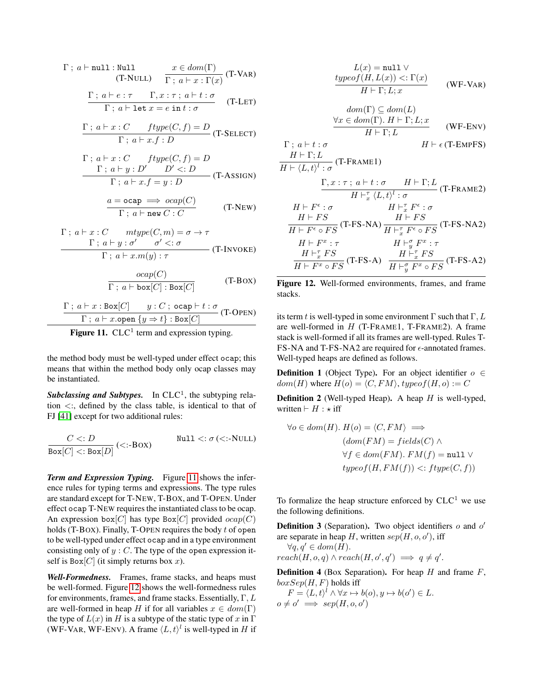$$
\Gamma \; ; \; a \vdash \text{null} : \text{Null} \qquad x \in dom(\Gamma)
$$
\n
$$
\text{(T-NULL)} \quad \frac{x \in dom(\Gamma)}{\Gamma \; ; \; a \vdash x : \Gamma(x)} \text{ (T-VAR)}
$$
\n
$$
\Gamma \; : \; a \vdash e : \tau \qquad \Gamma \; x : \tau : a \vdash t : \sigma
$$

$$
\frac{1}{\Gamma; a \vdash \text{let } x = e \text{ in } t : \sigma} \qquad (T\text{-LET})
$$

$$
\frac{\Gamma \; ; \; a \vdash x : C \quad \text{ftype}(C, f) = D}{\Gamma \; ; \; a \vdash x.f : D} \text{ (T-SELECT)}
$$

$$
\Gamma: a \vdash x : C \quad ftype(C, f) = D
$$
  
 
$$
\Gamma: a \vdash y : D' \quad D' <: D
$$
  
 
$$
\Gamma: a \vdash x.f = y : D
$$
 (T-ASSIGN)

$$
\frac{a = \text{ocap} \implies ocap(C)}{\Gamma; a \vdash \text{new } C : C}
$$
 (T-NEW)

$$
\Gamma; a \vdash x : C \qquad \text{mtype}(C, m) = \sigma \to \tau
$$
  
 
$$
\Gamma; a \vdash y : \sigma' \qquad \sigma' <: \sigma
$$
  
 
$$
\Gamma; a \vdash x.m(y) : \tau
$$
 (T-INVOKE)

 $\sim$ 

$$
\frac{ocap(C)}{\Gamma \; ; \; a \vdash \text{box}[C]: \text{Box}[C]} \qquad \qquad (\text{T-Box})
$$

$$
\frac{\Gamma \; ; \; a \vdash x : \text{Box}[C] \qquad y : C \; ; \; \text{ocap} \vdash t : \sigma}{\Gamma \; ; \; a \vdash x.\text{open} \; \{y \Rightarrow t\} : \text{Box}[C]} \text{ (T-OPEN)}
$$

<span id="page-7-0"></span>Figure 11.  $CLC<sup>1</sup>$  term and expression typing.

the method body must be well-typed under effect ocap; this means that within the method body only ocap classes may be instantiated.

Subclassing and Subtypes. In  $CLC<sup>1</sup>$ , the subtyping relation  $\lt$ :, defined by the class table, is identical to that of FJ [\[41\]](#page-18-27) except for two additional rules:

$$
\frac{C \lt: D}{\text{Box}[C] \lt:: \text{Box}[D]} (\lt:= \text{Box}) \qquad \text{Null} \lt: \sigma (\lt:= \text{NULL})
$$

*Term and Expression Typing.* Figure [11](#page-7-0) shows the inference rules for typing terms and expressions. The type rules are standard except for T-NEW, T-BOX, and T-OPEN. Under effect ocap T-NEW requires the instantiated class to be ocap. An expression box $[C]$  has type Box $[C]$  provided  $ocap(C)$ holds (T-BOX). Finally, T-OPEN requires the body  $t$  of open to be well-typed under effect ocap and in a type environment consisting only of  $y : C$ . The type of the open expression itself is  $Box[C]$  (it simply returns box x).

*Well-Formedness.* Frames, frame stacks, and heaps must be well-formed. Figure [12](#page-7-1) shows the well-formedness rules for environments, frames, and frame stacks. Essentially,  $\Gamma, L$ are well-formed in heap H if for all variables  $x \in dom(\Gamma)$ the type of  $L(x)$  in H is a subtype of the static type of x in  $\Gamma$ (WF-VAR, WF-ENV). A frame  $\langle L, t \rangle^l$  is well-typed in H if

$$
L(x) = \text{null} \vee
$$
  
\n
$$
\frac{typeof(H, L(x)) <: \Gamma(x)}{H \vdash \Gamma; L; x}
$$
 (WF-VAR)

$$
\frac{aom(\Gamma) \subseteq aom(L)}{H \vdash \Gamma; L} \quad \text{(WF-env)}
$$
  
H \vdash \Gamma; L \quad \text{(WF-env)}

$$
\Gamma \, ; \, a \vdash t : \sigma
$$
\n
$$
H \vdash \epsilon \, (\text{T-EMPFS})
$$

$$
\frac{H^+ + I, E^-}{H^+ \langle L, t \rangle^l : \sigma} \text{ (T-FRAME1)}
$$

$$
\frac{\Gamma, x : \tau : a \vdash t : \sigma \qquad H \vdash \Gamma; L}_{H \vdash^{\tau} x \langle L, t \rangle^{l} : \sigma} \text{ (T-Frame2)}
$$
\n
$$
H \vdash F^{\epsilon} : \sigma \qquad H \vdash^{\tau}_{x} F^{\epsilon} : \sigma
$$
\n
$$
\frac{H \vdash FS}{H \vdash F^{\epsilon} \circ FS} \text{ (T-FS-NA)} \frac{H \vdash FS}{H \vdash^{\tau}_{x} F^{\epsilon} \circ FS} \text{ (T-FS-NA2)}
$$
\n
$$
H \vdash F^{x} : \tau \qquad H \vdash^{\sigma} F^{x} : \tau
$$

$$
\begin{array}{ll}\nH \vdash F^x : \tau & H \vdash^{\sigma}_{g} F^x : \tau \\
H \vdash^{\tau}_{x} FS & H \vdash^{\tau}_{x} FS \\
\hline\nH \vdash F^x \circ FS & (T \neg FS \neg A) & \overline{H \vdash^{\sigma}_{g} F^x \circ FS} & (T \neg FS \neg A2)\n\end{array}
$$

<span id="page-7-1"></span>Figure 12. Well-formed environments, frames, and frame stacks.

its term t is well-typed in some environment  $\Gamma$  such that  $\Gamma, L$ are well-formed in  $H$  (T-FRAME1, T-FRAME2). A frame stack is well-formed if all its frames are well-typed. Rules T-FS-NA and T-FS-NA2 are required for  $\epsilon$ -annotated frames. Well-typed heaps are defined as follows.

**Definition 1** (Object Type). For an object identifier  $o \in$  $dom(H)$  where  $H(o) = \langle C, FM \rangle$ , typeof(H, o) := C

<span id="page-7-3"></span>**Definition 2** (Well-typed Heap). A heap  $H$  is well-typed, written  $\vdash H : \star \text{ iff}$ 

$$
\forall o \in dom(H). H(o) = \langle C, FM \rangle \implies
$$

$$
(dom(FM) = fields(C) \land
$$

$$
\forall f \in dom(FM). FM(f) = \text{null} \lor
$$

$$
typeof(H, FM(f)) <:fty(f) = (C, f))
$$

To formalize the heap structure enforced by  $CLC<sup>1</sup>$  we use the following definitions.

**Definition 3** (Separation). Two object identifiers  $o$  and  $o'$ are separate in heap H, written  $sep(H, o, o')$ , iff  $\forall q, q' \in dom(H)$ .

$$
reach(H, o, q) \land reach(H, o', q') \implies q \neq q'.
$$

<span id="page-7-2"></span>**Definition 4** (Box Separation). For heap  $H$  and frame  $F$ ,  $boxSep(H, F)$  holds iff

 $F = \langle L, t \rangle^l \land \forall x \mapsto b(o), y \mapsto b(o') \in L.$  $o \neq o' \implies sep(H, o, o')$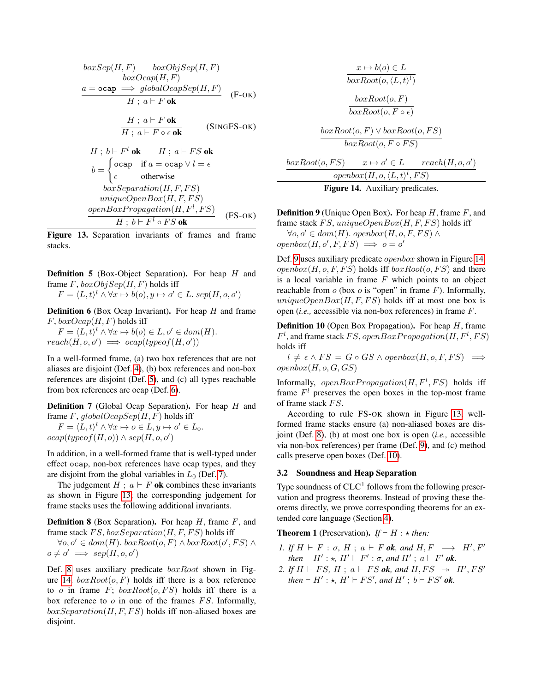$$
boxSep(H, F) \qquad boxObjSep(H, F)
$$
  
\n
$$
boxOcap(H, F)
$$
  
\n
$$
a = \text{ocap} \implies globalOcapSep(H, F)
$$
  
\n
$$
H; a \vdash F \text{ ok}
$$
  
\n
$$
\frac{H; a \vdash F \text{ ok}}{H; a \vdash F \circ \epsilon \text{ ok}}
$$
  
\n
$$
H; b \vdash F^l \text{ ok}
$$
  
\n
$$
b = \begin{cases} \text{ocap} & \text{if } a = \text{ocap} \lor l = \epsilon \\ \epsilon & \text{otherwise} \end{cases}
$$
  
\n
$$
boxSeparation(H, F, FS)
$$
  
\n
$$
uniqueOpenBox(H, F, FS)
$$
  
\n
$$
openBoxPropagation(H, F^l, FS)
$$
  
\n
$$
or p = BoxPropagation(H, F^l, FS)
$$
  
\n
$$
H; b \vdash F^l \circ FS \text{ ok}
$$
  
\n
$$
(FS-OK)
$$

<span id="page-8-4"></span>Figure 13. Separation invariants of frames and frame stacks.

<span id="page-8-1"></span>**Definition 5** (Box-Object Separation). For heap  $H$  and frame  $F$ ,  $boxObjSep(H, F)$  holds iff

 $F = \langle L, t \rangle^l \land \forall x \mapsto b(o), y \mapsto o' \in L$ . sep $(H, o, o')$ 

<span id="page-8-2"></span>**Definition 6** (Box Ocap Invariant). For heap  $H$  and frame  $F$ ,  $boxOcap(H, F)$  holds iff

 $F = \langle L, t \rangle^l \wedge \forall x \mapsto b(o) \in L, o' \in dom(H).$  $reach(H, o, o') \implies ocap(typeof(H, o'))$ 

In a well-formed frame, (a) two box references that are not aliases are disjoint (Def. [4\)](#page-7-2), (b) box references and non-box references are disjoint (Def. [5\)](#page-8-1), and (c) all types reachable from box references are ocap (Def. [6\)](#page-8-2).

<span id="page-8-3"></span>Definition 7 (Global Ocap Separation). For heap H and frame  $F$ ,  $globalOcapSep(H, F)$  holds iff

 $F = \langle L, t \rangle^l \wedge \forall x \mapsto o \in L, y \mapsto o' \in L_0.$  $ocap(typeof(H, o)) \wedge sep(H, o, o')$ 

In addition, in a well-formed frame that is well-typed under effect ocap, non-box references have ocap types, and they are disjoint from the global variables in  $L_0$  (Def. [7\)](#page-8-3).

The judgement  $H$ ;  $a \vdash F$  ok combines these invariants as shown in Figure [13;](#page-8-4) the corresponding judgement for frame stacks uses the following additional invariants.

<span id="page-8-5"></span>**Definition 8** (Box Separation). For heap  $H$ , frame  $F$ , and frame stack  $FS$ ,  $boxSeparation(H, F, FS)$  holds iff

 $\forall o, o' \in dom(H)$ .  $boxRoot(o, F) \land boxRoot(o', FS) \land$  $o \neq o' \implies sep(H, o, o')$ 

Def. [8](#page-8-5) uses auxiliary predicate  $boxRoot$  shown in Fig-ure [14.](#page-8-6)  $boxRoot(o, F)$  holds iff there is a box reference to o in frame  $F$ ;  $boxRoot(o, FS)$  holds iff there is a box reference to  $o$  in one of the frames  $FS$ . Informally,  $box Separation(H, F, FS)$  holds iff non-aliased boxes are disjoint.

$$
x \mapsto b(o) \in L
$$
  
\n
$$
boxRoot(o, \langle L, t \rangle^l)
$$
  
\n
$$
boxRoot(o, F)
$$
  
\n
$$
boxRoot(o, F \circ \epsilon)
$$
  
\n
$$
orRoot(o, F) \vee boxRoot(o, F)
$$

$$
\frac{boxRoot(o, F) \lor boxRoot(o, FS)}{boxRoot(o, F \circ FS)}
$$

$$
\underbrace{boxRoot(o,FS)}_{openbox(H, o, \langle L, t \rangle^l, FS)} \xrightarrow{v \leftrightarrow o' \in L} reach(H, o, o')
$$

<span id="page-8-6"></span>Figure 14. Auxiliary predicates.

<span id="page-8-7"></span>**Definition 9** (Unique Open Box). For heap  $H$ , frame  $F$ , and frame stack FS, uniqueOpenBox $(H, F, FS)$  holds iff  $\forall o, o' \in dom(H)$ . openbox(H, o, F, FS) ∧

 $openbox(H, o', F, FS) \implies o = o'$ 

Def. [9](#page-8-7) uses auxiliary predicate openbox shown in Figure [14.](#page-8-6)  $openbox(H, o, F, FS)$  holds iff  $boxRoot(o, FS)$  and there is a local variable in frame  $F$  which points to an object reachable from  $o$  (box  $o$  is "open" in frame  $F$ ). Informally, uniqueOpenBox $(H, F, FS)$  holds iff at most one box is open (*i.e.,* accessible via non-box references) in frame F.

<span id="page-8-8"></span>**Definition 10** (Open Box Propagation). For heap  $H$ , frame  $F<sup>l</sup>$ , and frame stack FS, openBoxPropagation(H,  $F<sup>l</sup>$ , FS) holds iff

 $l \neq \epsilon \wedge FS = G \circ GS \wedge openbox(H, o, F, FS) \implies$  $openbox(H, o, G, GS)$ 

Informally,  $openBox Propagation(H, F<sup>1</sup>, FS)$  holds iff frame  $F<sup>l</sup>$  preserves the open boxes in the top-most frame of frame stack FS.

According to rule FS-OK shown in Figure [13,](#page-8-4) wellformed frame stacks ensure (a) non-aliased boxes are disjoint (Def. [8\)](#page-8-5), (b) at most one box is open (*i.e.,* accessible via non-box references) per frame (Def. [9\)](#page-8-7), and (c) method calls preserve open boxes (Def. [10\)](#page-8-8).

#### <span id="page-8-0"></span>3.2 Soundness and Heap Separation

Type soundness of  $CLC<sup>1</sup>$  follows from the following preservation and progress theorems. Instead of proving these theorems directly, we prove corresponding theorems for an extended core language (Section [4\)](#page-12-0).

### <span id="page-8-9"></span>**Theorem 1** (Preservation). *If*  $\vdash H : \star$  *then:*

- *1.* If  $H \vdash F : \sigma$ ,  $H$ ;  $a \vdash F$  ok, and  $H, F \longrightarrow H', F'$ *then*  $\vdash$  *H'* : *\*, H'*  $\vdash$  *F' :*  $\sigma$ *, and H'* ;  $a \vdash$  *F' ok.*
- 2. If  $H \vdash FS$ ,  $H \, ; \, a \vdash FS$  *ok*, and  $H, FS \rightarrow H', FS'$ *then*  $\vdash$  *H'* :  $\star$ *, H'*  $\vdash$  *FS', and H'* ; *b*  $\vdash$  *FS' ok.*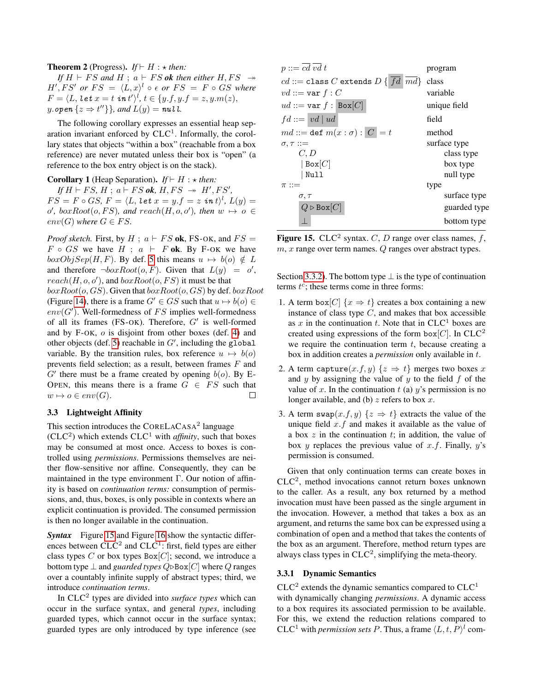#### **Theorem 2** (Progress). *If*  $\vdash H : \star$  *then:*

*If*  $H \vdash FS$  *and*  $H \text{ ; } a \vdash FS$  *ok then either*  $H, FS \rightarrow$  $H', FS'$  or  $FS = \langle L, x \rangle^l \circ \epsilon$  or  $FS = F \circ GS$  where  $F = \langle L, \, \textit{let } x = t \, \, \textit{in } t' \rangle^{l}, \, t \in \{y.f, y.f = z, y.m(z), z\}$ *y*.open  $\{z \Rightarrow t^{\prime\prime}\}\}\$ , and  $L(y) = \textbf{null}.$ 

The following corollary expresses an essential heap separation invariant enforced by  $CLC<sup>1</sup>$ . Informally, the corollary states that objects "within a box" (reachable from a box reference) are never mutated unless their box is "open" (a reference to the box entry object is on the stack).

**Corollary 1** (Heap Separation). *If*  $\vdash H : \star$  *then:*  $If H \vdash FS, H \, ; \, a \vdash FS$  *ok*,  $H, FS \rightarrow H', FS'$ ,  $FS = F \circ GS, F = \langle L, \textit{let } x = y.f = z \textit{ in } t \rangle^l, L(y) = 0$  $o', boxRoot(o, FS), and reach(H, o, o'), then w \mapsto o \in$  $env(G)$  where  $G \in FS$ .

*Proof sketch.* First, by  $H$ ;  $a \vdash FS$  ok, FS-OK, and  $FS =$  $F \circ GS$  we have  $H \; ; \; a \vdash F$  ok. By F-OK we have  $boxObjSep(H, F)$ . By def. [5](#page-8-1) this means  $u \mapsto b(o) \notin L$ and therefore  $\neg boxRoot(o, F)$ . Given that  $L(y) = o'$ ,  $reach(H, o, o')$ , and  $boxRoot(o, FS)$  it must be that  $boxRoot(o, GS)$ . Given that  $boxRoot(o, GS)$  by def.  $boxRoot$ (Figure [14\)](#page-8-6), there is a frame  $G' \in GS$  such that  $u \mapsto b(o) \in \mathcal{C}$  $env(G')$ . Well-formedness of FS implies well-formedness of all its frames (FS-OK). Therefore,  $G'$  is well-formed and by  $F-OK$ ,  $o$  is disjoint from other boxes (def. [4\)](#page-7-2) and other objects (def. [5\)](#page-8-1) reachable in  $G'$ , including the global variable. By the transition rules, box reference  $u \mapsto b(o)$ prevents field selection; as a result, between frames  $F$  and  $G'$  there must be a frame created by opening  $b(o)$ . By E-OPEN, this means there is a frame  $G \in FS$  such that  $w \mapsto o \in env(G).$ П

### 3.3 Lightweight Affinity

This section introduces the CORELACASA<sup>2</sup> language  $(CLC<sup>2</sup>)$  which extends  $CLC<sup>1</sup>$  with *affinity*, such that boxes may be consumed at most once. Access to boxes is controlled using *permissions*. Permissions themselves are neither flow-sensitive nor affine. Consequently, they can be maintained in the type environment Γ. Our notion of affinity is based on *continuation terms:* consumption of permissions, and, thus, boxes, is only possible in contexts where an explicit continuation is provided. The consumed permission is then no longer available in the continuation.

**Syntax** Figure [15](#page-9-0) and Figure [16](#page-10-0) show the syntactic differences between  $CLC<sup>2</sup>$  and  $CLC<sup>1</sup>$ : first, field types are either class types C or box types  $Box[C]$ ; second, we introduce a bottom type  $\perp$  and *guarded types*  $Q \triangleright Box[C]$  where  $Q$  ranges over a countably infinite supply of abstract types; third, we introduce *continuation terms*.

In CLC<sup>2</sup> types are divided into *surface types* which can occur in the surface syntax, and general *types*, including guarded types, which cannot occur in the surface syntax; guarded types are only introduced by type inference (see

| $p ::= cd \, vd \,t$                                          | program      |  |  |
|---------------------------------------------------------------|--------------|--|--|
| $cd ::=$ class C extends $D\{\overline{fd} \ \overline{md}\}$ | class        |  |  |
| $vd ::= \text{var } f : C$                                    | variable     |  |  |
| $ud ::= \text{var } f : \text{Box}[C]$                        | unique field |  |  |
| $fd ::=  vd  ud$<br>field                                     |              |  |  |
| $md ::=$ def $m(x : \sigma) :  C  = t$                        | method       |  |  |
| $\sigma, \tau ::=$                                            | surface type |  |  |
| C, D                                                          | class type   |  |  |
| $ $ Box $[C]$                                                 | box type     |  |  |
| Null                                                          | null type    |  |  |
| $\pi ::=$                                                     | type         |  |  |
| $\sigma, \tau$                                                | surface type |  |  |
| $Q \triangleright \text{Box}[C]$                              | guarded type |  |  |
|                                                               | bottom type  |  |  |
|                                                               |              |  |  |

<span id="page-9-0"></span>Figure 15. CLC<sup>2</sup> syntax. C, D range over class names,  $f$ ,  $m, x$  range over term names.  $Q$  ranges over abstract types.

Section [3.3.2\)](#page-10-1). The bottom type  $\perp$  is the type of continuation terms  $t^c$ ; these terms come in three forms:

- 1. A term box $[C]$   $\{x \Rightarrow t\}$  creates a box containing a new instance of class type  $C$ , and makes that box accessible as  $x$  in the continuation  $t$ . Note that in CLC<sup>1</sup> boxes are created using expressions of the form box $[C]$ . In CLC<sup>2</sup> we require the continuation term  $t$ , because creating a box in addition creates a *permission* only available in t.
- 2. A term capture $(x.f, y)$   $\{z \Rightarrow t\}$  merges two boxes x and  $y$  by assigning the value of  $y$  to the field  $f$  of the value of x. In the continuation  $t$  (a)  $y$ 's permission is no longer available, and (b)  $z$  refers to box  $x$ .
- 3. A term swap $(x.f, y)$   $\{z \Rightarrow t\}$  extracts the value of the unique field  $x.f$  and makes it available as the value of a box  $z$  in the continuation  $t$ ; in addition, the value of box y replaces the previous value of  $x.f.$  Finally,  $y's$ permission is consumed.

Given that only continuation terms can create boxes in  $CLC<sup>2</sup>$ , method invocations cannot return boxes unknown to the caller. As a result, any box returned by a method invocation must have been passed as the single argument in the invocation. However, a method that takes a box as an argument, and returns the same box can be expressed using a combination of open and a method that takes the contents of the box as an argument. Therefore, method return types are always class types in  $CLC<sup>2</sup>$ , simplifying the meta-theory.

#### 3.3.1 Dynamic Semantics

 $CLC<sup>2</sup>$  extends the dynamic semantics compared to  $CLC<sup>1</sup>$ with dynamically changing *permissions*. A dynamic access to a box requires its associated permission to be available. For this, we extend the reduction relations compared to  $CLC<sup>1</sup>$  with *permission sets P*. Thus, a frame  $\langle L, t, P \rangle<sup>l</sup>$  com-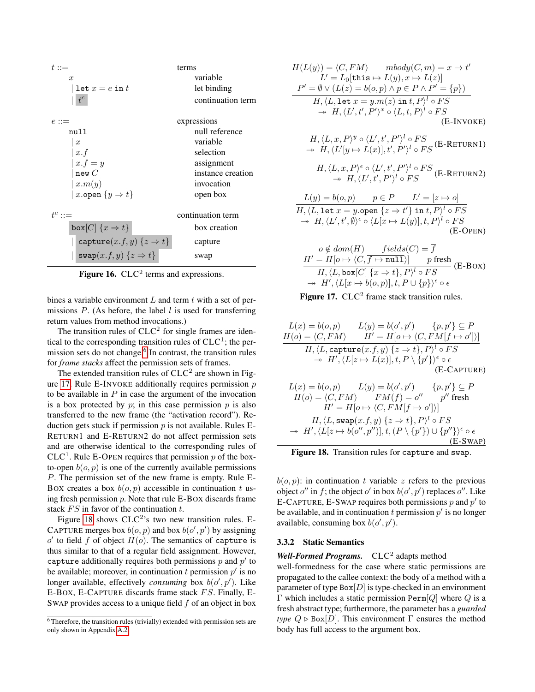| $t::=$                                      | terms             |
|---------------------------------------------|-------------------|
| $\mathcal{X}$                               | variable          |
| $\texttt{let } x = e \texttt{ in } t$       | let binding       |
| $t^c$                                       | continuation term |
| $e ::=$                                     | expressions       |
| mull                                        | null reference    |
| $\boldsymbol{x}$                            | variable          |
| x.f                                         | selection         |
| $x.f = y$                                   | assignment        |
| newC                                        | instance creation |
| x.m(y)                                      | invocation        |
| x.open $\{y \Rightarrow t\}$                | open box          |
| $t^c ::=$                                   | continuation term |
| box $[C]$ $\{x \Rightarrow t\}$             | box creation      |
| capture $(x.f, y)$ $\{z \Rightarrow t\}$    | capture           |
| $\texttt{swap}(x.f, y) \{z \Rightarrow t\}$ | swap              |

<span id="page-10-0"></span>Figure 16.  $CLC<sup>2</sup>$  terms and expressions.

bines a variable environment  $L$  and term  $t$  with a set of permissions  $P$ . (As before, the label  $l$  is used for transferring return values from method invocations.)

The transition rules of  $CLC<sup>2</sup>$  for single frames are identical to the corresponding transition rules of  $CLC<sup>1</sup>$ ; the per-mission sets do not change.<sup>[6](#page-10-2)</sup> In contrast, the transition rules for *frame stacks* affect the permission sets of frames.

The extended transition rules of  $CLC<sup>2</sup>$  are shown in Fig-ure [17.](#page-10-3) Rule E-INVOKE additionally requires permission  $p$ to be available in  $P$  in case the argument of the invocation is a box protected by  $p$ ; in this case permission  $p$  is also transferred to the new frame (the "activation record"). Reduction gets stuck if permission  $p$  is not available. Rules E-RETURN1 and E-RETURN2 do not affect permission sets and are otherwise identical to the corresponding rules of CLC<sup>1</sup>. Rule E-OPEN requires that permission p of the boxto-open  $b(o, p)$  is one of the currently available permissions P. The permission set of the new frame is empty. Rule E-BOX creates a box  $b(o, p)$  accessible in continuation t using fresh permission  $p$ . Note that rule E-BOX discards frame stack  $FS$  in favor of the continuation  $t$ .

Figure [18](#page-10-4) shows  $CLC<sup>2</sup>$ 's two new transition rules. E-CAPTURE merges box  $b(o, p)$  and box  $b(o', p')$  by assigning  $o'$  to field f of object  $H(o)$ . The semantics of capture is thus similar to that of a regular field assignment. However, capture additionally requires both permissions  $p$  and  $p'$  to be available; moreover, in continuation t permission  $p'$  is no longer available, effectively *consuming* box  $b(o', p')$ . Like E-BOX, E-CAPTURE discards frame stack  $FS$ . Finally, E-SWAP provides access to a unique field  $f$  of an object in box

$$
H(L(y)) = \langle C, FM \rangle \qquad \text{mod}y(C, m) = x \to t'
$$
\n
$$
L' = L_0[\text{this} \to L(y), x \to L(z)]
$$
\n
$$
P' = \emptyset \lor (L(z) = b(o, p) \land p \in P \land P' = \{p\})
$$
\n
$$
H, \langle L, \text{let } x = y.m(z) \text{ in } t, P \rangle^l \circ FS
$$
\n
$$
\to H, \langle L', t', P' \rangle^x \circ \langle L, t, P \rangle^l \circ FS
$$
\n(E-INVOKE)\n
$$
H, \langle L, x, P \rangle^y \circ \langle L', t', P' \rangle^l \circ FS
$$
\n
$$
\to H, \langle L'[y \to L(x)], t', P' \rangle^l \circ FS
$$
\n
$$
H, \langle L, x, P \rangle^{\epsilon} \circ \langle L', t', P' \rangle^l \circ FS
$$
\n
$$
\to H, \langle L', t', P' \rangle^l \circ FS
$$
\n
$$
H, \langle L, x, P \rangle^{\epsilon} \circ \langle L', t', P' \rangle^l \circ FS
$$
\n
$$
\to H, \langle L', t', P' \rangle^l \circ FS
$$
\n
$$
\to H, \langle L, \text{let } x = y.\text{open } \{z \to t'\} \text{ in } t, P \rangle^l \circ FS
$$
\n
$$
\to H, \langle L', t', \emptyset \rangle^{\epsilon} \circ \langle L[x \to L(y)], t, P \rangle^l \circ FS
$$
\n
$$
\to H, \langle L', t', \emptyset \rangle^{\epsilon} \circ \langle L[x \to L(y)], t, P \rangle^l \circ FS
$$
\n
$$
\to H, \langle L, \text{box}[C] = \overline{f}
$$
\n
$$
\to H, \langle L, \text{box}[C] = \overline{f}
$$
\n
$$
\to H, \langle L, \text{box}[C] = \overline{f}
$$
\n
$$
\to H, \langle L, \text{box}[C] = \overline{f}
$$
\n
$$
\to H, \langle L, \text{box}[C] = \overline{f}
$$
\n
$$
\to H, \langle L, \text{box}[C] = \overline{f}
$$
\n
$$
\to H, \langle L, \text
$$

<span id="page-10-3"></span>

$$
L(x) = b(o, p) \qquad L(y) = b(o', p') \qquad \{p, p'\} \subseteq P
$$
  
\n
$$
H(o) = \langle C, FM \rangle \qquad H' = H[o \mapsto \langle C, FM[f \mapsto o'] \rangle]
$$
  
\n
$$
H, \langle L, \text{capture}(x, f, y) \{z \Rightarrow t\}, P \rangle^l \circ FS
$$
  
\n
$$
\rightarrow H', \langle L[z \mapsto L(x)], t, P \setminus \{p'\} \rangle^{\epsilon} \circ \epsilon
$$
  
\n(E-CAPTURE)

$$
L(x) = b(o, p) \qquad L(y) = b(o', p') \qquad \{p, p'\} \subseteq P
$$
  
\n
$$
H(o) = \langle C, FM \rangle \qquad FM(f) = o'' \qquad p'' \text{ fresh}
$$
  
\n
$$
H' = H[o \mapsto \langle C, FM[f \mapsto o'] \rangle]
$$
  
\n
$$
H, \langle L, \text{swap}(x.f, y) \{ z \Rightarrow t \}, P \rangle^l \circ FS
$$
  
\n
$$
\rightarrow H', \langle L[z \mapsto b(o'', p'')], t, (P \setminus \{p'\}) \cup \{p''\} \rangle^{\epsilon} \circ \epsilon
$$
  
\n
$$
(E-SWAP)
$$

<span id="page-10-4"></span>Figure 18. Transition rules for capture and swap.

 $b(o, p)$ : in continuation t variable z refers to the previous object  $o''$  in f; the object  $o'$  in box  $b(o', p')$  replaces  $o''$ . Like E-CAPTURE, E-SWAP requires both permissions p and  $p'$  to be available, and in continuation  $t$  permission  $p'$  is no longer available, consuming box  $b(o', p')$ .

### <span id="page-10-1"></span>3.3.2 Static Semantics

Well-Formed Programs. CLC<sup>2</sup> adapts method

well-formedness for the case where static permissions are propagated to the callee context: the body of a method with a parameter of type  $Box[D]$  is type-checked in an environment Γ which includes a static permission Perm[ $Q$ ] where  $Q$  is a fresh abstract type; furthermore, the parameter has a *guarded type*  $Q \triangleright \text{Box}[D]$ . This environment  $\Gamma$  ensures the method body has full access to the argument box.

<span id="page-10-2"></span> $\overline{6}$  Therefore, the transition rules (trivially) extended with permission sets are only shown in Appendix [A.2.](#page-20-0)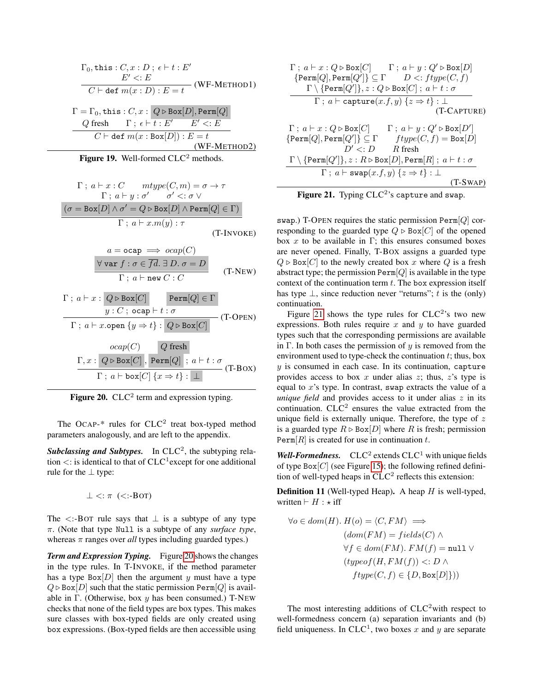$$
\Gamma_0, \text{this}: C, x: D; \epsilon \vdash t: E'
$$
\n
$$
E' <: E
$$
\n
$$
C \vdash \text{def } m(x: D): E = t \quad (\text{WF-METHOD1})
$$
\n
$$
\Gamma = \Gamma_0, \text{this}: C, x: Q \triangleright \text{Box}[D], \text{Perm}[Q]
$$
\n
$$
Q \text{ fresh} \quad \Gamma; \epsilon \vdash t: E' \quad E' <: E
$$
\n
$$
C \vdash \text{def } m(x: \text{Box}[D]): E = t \quad (\text{WF-METHOD2})
$$

Figure 19. Well-formed  $CLC<sup>2</sup>$  methods.

$$
\Gamma \, ; \, a \vdash x : C \quad \text{mtype}(C, m) = \sigma \to \tau
$$
\n
$$
\Gamma \, ; \, a \vdash y : \sigma' \quad \sigma' <: \sigma \lor
$$
\n
$$
(\sigma = \text{Box}[D] \land \sigma' = Q \triangleright \text{Box}[D] \land \text{Perm}[Q] \in \Gamma)
$$
\n
$$
\Gamma \, ; \, a \vdash x.m(y) : \tau
$$
\n
$$
(T\text{-INVOKE})
$$

$$
a = ocap \implies ocap(C)
$$
  
\n
$$
\forall var f : \sigma \in \overline{fd}.\ \exists D.\ \sigma = D
$$
  
\n
$$
\Gamma \, ; \ a \vdash new C : C
$$
 (T-NEW)

$$
\Gamma; a \vdash x : Q \triangleright \text{Box}[C] \qquad \text{Perm}[Q] \in \Gamma
$$
\n
$$
\frac{y : C; \text{ocap} \vdash t : \sigma}{\Gamma; a \vdash x.\text{open } \{y \Rightarrow t\} : Q \triangleright \text{Box}[C]} \qquad (T\text{-OPEN})
$$

$$
\frac{ocap(C)}{\Gamma; x : Q \triangleright \text{Box}[C], \text{Perm}[Q] ; a \vdash t : \sigma}
$$
\n
$$
\frac{\Gamma, x : Q \triangleright \text{Box}[C], \text{Perm}[Q] ; a \vdash t : \sigma}{\Gamma; a \vdash \text{box}[C] \{x \Rightarrow t\} : \bot}
$$
\n(T-BOX)

<span id="page-11-0"></span>Figure 20.  $CLC<sup>2</sup>$  term and expression typing.

The OCAP- $*$  rules for CLC<sup>2</sup> treat box-typed method parameters analogously, and are left to the appendix.

Subclassing and Subtypes. In CLC<sup>2</sup>, the subtyping relation  $\lt$ : is identical to that of  $CLC^1$  except for one additional rule for the ⊥ type:

 $\perp$  <:  $\pi$  (<:-BOT)

The  $\lt$ :-BOT rule says that  $\perp$  is a subtype of any type π. (Note that type Null is a subtype of any *surface type*, whereas  $\pi$  ranges over *all* types including guarded types.)

*Term and Expression Typing.* Figure [20](#page-11-0) shows the changes in the type rules. In T-INVOKE, if the method parameter has a type  $Box[D]$  then the argument y must have a type  $Q \triangleright \text{Box}[D]$  such that the static permission Perm $[Q]$  is available in  $\Gamma$ . (Otherwise, box y has been consumed.) T-NEW checks that none of the field types are box types. This makes sure classes with box-typed fields are only created using box expressions. (Box-typed fields are then accessible using

$$
\begin{array}{c} \Gamma\,;\,a\vdash x:Q \triangleright \text{Box}[C]\hspace{0.5cm}\Gamma\,;\,a\vdash y:Q' \triangleright \text{Box}[D] \\ \text{\{Perm}[Q], \text{Perm}[Q']\} \subseteq \Gamma\hspace{0.5cm}D <: \text{ftype}(C,f) \\ \hspace{0.5cm} \Gamma\setminus \{\text{Perm}[Q']\}, z:Q \triangleright \text{Box}[C]\,;\,a\vdash t: \sigma \\ \hspace{0.5cm} \Gamma\,;\,a\vdash \text{capture}(x.f,y)\,\{z \Rightarrow t\}:\bot \\ \hspace{0.5cm} \Gamma\,;\,a\vdash x:Q \triangleright \text{Box}[C]\hspace{0.5cm}\Gamma\,;\,a\vdash y:Q' \triangleright \text{Box}[D'] \\ \hspace{0.5cm} \{\text{Perm}[Q], \text{Perm}[Q']\} \subseteq \Gamma\hspace{0.5cm} \text{ftype}(C,f) = \text{Box}[D] \\ \hspace{0.5cm} D' <:D\hspace{0.5cm}R \text{ fresh} \\ \hspace{0.5cm} \Gamma\setminus \{\text{Perm}[Q']\}, z:R \triangleright \text{Box}[D], \text{Perm}[R]\,;\,a\vdash t: \sigma \\ \hspace{0.5cm} \Gamma\,;\,a\vdash \text{swap}(x.f,y)\,\{z \Rightarrow t\}:\bot \\ \hspace{0.5cm} \end{array} \hspace{0.5cm} \begin{array}{c} \text{(T-SWAP)}
$$

<span id="page-11-1"></span>

swap.) T-OPEN requires the static permission  $\text{Perm}[Q]$  corresponding to the guarded type  $Q \triangleright \text{Box}[C]$  of the opened box x to be available in Γ; this ensures consumed boxes are never opened. Finally, T-BOX assigns a guarded type  $Q \triangleright \text{Box}[C]$  to the newly created box x where Q is a fresh abstract type; the permission  $\text{Perm}[Q]$  is available in the type context of the continuation term  $t$ . The box expression itself has type  $\perp$ , since reduction never "returns"; t is the (only) continuation.

Figure [21](#page-11-1) shows the type rules for  $CLC<sup>2</sup>$ 's two new expressions. Both rules require  $x$  and  $y$  to have guarded types such that the corresponding permissions are available in Γ. In both cases the permission of  $y$  is removed from the environment used to type-check the continuation  $t$ ; thus, box  $y$  is consumed in each case. In its continuation, capture provides access to box  $x$  under alias  $z$ ; thus,  $z$ 's type is equal to  $x$ 's type. In contrast, swap extracts the value of a *unique field* and provides access to it under alias  $z$  in its continuation.  $CLC<sup>2</sup>$  ensures the value extracted from the unique field is externally unique. Therefore, the type of  $z$ is a guarded type  $R \triangleright \text{Box}[D]$  where R is fresh; permission  $\text{Perm}[R]$  is created for use in continuation t.

**Well-Formedness.**  $CLC<sup>2</sup>$  extends  $CLC<sup>1</sup>$  with unique fields of type  $Box[C]$  (see Figure [15\)](#page-9-0); the following refined definition of well-typed heaps in  $CLC<sup>2</sup>$  reflects this extension:

<span id="page-11-2"></span>**Definition 11** (Well-typed Heap). A heap  $H$  is well-typed, written  $\vdash H : \star \text{ iff}$ 

$$
\forall o \in dom(H). H(o) = \langle C, FM \rangle \implies
$$

$$
(dom(FM) = fields(C) \land
$$

$$
\forall f \in dom(FM). FM(f) = null \lor
$$

$$
(typeof(H, FM(f)) <: D \land
$$

$$
ftype(C, f) \in \{D, Box[D]\}))
$$

The most interesting additions of  $CLC<sup>2</sup>$  with respect to well-formedness concern (a) separation invariants and (b) field uniqueness. In CLC<sup>1</sup>, two boxes x and y are separate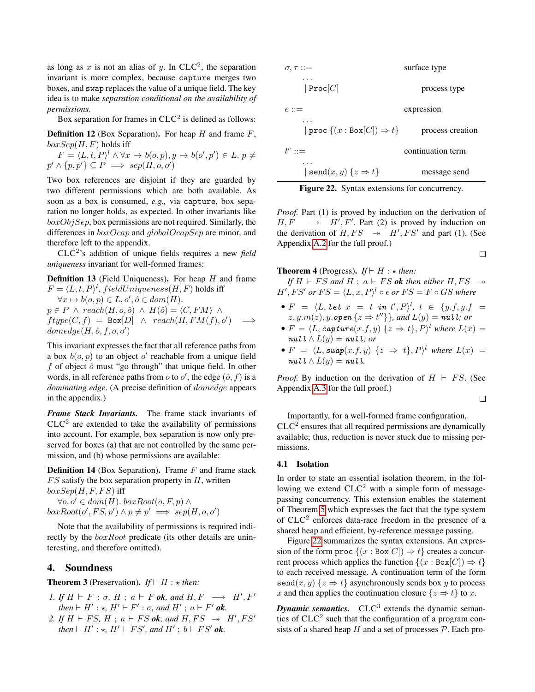as long as x is not an alias of y. In CLC<sup>2</sup>, the separation invariant is more complex, because capture merges two boxes, and swap replaces the value of a unique field. The key idea is to make *separation conditional on the availability of permissions*.

Box separation for frames in  $CLC<sup>2</sup>$  is defined as follows:

<span id="page-12-2"></span>**Definition 12** (Box Separation). For heap  $H$  and frame  $F$ ,  $boxSep(H, F)$  holds iff

$$
F = \langle L, t, P \rangle^l \land \forall x \mapsto b(o, p), y \mapsto b(o', p') \in L. p \neq p' \land \{p, p'\} \subseteq P \implies sep(H, o, o')
$$

Two box references are disjoint if they are guarded by two different permissions which are both available. As soon as a box is consumed, *e.g.,* via capture, box separation no longer holds, as expected. In other invariants like  $boxObjSep$ , box permissions are not required. Similarly, the differences in  $boxOcap$  and  $globalOcapSep$  are minor, and therefore left to the appendix.

CLC<sup>2</sup> 's addition of unique fields requires a new *field uniqueness* invariant for well-formed frames:

<span id="page-12-5"></span>**Definition 13** (Field Uniqueness). For heap  $H$  and frame  $F = \langle L, t, P \rangle^l$ , fieldUniqueness(H, F) holds iff  $\forall x \mapsto b(o, p) \in L, o', \hat{o} \in dom(H).$  $p \in P \land reach(H, o, \hat{o}) \land H(\hat{o}) = \langle C, FM \rangle \land$  $ftype(C, f) = Box[D] \wedge reach(H, FM(f), o')$  $\implies$  $\phi(\hat{H}, \hat{o}, f, o, o')$ 

This invariant expresses the fact that all reference paths from a box  $b(o, p)$  to an object o' reachable from a unique field f of object  $\hat{o}$  must "go through" that unique field. In other words, in all reference paths from  $o$  to  $o'$ , the edge  $(\hat{o}, f)$  is a *dominating edge*. (A precise definition of domedge appears in the appendix.)

*Frame Stack Invariants.* The frame stack invariants of  $CLC<sup>2</sup>$  are extended to take the availability of permissions into account. For example, box separation is now only preserved for boxes (a) that are not controlled by the same permission, and (b) whose permissions are available:

<span id="page-12-3"></span>**Definition 14** (Box Separation). Frame  $F$  and frame stack  $FS$  satisfy the box separation property in  $H$ , written  $boxSep(H, F, FS)$  iff

 $\forall o, o' \in dom(H)$ .  $boxRoot(o, F, p) \wedge$  $boxRoot(o', FS, p') \wedge p \neq p' \implies sep(H, o, o')$ 

Note that the availability of permissions is required indirectly by the *boxRoot* predicate (its other details are uninteresting, and therefore omitted).

### <span id="page-12-0"></span>4. Soundness

<span id="page-12-4"></span>**Theorem 3** (Preservation). *If*  $\vdash H : \star$  *then:* 

- *1.* If  $H \vdash F : \sigma, H : a \vdash F$  ok, and  $H, F \longrightarrow H', F'$  $then \vdash H' : \star, H' \vdash F' : \sigma, and H' ; a \vdash F'$  ok.
- 2. If  $H \vdash FS$ ,  $H \, ; \, a \vdash FS$  *ok*, and  $H, FS \rightarrow H', FS'$ *then*  $\vdash H' : \star, H' \vdash FS'$ , and  $H'$ ;  $b \vdash FS'$  ok.



<span id="page-12-1"></span>

|  |  | Figure 22. Syntax extensions for concurrency. |
|--|--|-----------------------------------------------|
|  |  |                                               |

*Proof.* Part (1) is proved by induction on the derivation of  $H, F \longrightarrow H', F'$ . Part (2) is proved by induction on the derivation of  $H, FS \rightarrow H', FS'$  and part (1). (See Appendix [A.2](#page-20-0) for the full proof.)  $\Box$ 

#### <span id="page-12-6"></span>**Theorem 4** (Progress). *If*  $\vdash H : \star$  *then:*

*If*  $H \vdash FS$  *and*  $H \text{ ; } a \vdash FS$  *ok then either*  $H, FS \rightarrow$  $H', FS'$  or  $FS = \langle L, x, P \rangle^l \circ \epsilon$  or  $FS = F \circ GS$  where

- $F = \langle L, \, let \, x \ = \ t \ in \ t', P \rangle^{l}, \, t \ \in \ \{y.f, y.f \ = \ z$  $z, y.m(z), y.\text{open} \{z \Rightarrow t''\}\}, \text{and } L(y) = \text{null}$ ; or
- $F = \langle L, \textit{capture}(x.f, y) \, \{z \Rightarrow t\}, P \rangle^l$  where  $L(x) =$  $\mathit{null} \wedge L(y) = \mathit{null}$ *; or*
- $F = \langle L, \text{swap}(x.f, y) \{z \Rightarrow t\}, P \rangle^l$  where  $L(x) =$  $\mathbf{null} \wedge L(y) = \mathbf{null}.$

*Proof.* By induction on the derivation of  $H \vdash FS$ . (See Appendix [A.3](#page-30-0) for the full proof.)

 $\Box$ 

Importantly, for a well-formed frame configuration,

 $CLC<sup>2</sup>$  ensures that all required permissions are dynamically available; thus, reduction is never stuck due to missing permissions.

#### 4.1 Isolation

In order to state an essential isolation theorem, in the following we extend  $CLC<sup>2</sup>$  with a simple form of messagepassing concurrency. This extension enables the statement of Theorem [5](#page-14-1) which expresses the fact that the type system of  $CLC<sup>2</sup>$  enforces data-race freedom in the presence of a shared heap and efficient, by-reference message passing.

Figure [22](#page-12-1) summarizes the syntax extensions. An expression of the form proc  $\{(x : Box[C]) \Rightarrow t\}$  creates a concurrent process which applies the function  $\{(x : Box[C]) \Rightarrow t\}$ to each received message. A continuation term of the form  $\texttt{send}(x, y) \{z \Rightarrow t\}$  asynchronously sends box y to process x and then applies the continuation closure  $\{z \Rightarrow t\}$  to x.

**Dynamic semantics.**  $CLC<sup>3</sup>$  extends the dynamic semantics of  $CLC<sup>2</sup>$  such that the configuration of a program consists of a shared heap  $H$  and a set of processes  $P$ . Each pro-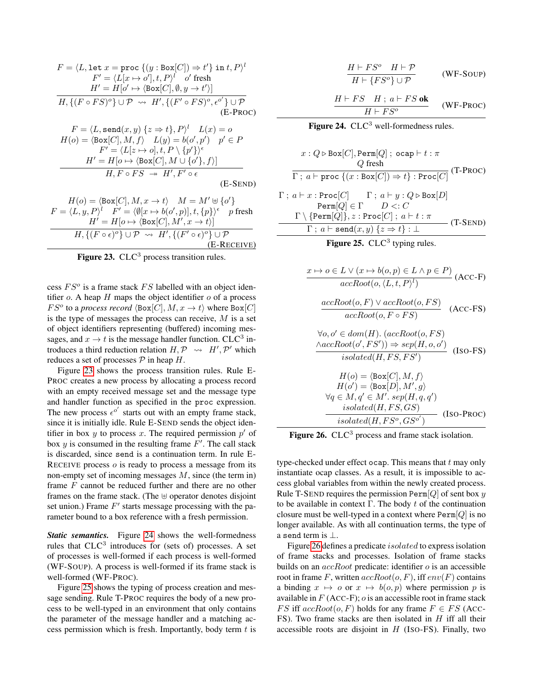$$
F = \langle L, \text{let } x = \text{proc } \{ (y : \text{Box}[C]) \Rightarrow t' \} \text{ in } t, P \rangle^l
$$
  
\n
$$
F' = \langle L[x \mapsto o'], t, P \rangle^l \quad o' \text{ fresh}
$$
  
\n
$$
H' = H[o' \mapsto \langle \text{Box}[C], \emptyset, y \to t' \rangle]
$$
  
\n
$$
H, \{ (F \circ FS)^o \} \cup \mathcal{P} \rightsquigarrow H', \{ (F' \circ FS)^o, e^{o'} \} \cup \mathcal{P}
$$
  
\n
$$
(E\text{-Proc})
$$
  
\n
$$
F = \langle L, \text{send}(x, y) \{ z \Rightarrow t \}, P \rangle^l \quad L(x) = o
$$

$$
H(o) = \langle \text{Box}[C], M, f \rangle \quad L(y) = b(o', p') \quad p' \in P
$$
  
\n
$$
F' = \langle L[z \mapsto o], t, P \setminus \{p'\}\rangle^{\epsilon}
$$
  
\n
$$
H' = H[o \mapsto \langle \text{Box}[C], M \cup \{o'\}, f \rangle]
$$
  
\n
$$
H, F \circ FS \to H', F' \circ \epsilon
$$
  
\n(E-SEND)

$$
H(o) = \langle \text{Box}[C], M, x \to t \rangle \quad M = M' \uplus \{o'\}
$$
\n
$$
F = \langle L, y, P \rangle^l \quad F' = \langle \emptyset[x \mapsto b(o', p)], t, \{p\} \rangle^{\epsilon} \quad p \text{ fresh}
$$
\n
$$
H' = H[o \mapsto \langle \text{Box}[C], M', x \to t \rangle]
$$
\n
$$
H, \{ (F \circ \epsilon)^o \} \cup \mathcal{P} \quad \leadsto \ H', \{ (F' \circ \epsilon)^o \} \cup \mathcal{P}
$$
\n(E-RECEIVE)

<span id="page-13-0"></span>

cess  $FS<sup>o</sup>$  is a frame stack  $FS$  labelled with an object identifier  $o$ . A heap  $H$  maps the object identifier  $o$  of a process  $FS^o$  to a *process record*  $\langle \text{Box}[C], M, x \to t \rangle$  where  $\text{Box}[C]$ is the type of messages the process can receive,  $M$  is a set of object identifiers representing (buffered) incoming messages, and  $x \to t$  is the message handler function. CLC<sup>3</sup> introduces a third reduction relation  $H, \mathcal{P} \rightsquigarrow H', \mathcal{P}'$  which reduces a set of processes  $P$  in heap  $H$ .

Figure [23](#page-13-0) shows the process transition rules. Rule E-PROC creates a new process by allocating a process record with an empty received message set and the message type and handler function as specified in the proc expression. The new process  $\epsilon^{o'}$  starts out with an empty frame stack, since it is initially idle. Rule E-SEND sends the object identifier in box  $y$  to process  $x$ . The required permission  $p'$  of box  $y$  is consumed in the resulting frame  $F'$ . The call stack is discarded, since send is a continuation term. In rule E-RECEIVE process  $o$  is ready to process a message from its non-empty set of incoming messages M, since (the term in) frame F cannot be reduced further and there are no other frames on the frame stack. (The  $\oplus$  operator denotes disjoint set union.) Frame  $F'$  starts message processing with the parameter bound to a box reference with a fresh permission.

*Static semantics.* Figure [24](#page-13-1) shows the well-formedness rules that  $CLC<sup>3</sup>$  introduces for (sets of) processes. A set of processes is well-formed if each process is well-formed (WF-SOUP). A process is well-formed if its frame stack is well-formed (WF-PROC).

Figure [25](#page-13-2) shows the typing of process creation and message sending. Rule T-PROC requires the body of a new process to be well-typed in an environment that only contains the parameter of the message handler and a matching access permission which is fresh. Importantly, body term  $t$  is

$$
\frac{H \vdash FS^o \quad H \vdash \mathcal{P}}{H \vdash \{FS^o\} \cup \mathcal{P}} \qquad \text{(WF-Soup)}
$$

<span id="page-13-1"></span>
$$
\frac{H \vdash FS \quad H \; ; \; a \vdash FS \; \mathbf{ok}}{H \vdash FS^o} \qquad \text{(WF-PROC)}
$$

**Figure 24.** 
$$
CLC^3
$$
 well-formedness rules.

$$
x: Q \triangleright \text{Box}[C], \text{Perm}[Q] \; ; \; \text{ocap} \vdash t : \pi
$$
\n
$$
Q \text{ fresh}
$$
\n
$$
\overline{\Gamma} \; ; \; a \vdash \text{proc} \; \{(x : \text{Box}[C]) \Rightarrow t\} : \text{Proc}[C] \; (\text{T-PROC})
$$
\n
$$
\Gamma \; ; \; a \vdash x : \text{Proc}[C] \quad \Gamma \; ; \; a \vdash y : Q \triangleright \text{Box}[D]
$$
\n
$$
\text{Perm}[Q] \in \Gamma \quad D <: C
$$
\n
$$
\overline{\Gamma} \; ; \; a \vdash \text{send}(Q)] \; ; \; x : \text{Proc}[C] \; ; \; a \vdash t : \pi
$$
\n
$$
\overline{\Gamma} \; ; \; a \vdash \text{send}(x, y) \; \{z \Rightarrow t\} : \bot
$$
\n
$$
\text{Transp}(x, y) \; \{z \Rightarrow t \} : \bot
$$

<span id="page-13-2"></span>Figure 25.  $CLC<sup>3</sup>$  typing rules.

$$
x \mapsto o \in L \vee (x \mapsto b(o, p) \in L \wedge p \in P)
$$
  
\n
$$
accRoot(o, \langle L, t, P \rangle^{l})
$$
  
\n
$$
\frac{accRoot(o, F) \vee accRoot(o, FS)}{accRoot(o, F \circ FS)}
$$
 (ACC-FS)  
\n
$$
\forall o, o' \in dom(H). (accRoot(o, FS)
$$
  
\n
$$
\land accRoot(o', FS')) \Rightarrow sep(H, o, o')
$$
  
\n
$$
isolated(H, FS, FS')
$$
  
\n
$$
H(o) = \langle Box[C], M, f \rangle
$$
  
\n
$$
H(o') = \langle Box[D], M', g \rangle
$$
  
\n
$$
\forall q \in M, q' \in M'. sep(H, q, q')
$$
  
\n
$$
isolated(H, FS, GS)
$$
  
\n
$$
isolated(H, FS', GS')
$$
 (Iso-PROC)

<span id="page-13-3"></span>Figure 26.  $CLC<sup>3</sup>$  process and frame stack isolation.

type-checked under effect ocap. This means that  $t$  may only instantiate ocap classes. As a result, it is impossible to access global variables from within the newly created process. Rule T-SEND requires the permission Perm $[Q]$  of sent box y to be available in context  $\Gamma$ . The body t of the continuation closure must be well-typed in a context where  $\text{Perm}[Q]$  is no longer available. As with all continuation terms, the type of a send term is ⊥.

Figure [26](#page-13-3) defines a predicate isolated to express isolation of frame stacks and processes. Isolation of frame stacks builds on an  $accRoot$  predicate: identifier  $o$  is an accessible root in frame F, written  $accRoot(o, F)$ , iff  $env(F)$  contains a binding  $x \mapsto o$  or  $x \mapsto b(o, p)$  where permission p is available in  $F$  (ACC-F);  $o$  is an accessible root in frame stack FS iff  $accRoot(o, F)$  holds for any frame  $F \in FS$  (Acc-FS). Two frame stacks are then isolated in  $H$  iff all their accessible roots are disjoint in  $H$  (Iso-FS). Finally, two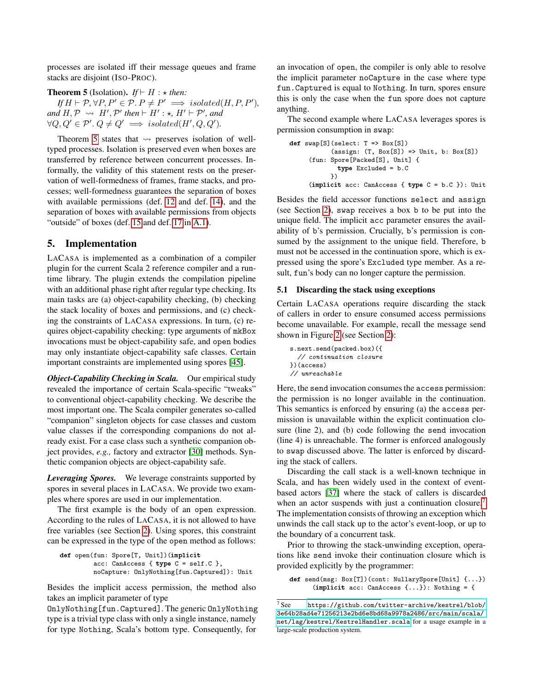processes are isolated iff their message queues and frame stacks are disjoint (ISO-PROC).

<span id="page-14-1"></span>**Theorem 5** (Isolation). *If*  $\vdash H : \star$  *then:* 

 $\textit{If } H \vdash \mathcal{P}, \forall P, P' \in \mathcal{P}. \textit{P} \neq P' \implies \textit{isolated}(H, P, P'),$  $and H, \mathcal{P} \rightsquigarrow H', \mathcal{P}'$  then  $\vdash H' : \star, H' \vdash \mathcal{P}'$ , and  $\forall Q, Q' \in \mathcal{P}'. Q \neq Q' \implies isolated(H', Q, Q').$ 

Theorem [5](#page-14-1) states that  $\rightsquigarrow$  preserves isolation of welltyped processes. Isolation is preserved even when boxes are transferred by reference between concurrent processes. Informally, the validity of this statement rests on the preservation of well-formedness of frames, frame stacks, and processes; well-formedness guarantees the separation of boxes with available permissions (def. [12](#page-12-2) and def. [14\)](#page-12-3), and the separation of boxes with available permissions from objects "outside" of boxes (def. [15](#page-20-1) and def. [17](#page-20-2) in [A.1\)](#page-20-3).

# <span id="page-14-0"></span>5. Implementation

LACASA is implemented as a combination of a compiler plugin for the current Scala 2 reference compiler and a runtime library. The plugin extends the compilation pipeline with an additional phase right after regular type checking. Its main tasks are (a) object-capability checking, (b) checking the stack locality of boxes and permissions, and (c) checking the constraints of LACASA expressions. In turn, (c) requires object-capability checking: type arguments of mkBox invocations must be object-capability safe, and open bodies may only instantiate object-capability safe classes. Certain important constraints are implemented using spores [\[45\]](#page-18-15).

*Object-Capability Checking in Scala.* Our empirical study revealed the importance of certain Scala-specific "tweaks" to conventional object-capability checking. We describe the most important one. The Scala compiler generates so-called "companion" singleton objects for case classes and custom value classes if the corresponding companions do not already exist. For a case class such a synthetic companion object provides, *e.g.,* factory and extractor [\[30\]](#page-18-29) methods. Synthetic companion objects are object-capability safe.

*Leveraging Spores.* We leverage constraints supported by spores in several places in LACASA. We provide two examples where spores are used in our implementation.

The first example is the body of an open expression. According to the rules of LACASA, it is not allowed to have free variables (see Section [2\)](#page-1-0). Using spores, this constraint can be expressed in the type of the open method as follows:

```
def open(fun: Spore[T, Unit])(implicit
         acc: CanAccess { type C = self.C },
         noCapture: OnlyNothing[fun.Captured]): Unit
```
Besides the implicit access permission, the method also takes an implicit parameter of type

OnlyNothing[fun.Captured]. The generic OnlyNothing type is a trivial type class with only a single instance, namely for type Nothing, Scala's bottom type. Consequently, for

an invocation of open, the compiler is only able to resolve the implicit parameter noCapture in the case where type fun.Captured is equal to Nothing. In turn, spores ensure this is only the case when the fun spore does not capture anything.

The second example where LACASA leverages spores is permission consumption in swap:

```
def swap[S](select: T \implies Box[S])(\text{assign: } (T, \text{ Box}[S]) \implies \text{Unit, } b: \text{ Box}[S])(fun: Spore[Packed[S], Unit] {
               type Excluded = b.C
             })
      (implicit acc: CanAccess { type C = b.C }): Unit
```
Besides the field accessor functions select and assign (see Section [2\)](#page-1-0), swap receives a box b to be put into the unique field. The implicit acc parameter ensures the availability of b's permission. Crucially, b's permission is consumed by the assignment to the unique field. Therefore, b must not be accessed in the continuation spore, which is expressed using the spore's Excluded type member. As a result, fun's body can no longer capture the permission.

#### <span id="page-14-3"></span>5.1 Discarding the stack using exceptions

Certain LACASA operations require discarding the stack of callers in order to ensure consumed access permissions become unavailable. For example, recall the message send shown in Figure [2](#page-2-1) (see Section [2\)](#page-1-0):

```
s.next.send(packed.box)({
  // continuation closure
})(access)
// unreachable
```
Here, the send invocation consumes the access permission: the permission is no longer available in the continuation. This semantics is enforced by ensuring (a) the access permission is unavailable within the explicit continuation closure (line 2), and (b) code following the send invocation (line 4) is unreachable. The former is enforced analogously to swap discussed above. The latter is enforced by discarding the stack of callers.

Discarding the call stack is a well-known technique in Scala, and has been widely used in the context of eventbased actors [\[37\]](#page-18-22) where the stack of callers is discarded when an actor suspends with just a continuation closure.<sup>[7](#page-14-2)</sup> The implementation consists of throwing an exception which unwinds the call stack up to the actor's event-loop, or up to the boundary of a concurrent task.

Prior to throwing the stack-unwinding exception, operations like send invoke their continuation closure which is provided explicitly by the programmer:

def send(msg: Box[T])(cont: NullarySpore[Unit] {...}) (implicit acc: CanAccess {...}): Nothing = {

<span id="page-14-2"></span> $7$  See [https://github.com/twitter-archive/kestrel/blob/](https://github.com/twitter-archive/kestrel/blob/3e64b28ad4e71256213e2bd6e8bd68a9978a2486/src/main/scala/net/lag/kestrel/KestrelHandler.scala) [3e64b28ad4e71256213e2bd6e8bd68a9978a2486/src/main/scala/](https://github.com/twitter-archive/kestrel/blob/3e64b28ad4e71256213e2bd6e8bd68a9978a2486/src/main/scala/net/lag/kestrel/KestrelHandler.scala) [net/lag/kestrel/KestrelHandler.scala](https://github.com/twitter-archive/kestrel/blob/3e64b28ad4e71256213e2bd6e8bd68a9978a2486/src/main/scala/net/lag/kestrel/KestrelHandler.scala) for a usage example in a large-scale production system.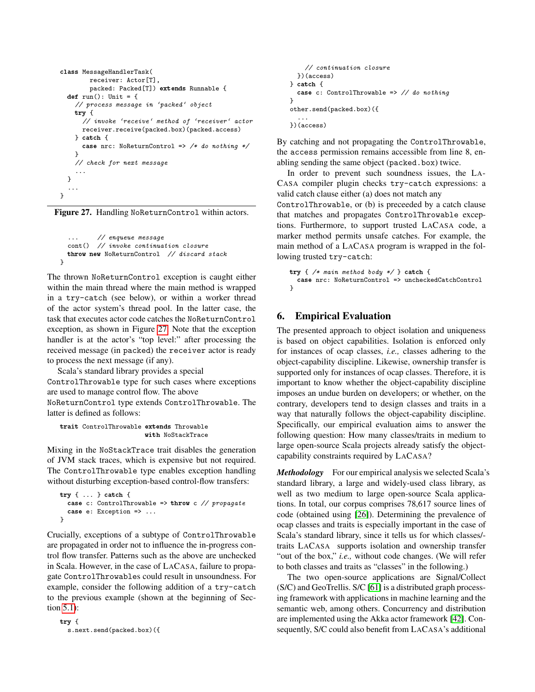```
class MessageHandlerTask(
        receiver: Actor[T],
        packed: Packed[T]) extends Runnable {
  def run(): Unit = {
    // process message in 'packed' object
   try {
      // invoke 'receive' method of 'receiver' actor
      receiver.receive(packed.box)(packed.access)
    } catch {
      case nrc: NoReturnControl => /* do nothing */}
    // check for next message
    ...
  }
  ...
}
```
Figure 27. Handling NoReturnControl within actors.

```
... // enqueue message
cont() // invoke continuation closure
throw new NoReturnControl // discard stack
```
}

The thrown NoReturnControl exception is caught either within the main thread where the main method is wrapped in a try-catch (see below), or within a worker thread of the actor system's thread pool. In the latter case, the task that executes actor code catches the NoReturnControl exception, as shown in Figure [27.](#page-15-1) Note that the exception handler is at the actor's "top level:" after processing the received message (in packed) the receiver actor is ready to process the next message (if any).

Scala's standard library provides a special ControlThrowable type for such cases where exceptions are used to manage control flow. The above NoReturnControl type extends ControlThrowable. The latter is defined as follows:

```
trait ControlThrowable extends Throwable
                       with NoStackTrace
```
Mixing in the NoStackTrace trait disables the generation of JVM stack traces, which is expensive but not required. The ControlThrowable type enables exception handling without disturbing exception-based control-flow transfers:

```
try { ... } catch {
  case c: ControlThrowable => throw c // propagate
  case e: Exception => ...
}
```
Crucially, exceptions of a subtype of ControlThrowable are propagated in order not to influence the in-progress control flow transfer. Patterns such as the above are unchecked in Scala. However, in the case of LACASA, failure to propagate ControlThrowables could result in unsoundness. For example, consider the following addition of a try-catch to the previous example (shown at the beginning of Section [5.1\)](#page-14-3):

try { s.next.send(packed.box)({

```
// continuation closure
  })(access)
} catch {
  case c: ControlThrowable => // do nothing
}
other.send(packed.box)({
  ...
})(access)
```
By catching and not propagating the ControlThrowable, the access permission remains accessible from line 8, enabling sending the same object (packed.box) twice.

In order to prevent such soundness issues, the LA-CASA compiler plugin checks try-catch expressions: a valid catch clause either (a) does not match any

ControlThrowable, or (b) is preceeded by a catch clause that matches and propagates ControlThrowable exceptions. Furthermore, to support trusted LACASA code, a marker method permits unsafe catches. For example, the main method of a LACASA program is wrapped in the following trusted try-catch:

```
try { /* main method body */ } catch {
  case nrc: NoReturnControl => uncheckedCatchControl
\mathbf{r}
```
# <span id="page-15-0"></span>6. Empirical Evaluation

The presented approach to object isolation and uniqueness is based on object capabilities. Isolation is enforced only for instances of ocap classes, *i.e.,* classes adhering to the object-capability discipline. Likewise, ownership transfer is supported only for instances of ocap classes. Therefore, it is important to know whether the object-capability discipline imposes an undue burden on developers; or whether, on the contrary, developers tend to design classes and traits in a way that naturally follows the object-capability discipline. Specifically, our empirical evaluation aims to answer the following question: How many classes/traits in medium to large open-source Scala projects already satisfy the objectcapability constraints required by LACASA?

*Methodology* For our empirical analysis we selected Scala's standard library, a large and widely-used class library, as well as two medium to large open-source Scala applications. In total, our corpus comprises 78,617 source lines of code (obtained using [\[26\]](#page-18-30)). Determining the prevalence of ocap classes and traits is especially important in the case of Scala's standard library, since it tells us for which classes/ traits LACASA supports isolation and ownership transfer "out of the box," *i.e.,* without code changes. (We will refer to both classes and traits as "classes" in the following.)

The two open-source applications are Signal/Collect (S/C) and GeoTrellis. S/C [\[61\]](#page-18-31) is a distributed graph processing framework with applications in machine learning and the semantic web, among others. Concurrency and distribution are implemented using the Akka actor framework [\[42\]](#page-18-23). Consequently, S/C could also benefit from LACASA's additional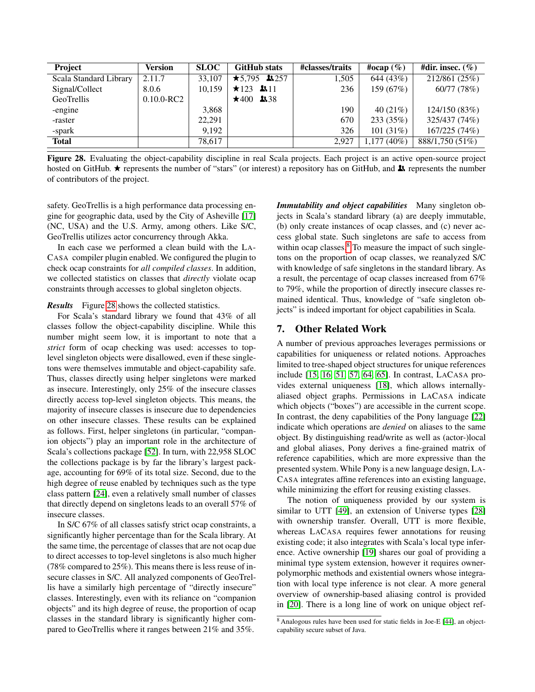| <b>Project</b>         | <b>Version</b> | <b>SLOC</b> | <b>GitHub</b> stats                | #classes/traits | #ocap $(\% )$ | #dir. insec. $(\%)$ |
|------------------------|----------------|-------------|------------------------------------|-----------------|---------------|---------------------|
| Scala Standard Library | 2.11.7         | 33,107      | $\star$ 5.795 13.257               | 1,505           | 644 (43%)     | 212/861 (25%)       |
| Signal/Collect         | 8.0.6          | 10,159      | $\star$ 123 <b>k</b> <sub>11</sub> | 236             | 159(67%)      | 60/77 (78%)         |
| GeoTrellis             | $0.10.0$ -RC2  |             | $\star$ 400 <b>1</b> 38            |                 |               |                     |
| -engine                |                | 3,868       |                                    | 190             | 40 $(21\%)$   | 124/150 (83%)       |
| -raster                |                | 22.291      |                                    | 670             | 233(35%)      | 325/437 (74%)       |
| -spark                 |                | 9.192       |                                    | 326             | 101 $(31%)$   | 167/225(74%)        |
| <b>Total</b>           |                | 78,617      |                                    | 2.927           | $1,177(40\%)$ | 888/1,750 (51%)     |

<span id="page-16-1"></span>Figure 28. Evaluating the object-capability discipline in real Scala projects. Each project is an active open-source project hosted on GitHub.  $\star$  represents the number of "stars" (or interest) a repository has on GitHub, and  $\star$  represents the number of contributors of the project.

safety. GeoTrellis is a high performance data processing engine for geographic data, used by the City of Asheville [\[17\]](#page-17-13) (NC, USA) and the U.S. Army, among others. Like S/C, GeoTrellis utilizes actor concurrency through Akka.

In each case we performed a clean build with the LA-CASA compiler plugin enabled. We configured the plugin to check ocap constraints for *all compiled classes*. In addition, we collected statistics on classes that *directly* violate ocap constraints through accesses to global singleton objects.

#### *Results* Figure [28](#page-16-1) shows the collected statistics.

For Scala's standard library we found that 43% of all classes follow the object-capability discipline. While this number might seem low, it is important to note that a *strict* form of ocap checking was used: accesses to toplevel singleton objects were disallowed, even if these singletons were themselves immutable and object-capability safe. Thus, classes directly using helper singletons were marked as insecure. Interestingly, only 25% of the insecure classes directly access top-level singleton objects. This means, the majority of insecure classes is insecure due to dependencies on other insecure classes. These results can be explained as follows. First, helper singletons (in particular, "companion objects") play an important role in the architecture of Scala's collections package [\[52\]](#page-18-32). In turn, with 22,958 SLOC the collections package is by far the library's largest package, accounting for 69% of its total size. Second, due to the high degree of reuse enabled by techniques such as the type class pattern [\[24\]](#page-18-12), even a relatively small number of classes that directly depend on singletons leads to an overall 57% of insecure classes.

In S/C 67% of all classes satisfy strict ocap constraints, a significantly higher percentage than for the Scala library. At the same time, the percentage of classes that are not ocap due to direct accesses to top-level singletons is also much higher (78% compared to 25%). This means there is less reuse of insecure classes in S/C. All analyzed components of GeoTrellis have a similarly high percentage of "directly insecure" classes. Interestingly, even with its reliance on "companion objects" and its high degree of reuse, the proportion of ocap classes in the standard library is significantly higher compared to GeoTrellis where it ranges between 21% and 35%.

*Immutability and object capabilities* Many singleton objects in Scala's standard library (a) are deeply immutable, (b) only create instances of ocap classes, and (c) never access global state. Such singletons are safe to access from within ocap classes.<sup>[8](#page-16-2)</sup> To measure the impact of such singletons on the proportion of ocap classes, we reanalyzed S/C with knowledge of safe singletons in the standard library. As a result, the percentage of ocap classes increased from 67% to 79%, while the proportion of directly insecure classes remained identical. Thus, knowledge of "safe singleton objects" is indeed important for object capabilities in Scala.

### <span id="page-16-0"></span>7. Other Related Work

A number of previous approaches leverages permissions or capabilities for uniqueness or related notions. Approaches limited to tree-shaped object structures for unique references include [\[15,](#page-17-14) [16,](#page-17-15) [51,](#page-18-1) [57,](#page-18-33) [64,](#page-18-2) [65\]](#page-19-0). In contrast, LACASA provides external uniqueness [\[18\]](#page-17-2), which allows internallyaliased object graphs. Permissions in LACASA indicate which objects ("boxes") are accessible in the current scope. In contrast, the deny capabilities of the Pony language [\[22\]](#page-17-16) indicate which operations are *denied* on aliases to the same object. By distinguishing read/write as well as (actor-)local and global aliases, Pony derives a fine-grained matrix of reference capabilities, which are more expressive than the presented system. While Pony is a new language design, LA-CASA integrates affine references into an existing language, while minimizing the effort for reusing existing classes.

The notion of uniqueness provided by our system is similar to UTT [\[49\]](#page-18-34), an extension of Universe types [\[28\]](#page-18-35) with ownership transfer. Overall, UTT is more flexible, whereas LACASA requires fewer annotations for reusing existing code; it also integrates with Scala's local type inference. Active ownership [\[19\]](#page-17-17) shares our goal of providing a minimal type system extension, however it requires ownerpolymorphic methods and existential owners whose integration with local type inference is not clear. A more general overview of ownership-based aliasing control is provided in [\[20\]](#page-17-18). There is a long line of work on unique object ref-

<span id="page-16-2"></span> $8$  Analogous rules have been used for static fields in Joe-E [\[44\]](#page-18-36), an objectcapability secure subset of Java.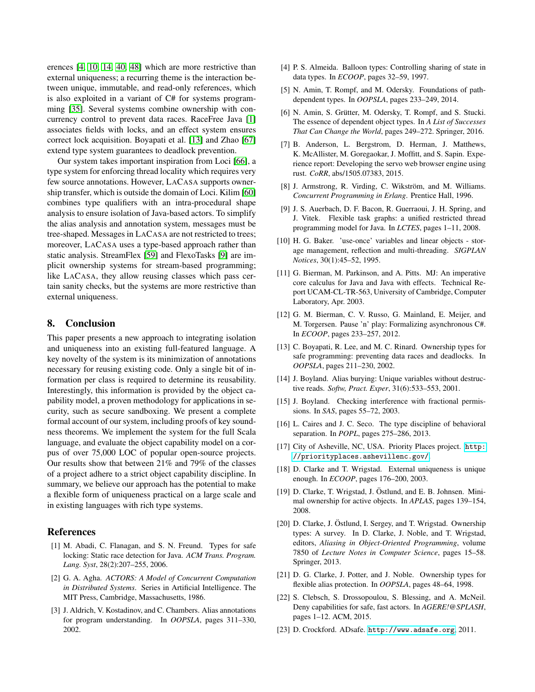erences [\[4,](#page-17-19) [10,](#page-17-20) [14,](#page-17-1) [40,](#page-18-5) [48\]](#page-18-6) which are more restrictive than external uniqueness; a recurring theme is the interaction between unique, immutable, and read-only references, which is also exploited in a variant of C# for systems programming [\[35\]](#page-18-37). Several systems combine ownership with concurrency control to prevent data races. RaceFree Java [\[1\]](#page-17-21) associates fields with locks, and an effect system ensures correct lock acquisition. Boyapati et al. [\[13\]](#page-17-22) and Zhao [\[67\]](#page-19-1) extend type system guarantees to deadlock prevention.

Our system takes important inspiration from Loci [\[66\]](#page-19-2), a type system for enforcing thread locality which requires very few source annotations. However, LACASA supports ownership transfer, which is outside the domain of Loci. Kilim [\[60\]](#page-18-38) combines type qualifiers with an intra-procedural shape analysis to ensure isolation of Java-based actors. To simplify the alias analysis and annotation system, messages must be tree-shaped. Messages in LACASA are not restricted to trees; moreover, LACASA uses a type-based approach rather than static analysis. StreamFlex [\[59\]](#page-18-39) and FlexoTasks [\[9\]](#page-17-23) are implicit ownership systems for stream-based programming; like LACASA, they allow reusing classes which pass certain sanity checks, but the systems are more restrictive than external uniqueness.

# <span id="page-17-6"></span>8. Conclusion

This paper presents a new approach to integrating isolation and uniqueness into an existing full-featured language. A key novelty of the system is its minimization of annotations necessary for reusing existing code. Only a single bit of information per class is required to determine its reusability. Interestingly, this information is provided by the object capability model, a proven methodology for applications in security, such as secure sandboxing. We present a complete formal account of our system, including proofs of key soundness theorems. We implement the system for the full Scala language, and evaluate the object capability model on a corpus of over 75,000 LOC of popular open-source projects. Our results show that between 21% and 79% of the classes of a project adhere to a strict object capability discipline. In summary, we believe our approach has the potential to make a flexible form of uniqueness practical on a large scale and in existing languages with rich type systems.

# References

- <span id="page-17-21"></span>[1] M. Abadi, C. Flanagan, and S. N. Freund. Types for safe locking: Static race detection for Java. *ACM Trans. Program. Lang. Syst*, 28(2):207–255, 2006.
- <span id="page-17-7"></span>[2] G. A. Agha. *ACTORS: A Model of Concurrent Computation in Distributed Systems*. Series in Artificial Intelligence. The MIT Press, Cambridge, Massachusetts, 1986.
- <span id="page-17-0"></span>[3] J. Aldrich, V. Kostadinov, and C. Chambers. Alias annotations for program understanding. In *OOPSLA*, pages 311–330, 2002.
- <span id="page-17-19"></span>[4] P. S. Almeida. Balloon types: Controlling sharing of state in data types. In *ECOOP*, pages 32–59, 1997.
- <span id="page-17-9"></span>[5] N. Amin, T. Rompf, and M. Odersky. Foundations of pathdependent types. In *OOPSLA*, pages 233–249, 2014.
- <span id="page-17-10"></span>[6] N. Amin, S. Grütter, M. Odersky, T. Rompf, and S. Stucki. The essence of dependent object types. In *A List of Successes That Can Change the World*, pages 249–272. Springer, 2016.
- <span id="page-17-4"></span>[7] B. Anderson, L. Bergstrom, D. Herman, J. Matthews, K. McAllister, M. Goregaokar, J. Moffitt, and S. Sapin. Experience report: Developing the servo web browser engine using rust. *CoRR*, abs/1505.07383, 2015.
- <span id="page-17-8"></span>[8] J. Armstrong, R. Virding, C. Wikström, and M. Williams. *Concurrent Programming in Erlang*. Prentice Hall, 1996.
- <span id="page-17-23"></span>[9] J. S. Auerbach, D. F. Bacon, R. Guerraoui, J. H. Spring, and J. Vitek. Flexible task graphs: a unified restricted thread programming model for Java. In *LCTES*, pages 1–11, 2008.
- <span id="page-17-20"></span>[10] H. G. Baker. 'use-once' variables and linear objects - storage management, reflection and multi-threading. *SIGPLAN Notices*, 30(1):45–52, 1995.
- <span id="page-17-11"></span>[11] G. Bierman, M. Parkinson, and A. Pitts. MJ: An imperative core calculus for Java and Java with effects. Technical Report UCAM-CL-TR-563, University of Cambridge, Computer Laboratory, Apr. 2003.
- <span id="page-17-12"></span>[12] G. M. Bierman, C. V. Russo, G. Mainland, E. Meijer, and M. Torgersen. Pause 'n' play: Formalizing asynchronous C#. In *ECOOP*, pages 233–257, 2012.
- <span id="page-17-22"></span>[13] C. Boyapati, R. Lee, and M. C. Rinard. Ownership types for safe programming: preventing data races and deadlocks. In *OOPSLA*, pages 211–230, 2002.
- <span id="page-17-1"></span>[14] J. Boyland. Alias burying: Unique variables without destructive reads. *Softw, Pract. Exper*, 31(6):533–553, 2001.
- <span id="page-17-14"></span>[15] J. Boyland. Checking interference with fractional permissions. In *SAS*, pages 55–72, 2003.
- <span id="page-17-15"></span>[16] L. Caires and J. C. Seco. The type discipline of behavioral separation. In *POPL*, pages 275–286, 2013.
- <span id="page-17-13"></span>[17] City of Asheville, NC, USA. Priority Places project. [http:](http://priorityplaces.ashevillenc.gov/) [//priorityplaces.ashevillenc.gov/](http://priorityplaces.ashevillenc.gov/).
- <span id="page-17-2"></span>[18] D. Clarke and T. Wrigstad. External uniqueness is unique enough. In *ECOOP*, pages 176–200, 2003.
- <span id="page-17-17"></span>[19] D. Clarke, T. Wrigstad, J. Östlund, and E. B. Johnsen. Minimal ownership for active objects. In *APLAS*, pages 139–154, 2008.
- <span id="page-17-18"></span>[20] D. Clarke, J. Östlund, I. Sergey, and T. Wrigstad. Ownership types: A survey. In D. Clarke, J. Noble, and T. Wrigstad, editors, *Aliasing in Object-Oriented Programming*, volume 7850 of *Lecture Notes in Computer Science*, pages 15–58. Springer, 2013.
- <span id="page-17-3"></span>[21] D. G. Clarke, J. Potter, and J. Noble. Ownership types for flexible alias protection. In *OOPSLA*, pages 48–64, 1998.
- <span id="page-17-16"></span>[22] S. Clebsch, S. Drossopoulou, S. Blessing, and A. McNeil. Deny capabilities for safe, fast actors. In *AGERE!@SPLASH*, pages 1–12. ACM, 2015.
- <span id="page-17-5"></span>[23] D. Crockford. ADsafe. <http://www.adsafe.org>, 2011.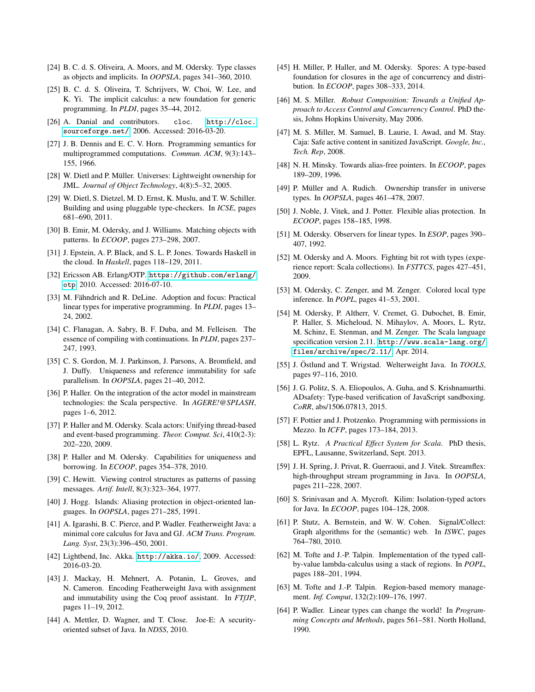- <span id="page-18-12"></span>[24] B. C. d. S. Oliveira, A. Moors, and M. Odersky. Type classes as objects and implicits. In *OOPSLA*, pages 341–360, 2010.
- <span id="page-18-13"></span>[25] B. C. d. S. Oliveira, T. Schrijvers, W. Choi, W. Lee, and K. Yi. The implicit calculus: a new foundation for generic programming. In *PLDI*, pages 35–44, 2012.
- <span id="page-18-30"></span>[26] A. Danial and contributors. cloc. [http://cloc.](http://cloc.sourceforge.net/) [sourceforge.net/](http://cloc.sourceforge.net/), 2006. Accessed: 2016-03-20.
- <span id="page-18-8"></span>[27] J. B. Dennis and E. C. V. Horn. Programming semantics for multiprogrammed computations. *Commun. ACM*, 9(3):143– 155, 1966.
- <span id="page-18-35"></span>[28] W. Dietl and P. Müller. Universes: Lightweight ownership for JML. *Journal of Object Technology*, 4(8):5–32, 2005.
- <span id="page-18-17"></span>[29] W. Dietl, S. Dietzel, M. D. Ernst, K. Muslu, and T. W. Schiller. Building and using pluggable type-checkers. In *ICSE*, pages 681–690, 2011.
- <span id="page-18-29"></span>[30] B. Emir, M. Odersky, and J. Williams. Matching objects with patterns. In *ECOOP*, pages 273–298, 2007.
- <span id="page-18-14"></span>[31] J. Epstein, A. P. Black, and S. L. P. Jones. Towards Haskell in the cloud. In *Haskell*, pages 118–129, 2011.
- <span id="page-18-24"></span>[32] Ericsson AB. Erlang/OTP. [https://github.com/erlang/](https://github.com/erlang/otp) [otp](https://github.com/erlang/otp), 2010. Accessed: 2016-07-10.
- <span id="page-18-0"></span>[33] M. Fähndrich and R. DeLine. Adoption and focus: Practical linear types for imperative programming. In *PLDI*, pages 13– 24, 2002.
- <span id="page-18-26"></span>[34] C. Flanagan, A. Sabry, B. F. Duba, and M. Felleisen. The essence of compiling with continuations. In *PLDI*, pages 237– 247, 1993.
- <span id="page-18-37"></span>[35] C. S. Gordon, M. J. Parkinson, J. Parsons, A. Bromfield, and J. Duffy. Uniqueness and reference immutability for safe parallelism. In *OOPSLA*, pages 21–40, 2012.
- <span id="page-18-21"></span>[36] P. Haller. On the integration of the actor model in mainstream technologies: the Scala perspective. In *AGERE!@SPLASH*, pages 1–6, 2012.
- <span id="page-18-22"></span>[37] P. Haller and M. Odersky. Scala actors: Unifying thread-based and event-based programming. *Theor. Comput. Sci*, 410(2-3): 202–220, 2009.
- <span id="page-18-16"></span>[38] P. Haller and M. Odersky. Capabilities for uniqueness and borrowing. In *ECOOP*, pages 354–378, 2010.
- <span id="page-18-20"></span>[39] C. Hewitt. Viewing control structures as patterns of passing messages. *Artif. Intell*, 8(3):323–364, 1977.
- <span id="page-18-5"></span>[40] J. Hogg. Islands: Aliasing protection in object-oriented languages. In *OOPSLA*, pages 271–285, 1991.
- <span id="page-18-27"></span>[41] A. Igarashi, B. C. Pierce, and P. Wadler. Featherweight Java: a minimal core calculus for Java and GJ. *ACM Trans. Program. Lang. Syst*, 23(3):396–450, 2001.
- <span id="page-18-23"></span>[42] Lightbend, Inc. Akka. <http://akka.io/>, 2009. Accessed: 2016-03-20.
- <span id="page-18-40"></span>[43] J. Mackay, H. Mehnert, A. Potanin, L. Groves, and N. Cameron. Encoding Featherweight Java with assignment and immutability using the Coq proof assistant. In *FTfJP*, pages 11–19, 2012.
- <span id="page-18-36"></span>[44] A. Mettler, D. Wagner, and T. Close. Joe-E: A securityoriented subset of Java. In *NDSS*, 2010.
- <span id="page-18-15"></span>[45] H. Miller, P. Haller, and M. Odersky. Spores: A type-based foundation for closures in the age of concurrency and distribution. In *ECOOP*, pages 308–333, 2014.
- <span id="page-18-9"></span>[46] M. S. Miller. *Robust Composition: Towards a Unified Approach to Access Control and Concurrency Control*. PhD thesis, Johns Hopkins University, May 2006.
- <span id="page-18-10"></span>[47] M. S. Miller, M. Samuel, B. Laurie, I. Awad, and M. Stay. Caja: Safe active content in sanitized JavaScript. *Google, Inc., Tech. Rep*, 2008.
- <span id="page-18-6"></span>[48] N. H. Minsky. Towards alias-free pointers. In *ECOOP*, pages 189–209, 1996.
- <span id="page-18-34"></span>[49] P. Müller and A. Rudich. Ownership transfer in universe types. In *OOPSLA*, pages 461–478, 2007.
- <span id="page-18-7"></span>[50] J. Noble, J. Vitek, and J. Potter. Flexible alias protection. In *ECOOP*, pages 158–185, 1998.
- <span id="page-18-1"></span>[51] M. Odersky. Observers for linear types. In *ESOP*, pages 390– 407, 1992.
- <span id="page-18-32"></span>[52] M. Odersky and A. Moors. Fighting bit rot with types (experience report: Scala collections). In *FSTTCS*, pages 427–451, 2009.
- <span id="page-18-18"></span>[53] M. Odersky, C. Zenger, and M. Zenger. Colored local type inference. In *POPL*, pages 41–53, 2001.
- <span id="page-18-25"></span>[54] M. Odersky, P. Altherr, V. Cremet, G. Dubochet, B. Emir, P. Haller, S. Micheloud, N. Mihaylov, A. Moors, L. Rytz, M. Schinz, E. Stenman, and M. Zenger. The Scala language specification version 2.11. [http://www.scala-lang.org/](http://www.scala-lang.org/files/archive/spec/2.11/) [files/archive/spec/2.11/](http://www.scala-lang.org/files/archive/spec/2.11/), Apr. 2014.
- <span id="page-18-28"></span>[55] J. Östlund and T. Wrigstad. Welterweight Java. In *TOOLS*, pages 97–116, 2010.
- <span id="page-18-11"></span>[56] J. G. Politz, S. A. Eliopoulos, A. Guha, and S. Krishnamurthi. ADsafety: Type-based verification of JavaScript sandboxing. *CoRR*, abs/1506.07813, 2015.
- <span id="page-18-33"></span>[57] F. Pottier and J. Protzenko. Programming with permissions in Mezzo. In *ICFP*, pages 173–184, 2013.
- <span id="page-18-19"></span>[58] L. Rytz. *A Practical Effect System for Scala*. PhD thesis, EPFL, Lausanne, Switzerland, Sept. 2013.
- <span id="page-18-39"></span>[59] J. H. Spring, J. Privat, R. Guerraoui, and J. Vitek. Streamflex: high-throughput stream programming in Java. In *OOPSLA*, pages 211–228, 2007.
- <span id="page-18-38"></span>[60] S. Srinivasan and A. Mycroft. Kilim: Isolation-typed actors for Java. In *ECOOP*, pages 104–128, 2008.
- <span id="page-18-31"></span>[61] P. Stutz, A. Bernstein, and W. W. Cohen. Signal/Collect: Graph algorithms for the (semantic) web. In *ISWC*, pages 764–780, 2010.
- <span id="page-18-3"></span>[62] M. Tofte and J.-P. Talpin. Implementation of the typed callby-value lambda-calculus using a stack of regions. In *POPL*, pages 188–201, 1994.
- <span id="page-18-4"></span>[63] M. Tofte and J.-P. Talpin. Region-based memory management. *Inf. Comput*, 132(2):109–176, 1997.
- <span id="page-18-2"></span>[64] P. Wadler. Linear types can change the world! In *Programming Concepts and Methods*, pages 561–581. North Holland, 1990.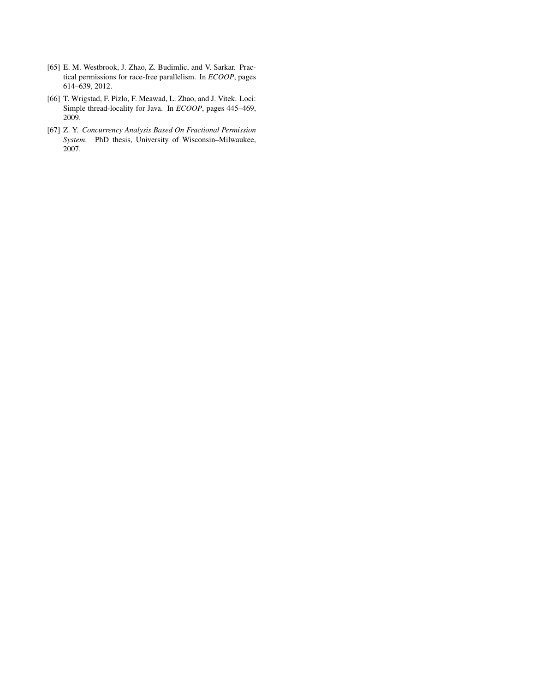- <span id="page-19-0"></span>[65] E. M. Westbrook, J. Zhao, Z. Budimlic, and V. Sarkar. Practical permissions for race-free parallelism. In *ECOOP*, pages 614–639, 2012.
- <span id="page-19-2"></span>[66] T. Wrigstad, F. Pizlo, F. Meawad, L. Zhao, and J. Vitek. Loci: Simple thread-locality for Java. In *ECOOP*, pages 445–469, 2009.
- <span id="page-19-1"></span>[67] Z. Y. *Concurrency Analysis Based On Fractional Permission System*. PhD thesis, University of Wisconsin–Milwaukee, 2007.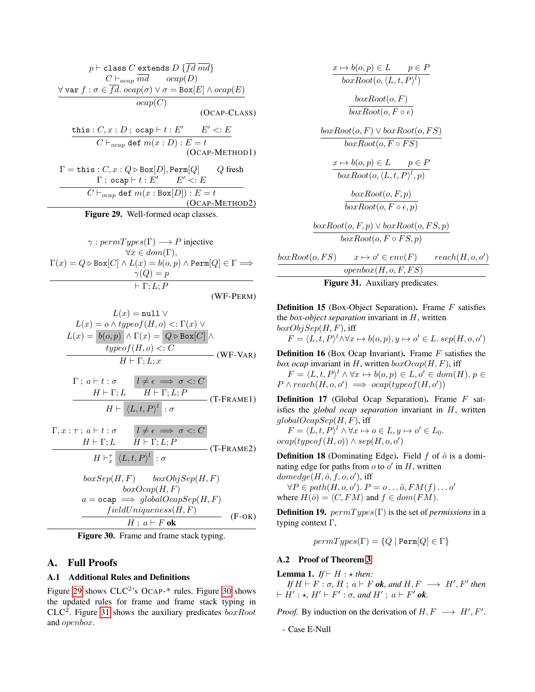$$
p \vdash \text{class } C \text{ extends } D \{\overline{fd} \ \overline{md} \}
$$

$$
C \vdash_{ocap} \overline{md} \qquad ocap(D)
$$

$$
\forall \text{var } f : \sigma \in \overline{fd} \cdot ocap(\sigma) \lor \sigma = \text{Box}[E] \land ocap(E)
$$

$$
ocap(C)
$$
(OCAP-CLASS)

this :  $C, x : D$ ; ocap  $\vdash t : E'$   $E' < E$  $C \vdash_{ocap}$  def  $m(x : D) : E = t$ (OCAP-METHOD1)

 $\Gamma = \text{this}: C, x: Q \triangleright \text{Box}[D], \text{Perm}[Q]$  Q fresh  $Γ$ ; ocap  $vdash t : E'$   $E' < E$  $C \vdash_{ocap}$  def  $m(x : Box[D]) : E = t$ (OCAP-METHOD2)

<span id="page-20-4"></span>Figure 29. Well-formed ocap classes.

 $\gamma: permTypes(\Gamma) \longrightarrow P$  injective  $\forall x \in dom(\Gamma),$  $\Gamma(x) = Q \triangleright \text{Box}[C] \wedge L(x) = b(o, p) \wedge \text{Perm}[Q] \in \Gamma \Longrightarrow$  $\gamma(Q) = p$  $\models$  Γ: L; P (WF-PERM)

$$
L(x) = \text{null} \lor
$$
  
\n
$$
L(x) = o \land typeof(H, o) <: \Gamma(x) \lor
$$
  
\n
$$
L(x) = \boxed{b(o, p) \land \Gamma(x) = \boxed{Q \triangleright \text{Box}[C]} \land
$$
  
\n
$$
typeof(H, o) <: C
$$
  
\n
$$
H \vdash \Gamma; L; x
$$
 (WF-VAR)

$$
\Gamma; a \vdash t : \sigma \qquad l \neq \epsilon \implies \sigma <: C
$$
\n
$$
H \vdash \Gamma; L \qquad H \vdash \Gamma; L; P
$$
\n
$$
H \vdash \langle L, t, P \rangle^l : \sigma
$$
\n
$$
(T\text{-}FRAME1)
$$

$$
\Gamma, x : \tau \, ; \, a \vdash t : \sigma \qquad l \neq \epsilon \implies \sigma <: C
$$
\n
$$
H \vdash \Gamma; L \qquad H \vdash \Gamma; L; P
$$
\n
$$
H \vdash^{\tau}_{x} \langle L, t, P \rangle^{l} : \sigma
$$
\n
$$
(T-FRAME2)
$$

$$
boxSep(H, F) \qquad boxObjSep(H, F)
$$
  
\n
$$
boxOcap(H, F)
$$
  
\n
$$
a = \text{ocap} \implies globalOcapSep(H, F)
$$
  
\n
$$
fieldUniqueness(H, F)
$$
  
\n
$$
H \; ; \; a \vdash F \; \text{ok}
$$
 (F-OK)

<span id="page-20-5"></span>Figure 30. Frame and frame stack typing.

# A. Full Proofs

# <span id="page-20-3"></span>A.1 Additional Rules and Definitions

Figure [29](#page-20-4) shows  $CLC<sup>2</sup>$ 's OCAP-\* rules. Figure [30](#page-20-5) shows the updated rules for frame and frame stack typing in  $CLC<sup>2</sup>$ . Figure [31](#page-20-6) shows the auxiliary predicates  $boxRoot$ and openbox.

$$
x \mapsto b(o, p) \in L \qquad p \in P
$$
  
\n
$$
boxRoot(o, \langle L, t, P \rangle^{l})
$$
  
\n
$$
boxRoot(o, F)
$$
  
\n
$$
boxRoot(o, F \circ \epsilon)
$$
  
\n
$$
boxRoot(o, F) \vee boxRoot(o, FS)
$$
  
\n
$$
boxRoot(o, F \circ FS)
$$
  
\n
$$
x \mapsto b(o, p) \in L \qquad p \in P
$$
  
\n
$$
boxRoot(o, \langle L, t, P \rangle^{l}, p)
$$
  
\n
$$
boxRoot(o, F, p)
$$
  
\n
$$
boxRoot(o, F, p)
$$
  
\n
$$
boxRoot(o, F, p)
$$
  
\n
$$
boxRoot(o, F \circ \epsilon, p)
$$
  
\n
$$
boxRoot(o, F \circ FS, p)
$$
  
\n
$$
boxRoot(o, F \circ FS, p)
$$
  
\n
$$
(o, FS) \qquad x \mapsto o' \in env(F) \qquad reach(H, o, o')
$$

 $boxRoot$  $openbox(H, o, F, FS)$ 

<span id="page-20-6"></span>Figure 31. Auxiliary predicates.

<span id="page-20-1"></span>**Definition 15** (Box-Object Separation). Frame  $F$  satisfies the *box-object separation* invariant in H, written  $boxObjSep(H, F)$ , iff

$$
F = \langle L, t, P \rangle^l \land \forall x \mapsto b(o, p), y \mapsto o' \in L \, \text{sep}(H, o, o')
$$

**Definition 16** (Box Ocap Invariant). Frame  $F$  satisfies the *box ocap* invariant in H, written  $boxOcap(H, F)$ , iff

 $F = \langle L, t, P \rangle^l \land \forall x \mapsto b(o, p) \in L, o' \in dom(H). p \in$  $P \wedge reach(H, o, o') \implies ocap(typeof(H, o'))$ 

<span id="page-20-2"></span>Definition 17 (Global Ocap Separation). Frame F satisfies the *global ocap separation* invariant in H, written  $globalOcapSep(H, F)$ , iff

 $F = \langle L, t, P \rangle^l \land \forall x \mapsto o \in L, y \mapsto o' \in L_0.$  $ocap(typeof(H, o)) \wedge sep(H, o, o')$ 

**Definition 18** (Dominating Edge). Field  $f$  of  $\hat{o}$  is a dominating edge for paths from  $o$  to  $o'$  in  $H$ , written

 $\text{domedge}(H, \hat{o}, f, o, o'), \text{ iff}$  $\forall P \in path(H, o, o'). P = o \dots \hat{o}, FM(f) \dots o'$ where  $H(\hat{o}) = \langle C, FM \rangle$  and  $f \in dom(FM)$ .

**Definition 19.**  $permTypes(\Gamma)$  is the set of *permissions* in a typing context Γ,

$$
permTypes(\Gamma) = \{Q \mid \texttt{Perm}[Q] \in \Gamma\}
$$

#### <span id="page-20-0"></span>A.2 Proof of Theorem [3](#page-12-4)

<span id="page-20-7"></span>**Lemma 1.** *If*  $\vdash$  *H* :  $\star$  *then:* 

 $\mathit{If} \ H \vdash F : \sigma, \ H : \ a \vdash F \ \textit{ok}, \ \textit{and} \ H, \ F \ \longrightarrow \ H', \ F' \ \textit{then}$  $\vdash H' : \star, H' \vdash F' : \sigma, \text{ and } H' ; a \vdash F' \text{ ok.}$ 

*Proof.* By induction on the derivation of  $H, F \longrightarrow H', F'$ .

- Case E-Null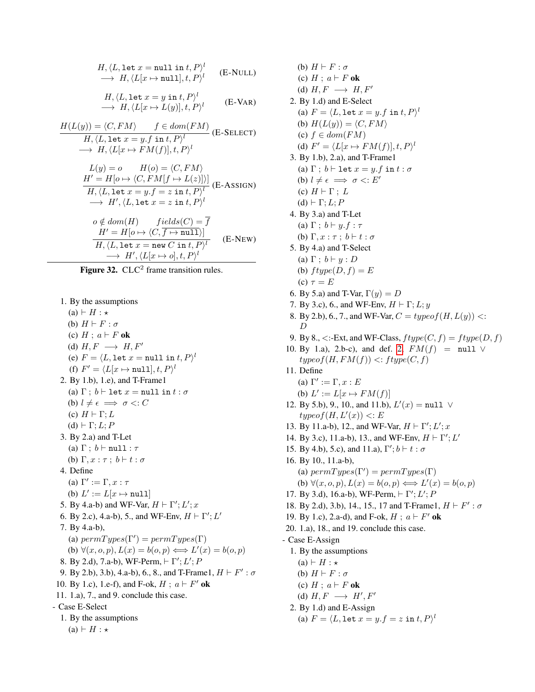$$
H, \langle L, \text{let } x = \text{null in } t, P \rangle^l \longrightarrow H, \langle L[x \mapsto \text{null}], t, P \rangle^l \qquad (\text{E-NULL})
$$

$$
H, \langle L, \text{let } x = y \text{ in } t, P \rangle^{l}
$$
  

$$
\longrightarrow H, \langle L[x \mapsto L(y)], t, P \rangle^{l}
$$
 (E-VAR)

$$
H(L(y)) = \langle C, FM \rangle \qquad f \in dom(FM)
$$
  
\n
$$
H, \langle L, \text{let } x = y.f \text{ in } t, P \rangle^l
$$
  
\n
$$
\rightarrow H, \langle L[x \mapsto FM(f)], t, P \rangle^l
$$
  
\n
$$
L(y) = o \qquad H(o) = \langle C, FM \rangle
$$
  
\n
$$
H' = H[o \mapsto \langle C, FM[f \mapsto L(z)] \rangle] \qquad (E\text{-}ASSIGN)
$$
  
\n
$$
H, \langle L, \text{let } x = y.f = z \text{ in } t, P \rangle^l
$$
  
\n
$$
\rightarrow H', \langle L, \text{let } x = z \text{ in } t, P \rangle^l
$$
  
\n
$$
o \notin dom(H) \qquad fields(C) = \overline{f}
$$
  
\n
$$
H' = H[o \mapsto \langle C, \overline{f \mapsto null} \rangle]
$$
  
\n
$$
H, \langle L, \text{let } x = \text{new } C \text{ in } t, P \rangle^l
$$
  
\n
$$
\rightarrow H', \langle L[x \mapsto o], t, P \rangle^l
$$
  
\n
$$
(E\text{-}NEW)
$$

Figure 32.  $CLC<sup>2</sup>$  frame transition rules.

- 1. By the assumptions
- $(a) \vdash H : \star$ (b)  $H \vdash F : \sigma$ (c)  $H$ ;  $a \vdash F$  ok (d)  $H, F \longrightarrow H, F'$ (e)  $F = \langle L, \texttt{let } x = \texttt{null in } t, P \rangle^l$ (f)  $F' = \langle L[x \mapsto \texttt{null}], t, P \rangle^l$ 2. By 1.b), 1.e), and T-Frame1 (a)  $\Gamma$  ;  $b \vdash$  let  $x = \text{null}$  in  $t : \sigma$ (b)  $l \neq \epsilon \implies \sigma \lt: C$ (c)  $H \vdash \Gamma; L$  $(d) \vdash \Gamma; L; P$ 3. By 2.a) and T-Let (a)  $\Gamma$  ;  $b \vdash \texttt{null}: \tau$ (b)  $\Gamma, x : \tau \, ; \, b \vdash t : \sigma$ 4. Define (a)  $\Gamma' := \Gamma, x : \tau$ (b)  $L' := L[x \mapsto \texttt{null}]$ 5. By 4.a-b) and WF-Var,  $H \vdash \Gamma'; L'; x$ 6. By 2.c), 4.a-b), 5., and WF-Env,  $H \vdash \Gamma'; L'$ 7. By 4.a-b), (a)  $permTypes(\Gamma')=permTypes(\Gamma)$ (b)  $\forall (x, o, p), L(x) = b(o, p) \Longleftrightarrow L'(x) = b(o, p)$ 8. By 2.d), 7.a-b), WF-Perm,  $\vdash \Gamma'; L'; P$ 9. By 2.b), 3.b), 4.a-b), 6., 8., and T-Frame1,  $H \vdash F' : \sigma$ 10. By 1.c), 1.e-f), and F-ok,  $H$ ;  $a \vdash F'$  ok 11. 1.a), 7., and 9. conclude this case. - Case E-Select 1. By the assumptions  $(a) \vdash H : \star$
- (b)  $H \vdash F : \sigma$ (c)  $H$ ;  $a \vdash F$  ok (d)  $H, F \longrightarrow H, F'$ 2. By 1.d) and E-Select (a)  $F = \langle L, \texttt{let } x = y.f \texttt{ in } t, P \rangle^l$ (b)  $H(L(y)) = \langle C, FM \rangle$ (c)  $f \in dom(FM)$ (d)  $F' = \langle L[x \mapsto FM(f)], t, P \rangle^l$ 3. By 1.b), 2.a), and T-Frame1 (a)  $\Gamma$  ;  $b\vdash \mathtt{let}\; x = y.f\; \mathtt{in}\; t : \sigma$ (b)  $l \neq \epsilon \implies \sigma \leq: E'$ (c)  $H \vdash \Gamma$ ; L  $(d) \vdash Γ; L; P$ 4. By 3.a) and T-Let (a)  $\Gamma$ ;  $b \vdash y.f : \tau$ (b)  $\Gamma, x : \tau : b \vdash t : \sigma$ 5. By 4.a) and T-Select (a)  $\Gamma$ ;  $b \vdash y : D$ (b)  $f type(D, f) = E$ (c)  $\tau = E$ 6. By 5.a) and T-Var,  $\Gamma(y) = D$ 7. By 3.c), 6., and WF-Env,  $H \vdash \Gamma$ ; L; y 8. By 2.b), 6., 7., and WF-Var,  $C = type of (H, L(y))$  <: D 9. By 8.,  $\langle$ :-Ext, and WF-Class,  $ftype(C, f) = ftype(D, f)$ 10. By 1.a), 2.b-c), and def. [2,](#page-7-3)  $FM(f) = null \vee$  $typeof(H, FM(f)) \leq:fty(C, f)$ 11. Define (a)  $\Gamma' := \Gamma, x : E$ (b)  $L' := L[x \mapsto FM(f)]$ 12. By 5.b), 9., 10., and 11.b),  $L'(x) = \text{null} \ \lor$  $typeof(H, L'(x)) < E$ 13. By 11.a-b), 12., and WF-Var,  $H \vdash \Gamma'; L'; x$ 14. By 3.c), 11.a-b), 13., and WF-Env,  $H \vdash \Gamma'$ ; L' 15. By 4.b), 5.c), and 11.a),  $\Gamma'$ ;  $b \vdash t : \sigma$ 16. By 10., 11.a-b), (a)  $permTypes(\Gamma')=permTypes(\Gamma)$ (b)  $\forall (x, o, p), L(x) = b(o, p) \Longleftrightarrow L'(x) = b(o, p)$ 17. By 3.d), 16.a-b), WF-Perm,  $\vdash \Gamma'; L'; P$ 18. By 2.d), 3.b), 14., 15., 17 and T-Frame1,  $H \vdash F' : \sigma$ 19. By 1.c), 2.a-d), and F-ok,  $H$ ;  $a \vdash F'$  ok 20. 1.a), 18., and 19. conclude this case. - Case E-Assign 1. By the assumptions  $(a) \vdash H : \star$ (b)  $H \vdash F : \sigma$ (c)  $H$ ;  $a \vdash F$  ok (d)  $H, F \longrightarrow H', F'$ 2. By 1.d) and E-Assign (a)  $F = \langle L, \texttt{let } x = y.f = z \texttt{ in } t, P \rangle^l$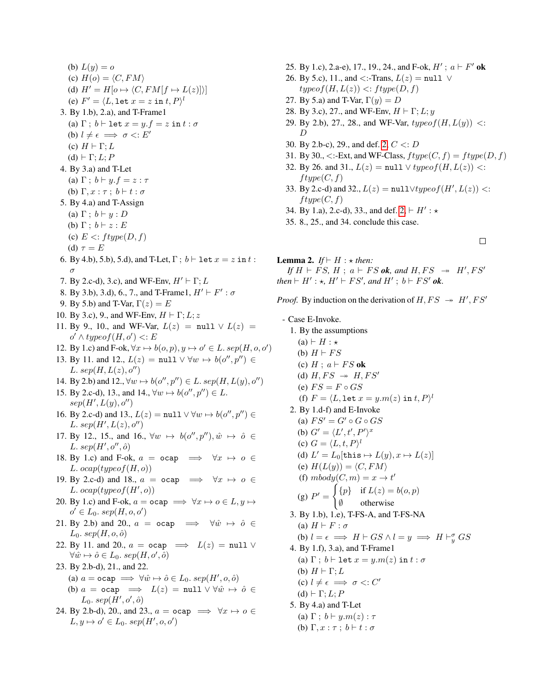(b)  $L(y) = o$ (c)  $H(o) = \langle C, FM \rangle$ (d)  $H' = H[o \mapsto \langle C, FM[f \mapsto L(z)] \rangle]$ (e)  $F' = \langle L, \texttt{let } x = z \texttt{ in } t, P \rangle^l$ 3. By 1.b), 2.a), and T-Frame1 (a)  $\Gamma$ ;  $b \vdash$  let  $x = y.f = z$  in  $t : \sigma$ (b)  $l \neq \epsilon \implies \sigma \lt: E'$ (c)  $H \vdash \Gamma; L$ (d)  $\vdash \Gamma; L; P$ 4. By 3.a) and T-Let (a)  $\Gamma$ ;  $b \vdash y.f = z : \tau$ (b)  $\Gamma, x : \tau \, ; \, b \vdash t : \sigma$ 5. By 4.a) and T-Assign (a)  $\Gamma$ ;  $b \vdash y : D$ (b)  $\Gamma$ ;  $b \vdash z : E$ (c)  $E \leq ftype(D, f)$ (d)  $\tau = E$ 6. By 4.b), 5.b), 5.d), and T-Let,  $\Gamma$ ;  $b \vdash$  let  $x = z$  in  $t$ : σ 7. By 2.c-d), 3.c), and WF-Env,  $H' \vdash \Gamma$ ; L 8. By 3.b), 3.d), 6., 7., and T-Frame1,  $H' \vdash F' : \sigma$ 9. By 5.b) and T-Var,  $\Gamma(z) = E$ 10. By 3.c), 9., and WF-Env,  $H \vdash \Gamma; L; z$ 11. By 9., 10., and WF-Var,  $L(z) = \text{null} \lor L(z) =$  $o' \wedge typeof(H, o') \leq E$ 12. By 1.c) and F-ok,  $\forall x \mapsto b(o, p), y \mapsto o' \in L$ . se $p(H, o, o')$ 13. By 11. and 12.,  $L(z) = \text{null} \lor \forall w \mapsto b(o'', p'') \in$ L.  $sep(H, L(z), o'')$ 14. By 2.b) and 12.,  $\forall w \mapsto b(o'', p'') \in L$ . sep $(H, L(y), o'')$ 15. By 2.c-d), 13., and 14.,  $\forall w \mapsto b(o'', p'') \in L$ .  $sep(H', L(y), o'')$ 16. By 2.c-d) and 13.,  $L(z) = \text{null} \lor \forall w \mapsto b(o'', p'') \in$ L.  $sep(H', L(z), o'')$ 17. By 12., 15., and 16.,  $\forall w \mapsto b(o'', p''), \hat{w} \mapsto \hat{o} \in$ L.  $sep(H', o'', \hat{o})$ 18. By 1.c) and F-ok,  $a = \text{ocap} \implies \forall x \mapsto o \in$ L.  $ocap(typeof(H, o))$ 19. By 2.c-d) and 18.,  $a = \text{ocap} \implies \forall x \mapsto o \in$ L.  $ocap(typeof(H', o))$ 20. By 1.c) and F-ok,  $a = \text{ocap} \implies \forall x \mapsto o \in L$ ,  $y \mapsto$  $o' \in L_0$ . sep $(H, o, o')$ 21. By 2.b) and 20.,  $a = \text{ocap} \implies \forall \hat{w} \mapsto \hat{o} \in$  $L_0$ . sep $(H, o, \hat{o})$ 22. By 11. and 20.,  $a = \text{ocap} \implies L(z) = \text{null} \vee$  $\forall \hat{w} \mapsto \hat{o} \in L_0$ . sep $(H, o', \hat{o})$ 23. By 2.b-d), 21., and 22. (a)  $a = \text{ocap} \implies \forall \hat{w} \mapsto \hat{o} \in L_0$ . sep $(H', o, \hat{o})$ (b)  $a = \text{ocap} \implies L(z) = \text{null} \lor \forall \hat{w} \mapsto \hat{o} \in$  $L_0$ .  $sep(H', o', \hat{o})$ 24. By 2.b-d), 20., and 23.,  $a = \text{ocap} \implies \forall x \mapsto o \in$  $L, y \mapsto o' \in L_0$ . sep $(H', o, o')$ 

- 25. By 1.c), 2.a-e), 17., 19., 24., and F-ok,  $H'$ ;  $a \vdash F'$  ok
- 26. By 5.c), 11., and <:-Trans,  $L(z) = \text{null}$   $\vee$  $typeof(H, L(z)) \leq:fty(D, f)$
- 27. By 5.a) and T-Var,  $\Gamma(y) = D$
- 28. By 3.c), 27., and WF-Env,  $H \vdash \Gamma$ ; L; y
- 29. By 2.b), 27., 28., and WF-Var,  $typeof(H, L(y))$  <: D
- 30. By 2.b-c), 29., and def. [2,](#page-7-3) C <: D
- 31. By 30.,  $\langle$ :-Ext, and WF-Class,  $ftype(C, f) = ftype(D, f)$
- 32. By 26. and 31.,  $L(z) = \text{null} \vee typeof(H, L(z))$  <:  $ftype(C, f)$
- 33. By 2.c-d) and 32.,  $L(z) = \text{null} \lor typeof(H', L(z))$  <:  $ftype(C, f)$
- 34. By 1.a), 2.c-d), 33., and def.  $2, \vdash H' : \star$
- 35. 8., 25., and 34. conclude this case.
- $\Box$

**Lemma 2.** *If*  $\vdash$  *H* :  $\star$  *then: If*  $H \vdash FS$ ,  $H \, ; \, a \vdash FS$  *ok*, and  $H, FS \rightarrow H', FS'$ *then*  $\vdash H' : \star, H' \vdash FS'$ , and  $H'$ ;  $b \vdash FS'$  ok.

*Proof.* By induction on the derivation of  $H, FS \rightarrow H', FS'$ 

- Case E-Invoke.

1. By the assumptions

 $(a) \vdash H : \star$ 

(b)  $H \vdash FS$ 

- (c)  $H$ ;  $a \vdash FS$  ok (d)  $H, FS \rightarrow H, FS'$
- (e)  $FS = F \circ GS$
- (f)  $F = \langle L, \texttt{let } x = y.m(z) \texttt{ in } t, P \rangle^l$
- 2. By 1.d-f) and E-Invoke
	- (a)  $FS' = G' \circ G \circ GS$
	- (b)  $G' = \langle L', t', P' \rangle^x$
	- (c)  $G = \langle L, t, P \rangle^l$
	- (d)  $L' = L_0[\texttt{this} \mapsto L(y), x \mapsto L(z)]$
	- (e)  $H(L(y)) = \langle C, FM \rangle$
	- (f)  $mbody(C, m) = x \rightarrow t'$
	- (g)  $P' =$  $\int {\{p\}}$  if  $L(z) = b(o, p)$

$$
\begin{array}{c}\n\sqrt{5} \\
\sqrt{2} \\
\sqrt{2} \\
\sqrt{1} \\
\sqrt{1} \\
\sqrt{1} \\
\sqrt{1} \\
\sqrt{1} \\
\sqrt{1} \\
\sqrt{1} \\
\sqrt{1} \\
\sqrt{1} \\
\sqrt{1} \\
\sqrt{1} \\
\sqrt{1} \\
\sqrt{1} \\
\sqrt{1} \\
\sqrt{1} \\
\sqrt{1} \\
\sqrt{1} \\
\sqrt{1} \\
\sqrt{1} \\
\sqrt{1} \\
\sqrt{1} \\
\sqrt{1} \\
\sqrt{1} \\
\sqrt{1} \\
\sqrt{1} \\
\sqrt{1} \\
\sqrt{1} \\
\sqrt{1} \\
\sqrt{1} \\
\sqrt{1} \\
\sqrt{1} \\
\sqrt{1} \\
\sqrt{1} \\
\sqrt{1} \\
\sqrt{1} \\
\sqrt{1} \\
\sqrt{1} \\
\sqrt{1} \\
\sqrt{1} \\
\sqrt{1} \\
\sqrt{1} \\
\sqrt{1} \\
\sqrt{1} \\
\sqrt{1} \\
\sqrt{1} \\
\sqrt{1} \\
\sqrt{1} \\
\sqrt{1} \\
\sqrt{1} \\
\sqrt{1} \\
\sqrt{1} \\
\sqrt{1} \\
\sqrt{1} \\
\sqrt{1} \\
\sqrt{1} \\
\sqrt{1} \\
\sqrt{1} \\
\sqrt{1} \\
\sqrt{1} \\
\sqrt{1} \\
\sqrt{1} \\
\sqrt{1} \\
\sqrt{1} \\
\sqrt{1} \\
\sqrt{1} \\
\sqrt{1} \\
\sqrt{1} \\
\sqrt{1} \\
\sqrt{1} \\
\sqrt{1} \\
\sqrt{1} \\
\sqrt{1} \\
\sqrt{1} \\
\sqrt{1} \\
\sqrt{1} \\
\sqrt{1} \\
\sqrt{1} \\
\sqrt{1} \\
\sqrt{1} \\
\sqrt{1} \\
\sqrt{1} \\
\sqrt{1} \\
\sqrt{1} \\
\sqrt{1} \\
\sqrt{1} \\
\sqrt{1} \\
\sqrt{1} \\
\sqrt{1} \\
\sqrt{1} \\
\sqrt{1} \\
\sqrt{1} \\
\sqrt{1} \\
\sqrt{1} \\
\sqrt{1} \\
\sqrt{1} \\
\sqrt{1} \\
\sqrt{1} \\
\sqrt{1} \\
\sqrt{1} \\
\sqrt{1} \\
\sqrt{1} \\
\sqrt{1} \\
\sqrt{1} \\
\sqrt{1} \\
\sqrt{1} \\
\sqrt{1} \\
\sqrt{1} \\
\sqrt{1} \\
\sqrt{1} \\
\sqrt{1} \\
\sqrt{1} \\
\sqrt{1} \\
\sqrt{1} \\
\sqrt{1} \\
\sqrt{1} \\
\sqrt{1} \\
\sqrt{1} \\
\sqrt{1} \\
\sqrt{1} \\
\sqrt{1} \\
\sqrt{1} \\
\sqrt{1} \\
\sqrt
$$

- 3. By 1.b), 1.e), T-FS-A, and T-FS-NA (a)  $H \vdash F : \sigma$ 
	- (b)  $l = \epsilon \implies H \vdash GS \land l = y \implies H \vdash_y^{\sigma} GS$
- 4. By 1.f), 3.a), and T-Frame1
	- (a)  $\Gamma$ ;  $b \vdash$  let  $x = y.m(z)$  in  $t : \sigma$
	- (b)  $H \vdash \Gamma; L$
	- (c)  $l \neq \epsilon \implies \sigma \lt: C'$
	- (d)  $\vdash \Gamma; L; P$
- 5. By 4.a) and T-Let (a)  $\Gamma$ ;  $b \vdash y.m(z) : \tau$ (b)  $\Gamma, x : \tau \, ; \, b \vdash t : \sigma$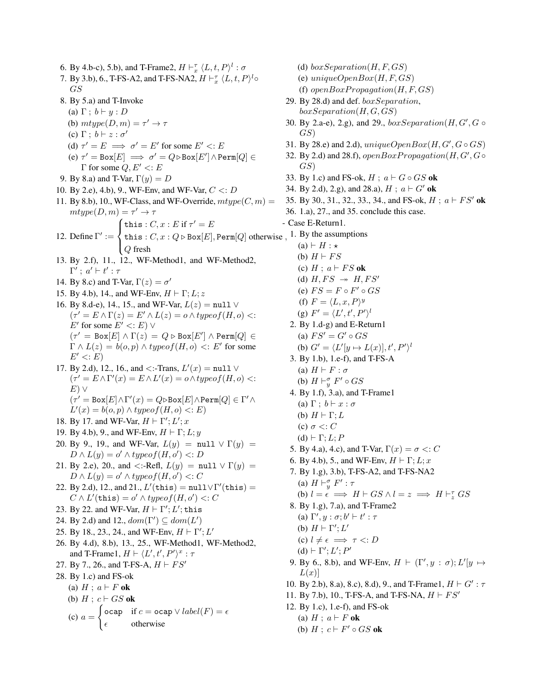- 6. By 4.b-c), 5.b), and T-Frame2,  $H \vdash_x^{\tau} \langle L, t, P \rangle^l : \sigma$ 7. By 3.b), 6., T-FS-A2, and T-FS-NA2,  $H \vdash^{\tau}_{x} \langle L, t, P \rangle^{l} \circ$ GS 8. By 5.a) and T-Invoke (a)  $\Gamma$ ;  $b \vdash y : D$ (b)  $mtype(D, m) = \tau' \rightarrow \tau$ (c)  $\Gamma$ ;  $b \vdash z : \sigma'$ (d)  $\tau' = E \implies \sigma' = E'$  for some  $E' \lt E$ (e)  $\tau' = \text{Box}[E] \implies \sigma' = Q \triangleright \text{Box}[E'] \wedge \text{Perm}[Q] \in$ Γ for some  $Q, E' \lt E E$ 9. By 8.a) and T-Var,  $\Gamma(y) = D$ 10. By 2.e), 4.b), 9., WF-Env, and WF-Var,  $C < D$ 11. By 8.b), 10., WF-Class, and WF-Override,  $mtype(C, m) =$  $mtype(D,m) = \tau' \rightarrow \tau$ 12. Define  $\Gamma' :=$  $\sqrt{ }$  $\int$  $\overline{\mathcal{L}}$ this :  $C, x : E$  if  $\tau' = E$ this :  $C, x : Q \triangleright \text{Box}[E], \text{Perm}[Q]$  otherwise,  $Q$  fresh 13. By 2.f), 11., 12., WF-Method1, and WF-Method2,  $\Gamma'$ ;  $a' \vdash t' : \tau$ 14. By 8.c) and T-Var,  $\Gamma(z) = \sigma'$ 15. By 4.b), 14., and WF-Env,  $H \vdash \Gamma; L; z$ 16. By 8.d-e), 14., 15., and WF-Var,  $L(z) = \text{null} \vee$  $(\tau' = E \wedge \Gamma(z) = E' \wedge L(z) = o \wedge type of(H, o)$  <: E' for some  $E' \lt E E) \vee$  $(\tau' = \texttt{Box}[E] \land \Gamma(z) = Q \triangleright \texttt{Box}[E'] \land \texttt{Perm}[Q] \in$  $\Gamma \wedge L(z) = b(o, p) \wedge typeof(H, o) \leq E'$  for some  $E' \lt E E$ 17. By 2.d), 12., 16., and <:-Trans,  $L'(x) = \text{null} \vee \emptyset$  $(\tau' = E \wedge \Gamma'(x) = E \wedge L'(x) = o \wedge typeof(H, o)$  <:  $E)$   $\vee$  $(τ' = Box[E] ∧ Γ'(x) = Q ⊳ Box[E] ∧ Perm[Q] ∈ Γ' ∧$  $L'(x) = b(o, p) \wedge typeof(H, o) \le E$ 18. By 17. and WF-Var,  $H \vdash \Gamma'; L'; x$ 19. By 4.b), 9., and WF-Env,  $H \vdash \Gamma; L; y$ 20. By 9., 19., and WF-Var,  $L(y)$  = null  $\vee \Gamma(y)$  =  $D \wedge L(y) = o' \wedge typeof(H, o') \le D$ 21. By 2.e), 20., and <:-Refl,  $L(y) = \text{null} \lor \Gamma(y) =$  $D \wedge L(y) = o' \wedge typeof(H, o') \leq C$ 22. By 2.d), 12., and 21.,  $L'(\text{this}) = \text{null} \lor \Gamma'(\text{this}) =$  $C \wedge L'(\mathtt{this}) = o' \wedge type of(H, o') <: C$ 23. By 22. and WF-Var,  $H \vdash \Gamma'; L';$  this 24. By 2.d) and 12.,  $dom(\Gamma') \subseteq dom(L')$ 25. By 18., 23., 24., and WF-Env,  $H \vdash \Gamma'; L'$ 26. By 4.d), 8.b), 13., 25., WF-Method1, WF-Method2, and T-Frame1,  $H \vdash \langle L', t', P' \rangle^x : \tau$ 27. By 7., 26., and T-FS-A,  $H \vdash FS'$ 28. By 1.c) and FS-ok (a)  $H$ ;  $a \vdash F$  ok (b)  $H$ ;  $c \vdash GS$  ok  $(c) a =$  $\int$  ocap if  $c =$  ocap  $\vee$  label(F) =  $\epsilon$  $\epsilon$  otherwise
	- (d)  $boxSeparation(H, F, GS)$ (e)  $uniqueOpenBox(H, F, GS)$ (f) open $Box Propagation(H, F, GS)$ 29. By 28.d) and def. boxSeparation,  $boxSeparation(H, G, GS)$ 30. By 2.a-e), 2.g), and 29.,  $boxSeparation(H, G', G \circ$ GS) 31. By 28.e) and 2.d),  $uniqueOpenBox(H, G', G \circ GS)$ 32. By 2.d) and 28.f),  $openBoxPropagation(H, G', G \circ$ GS) 33. By 1.c) and FS-ok,  $H$ ;  $a \vdash G \circ GS$  ok 34. By 2.d), 2.g), and 28.a),  $H$ ;  $a \vdash G'$  ok 35. By 30., 31., 32., 33., 34., and FS-ok,  $H$ ;  $a \vdash FS'$  ok 36. 1.a), 27., and 35. conclude this case. - Case E-Return1. 1. By the assumptions  $(a) \vdash H : \star$ (b)  $H \vdash FS$ (c)  $H$ ;  $a \vdash FS$  ok (d)  $H, FS \rightarrow H, FS'$ (e)  $FS = F \circ F' \circ GS$ (f)  $F = \langle L, x, P \rangle^y$ (g)  $F' = \langle L', t', P' \rangle^l$ 2. By 1.d-g) and E-Return1 (a)  $FS' = G' \circ GS$ (b)  $G' = \langle L'[y \mapsto L(x)], t', P'\rangle^l$ 3. By 1.b), 1.e-f), and T-FS-A (a)  $H \vdash F : \sigma$ (b)  $H \vdash^{\sigma}_{y} F' \circ GS$ 4. By 1.f), 3.a), and T-Frame1 (a)  $\Gamma$ ;  $b \vdash x : \sigma$ (b)  $H \vdash \Gamma; L$ (c)  $\sigma \ll C$  $(d) \vdash Γ; L; P$ 5. By 4.a), 4.c), and T-Var,  $\Gamma(x) = \sigma \langle C \rangle$ 6. By 4.b), 5., and WF-Env,  $H \vdash \Gamma; L; x$ 7. By 1.g), 3.b), T-FS-A2, and T-FS-NA2 (a)  $H \vdash^{\sigma}_{y} F' : \tau$ (b)  $l = \epsilon \implies H \vdash GS \land l = z \implies H \vdash_z^{\tau} GS$ 8. By 1.g), 7.a), and T-Frame2 (a)  $\Gamma', y : \sigma; b' \vdash t' : \tau$ (b)  $H \vdash \Gamma'; L'$ (c)  $l \neq \epsilon \implies \tau \lt: D$ (d)  $\vdash \Gamma'; L'; P'$ 9. By 6., 8.b), and WF-Env,  $H \vdash (\Gamma', y : \sigma); L'[y \mapsto$  $L(x)$ 10. By 2.b), 8.a), 8.c), 8.d), 9., and T-Frame1,  $H \vdash G' : \tau$ 11. By 7.b), 10., T-FS-A, and T-FS-NA,  $H \vdash FS'$ 12. By 1.c), 1.e-f), and FS-ok (a)  $H$ ;  $a \vdash F$  ok (b)  $H$ ;  $c \vdash F' \circ GS$  ok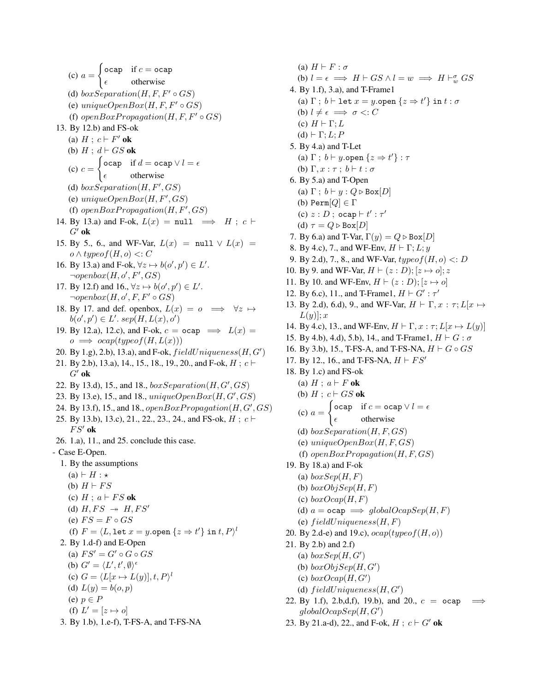$(c) a =$  $\int$  ocap if  $c =$  ocap  $\epsilon$  otherwise (d)  $boxSeparation(H, F, F' \circ GS)$ (e) unique $OpenBox(H, F, F' \circ GS)$ (f) open $BoxPropagation(H, F, F' \circ GS)$ 13. By 12.b) and FS-ok (a)  $H$ ;  $c \vdash F'$  ok (b)  $H$ ;  $d \vdash GS$  ok  $(c)$   $c =$  $\int$  ocap if  $d =$  ocap  $\vee$   $l = \epsilon$  $\epsilon$  otherwise (d)  $box Separation(H, F', GS)$ (e)  $uniqueOpenBox(H, F', GS)$ (f)  $openBoxPropagation(H, F', GS)$ 14. By 13.a) and F-ok,  $L(x) = \text{null} \implies H : c \vdash$  $G'$  ok 15. By 5., 6., and WF-Var,  $L(x) = \text{null} \lor L(x) =$  $o \wedge typeof(H, o) < C$ 16. By 13.a) and F-ok,  $\forall z \mapsto b(o', p') \in L'$ .  $\neg openbox(H, o', F', GS)$ 17. By 12.f) and 16.,  $\forall z \mapsto b(o', p') \in L'$ .  $\neg openbox(H, o', F, F' \circ GS)$ 18. By 17. and def. openbox,  $L(x) = 0 \implies \forall z \mapsto$  $b(o', p') \in L'.\; sep(H, L(x), o')$ 19. By 12.a), 12.c), and F-ok,  $c = ocap \implies L(x) =$  $o \implies ocap(typeof(H,L(x)))$ 20. By 1.g), 2.b), 13.a), and F-ok,  $fieldUniqueness(H, G')$ 21. By 2.b), 13.a), 14., 15., 18., 19., 20., and F-ok,  $H : c \vdash$  $G'$  ok 22. By 13.d), 15., and 18.,  $boxSeparation(H, G', GS)$ 23. By 13.e), 15., and 18.,  $uniqueOpenBox(H, G', GS)$ 24. By 13.f), 15., and 18., open $BoxPropagation(H, G', GS)$ 25. By 13.b), 13.c), 21., 22., 23., 24., and FS-ok,  $H : c \vdash$  $FS'$  ok 26. 1.a), 11., and 25. conclude this case. - Case E-Open. 1. By the assumptions  $(a) \vdash H : \star$ (b)  $H \vdash FS$ (c)  $H$ ;  $a \vdash FS$  ok (d)  $H, FS \rightarrow H, FS'$ (e)  $FS = F \circ GS$ (f)  $F = \langle L, \text{let } x = y.\text{open } \{z \Rightarrow t'\} \text{ in } t, P \rangle^l$ 2. By 1.d-f) and E-Open (a)  $FS' = G' \circ G \circ GS$ (b)  $G' = \langle L', t', \emptyset \rangle^{\epsilon}$ (c)  $G = \langle L[x \mapsto L(y)], t, P \rangle^l$ (d)  $L(y) = b(o, p)$ (e)  $p \in P$ (f)  $L' = [z \mapsto o]$ 3. By 1.b), 1.e-f), T-FS-A, and T-FS-NA

(a)  $H \vdash F : \sigma$ (b)  $l = \epsilon \implies H \vdash GS \land l = w \implies H \vdash_w^{\sigma} GS$ 4. By 1.f), 3.a), and T-Frame1 (a)  $\Gamma$ ;  $b \vdash$  let  $x = y$ .open  $\{z \Rightarrow t'\}$  in  $t : \sigma$ (b)  $l \neq \epsilon \implies \sigma \lt: C$ (c)  $H \vdash \Gamma; L$  $(d) \vdash Γ; L; P$ 5. By 4.a) and T-Let (a)  $\Gamma$ ;  $b \vdash y$ .open  $\{z \Rightarrow t'\}$ :  $\tau$ (b)  $\Gamma, x : \tau \, ; \, b \vdash t : \sigma$ 6. By 5.a) and T-Open (a)  $\Gamma$ ;  $b \vdash y : Q \triangleright \text{Box}[D]$ (b) Perm $[Q] \in \Gamma$ (c)  $z : D$  ; ocap  $\vdash t' : \tau'$ (d)  $\tau = Q \triangleright \text{Box}[D]$ 7. By 6.a) and T-Var,  $\Gamma(y) = Q \triangleright \text{Box}[D]$ 8. By 4.c), 7., and WF-Env,  $H \vdash \Gamma; L; y$ 9. By 2.d), 7., 8., and WF-Var,  $typeof(H, o) < D$ 10. By 9. and WF-Var,  $H \vdash (z : D); [z \mapsto o]; z$ 11. By 10. and WF-Env,  $H \vdash (z : D); [z \mapsto o]$ 12. By 6.c), 11., and T-Frame1,  $H \vdash G' : \tau'$ 13. By 2.d), 6.d), 9., and WF-Var,  $H \vdash \Gamma, x : \tau; L[x \mapsto$  $L(y)$ ; x 14. By 4.c), 13., and WF-Env,  $H \vdash \Gamma, x : \tau; L[x \mapsto L(y)]$ 15. By 4.b), 4.d), 5.b), 14., and T-Frame1,  $H \vdash G : \sigma$ 16. By 3.b), 15., T-FS-A, and T-FS-NA,  $H \vdash G \circ GS$ 17. By 12., 16., and T-FS-NA,  $H \vdash FS'$ 18. By 1.c) and FS-ok (a)  $H$ ;  $a \vdash F$  ok (b)  $H$ ;  $c \vdash GS$  ok  $(c) a =$  $\int$  ocap if  $c =$  ocap  $\vee l = e$  $\epsilon$  otherwise (d)  $boxSeparation(H, F, GS)$ (e)  $uniqueOpenBox(H, F, GS)$ (f) open $BoxPropagation(H, F, GS)$ 19. By 18.a) and F-ok (a)  $boxSep(H, F)$ (b)  $boxObjSep(H, F)$ (c)  $boxOcap(H, F)$ (d)  $a = \text{ocap} \implies \text{globalOcapSep}(H, F)$ (e)  $field Uniqueness(H, F)$ 20. By 2.d-e) and 19.c),  $ocap(typeof(H, o))$ 21. By 2.b) and 2.f) (a)  $boxSep(H,G')$ (b)  $boxObjSep(H, G')$ (c)  $boxOcap(H, G')$ (d)  $field Uniqueness(H, G')$ 

- 22. By 1.f), 2.b,d,f), 19.b), and 20.,  $c = \text{ocap}$  $globalOcapSep(H, G')$
- 23. By 21.a-d), 22., and F-ok,  $H : c \vdash G'$  ok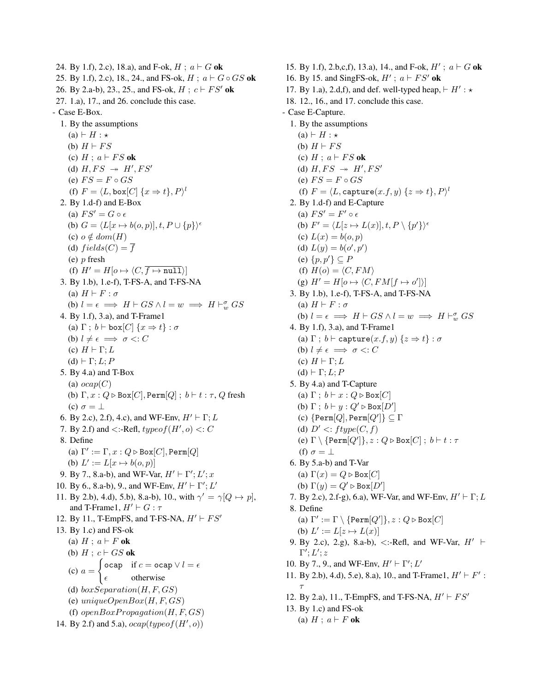24. By 1.f), 2.c), 18.a), and F-ok,  $H$ ;  $a \vdash G$  ok 25. By 1.f), 2.c), 18., 24., and FS-ok,  $H$ ;  $a \vdash G \circ GS$  ok 26. By 2.a-b), 23., 25., and FS-ok,  $H$ ;  $c \vdash FS'$  ok 27. 1.a), 17., and 26. conclude this case. - Case E-Box. 1. By the assumptions  $(a) \vdash H : \star$ (b)  $H \vdash FS$ (c)  $H$ ;  $a \vdash FS$  ok (d)  $H, FS \rightarrow H', FS'$ (e)  $FS = F \circ GS$ (f)  $F = \langle L, \text{box}[C] \{x \Rightarrow t\}, P \rangle^l$ 2. By 1.d-f) and E-Box (a)  $FS' = G \circ \epsilon$ (b)  $G = \langle L[x \mapsto b(o, p)], t, P \cup \{p\} \rangle^{\epsilon}$ (c)  $o \notin dom(H)$ (d)  $fields(C) = \overline{f}$ (e) p fresh (f)  $H' = H[0 \mapsto \langle C, \overline{f \mapsto \text{null}} \rangle]$ 3. By 1.b), 1.e-f), T-FS-A, and T-FS-NA (a)  $H \vdash F : \sigma$ (b)  $l = \epsilon \implies H \vdash GS \land l = w \implies H \vdash_w^{\sigma} GS$ 4. By 1.f), 3.a), and T-Frame1 (a)  $\Gamma$ ;  $b \vdash$  box $[C]$  { $x \Rightarrow t$ } :  $\sigma$ (b)  $l \neq \epsilon \implies \sigma \lt: C$ (c)  $H \vdash \Gamma; L$  $(d) \vdash \Gamma; L; P$ 5. By 4.a) and T-Box (a)  $ocap(C)$ (b)  $\Gamma, x : Q \triangleright \text{Box}[C], \text{Perm}[Q]$ ;  $b \vdash t : \tau, Q$  fresh (c)  $\sigma = \perp$ 6. By 2.c), 2.f), 4.c), and WF-Env,  $H' \vdash \Gamma$ ; L 7. By 2.f) and  $\lt$ :-Refl,  $typeof(H', o) \lt: C$ 8. Define (a)  $\Gamma' := \Gamma, x : Q \triangleright \text{Box}[C], \text{Perm}[Q]$ (b)  $L' := L[x \mapsto b(o, p)]$ 9. By 7., 8.a-b), and WF-Var,  $H' \vdash \Gamma'; L'; x$ 10. By 6., 8.a-b), 9., and WF-Env,  $H' \vdash \Gamma'; L'$ 11. By 2.b), 4.d), 5.b), 8.a-b), 10., with  $\gamma' = \gamma [Q \mapsto p]$ , and T-Frame1,  $H' \vdash G : \tau$ 12. By 11., T-EmpFS, and T-FS-NA,  $H' \vdash FS'$ 13. By 1.c) and FS-ok (a)  $H$ ;  $a \vdash F$  ok (b)  $H$ ;  $c \vdash GS$  ok  $(c) a =$  $\int$  ocap if  $c =$  ocap  $\vee l = \epsilon$  $\epsilon$  otherwise (d)  $boxSeparation(H, F, GS)$ (e)  $uniqueOpenBox(H, F, GS)$ (f)  $openBoxPropagation(H, F, GS)$ 14. By 2.f) and 5.a),  $ocap(typeof(H', o))$ 

15. By 1.f), 2.b,c,f), 13.a), 14., and F-ok,  $H'$ ;  $a \vdash G$  ok 16. By 15. and SingFS-ok,  $H'$ ;  $a \vdash FS'$  ok 17. By 1.a), 2.d,f), and def. well-typed heap,  $\vdash H' : \star$ 18. 12., 16., and 17. conclude this case. - Case E-Capture. 1. By the assumptions  $(a) \vdash H : \star$ (b)  $H \vdash FS$ (c)  $H$ ;  $a \vdash FS$  ok (d)  $H, FS \rightarrow H', FS'$ (e)  $FS = F \circ GS$ (f)  $F = \langle L, \texttt{capture}(x.f, y) | \{z \Rightarrow t\}, P \rangle^l$ 2. By 1.d-f) and E-Capture (a)  $FS' = F' \circ \epsilon$ (b)  $F' = \langle L[z \mapsto L(x)], t, P \setminus \{p'\}\rangle^{\epsilon}$ (c)  $L(x) = b(o, p)$ (d)  $L(y) = b(o', p')$  $(e)$   $\{p, p'\}\subseteq P$ (f)  $H(o) = \langle C, FM \rangle$ (g)  $H' = H[o \mapsto \langle C, FM[f \mapsto o'] \rangle]$ 3. By 1.b), 1.e-f), T-FS-A, and T-FS-NA (a)  $H \vdash F : \sigma$ (b)  $l = \epsilon \implies H \vdash GS \land l = w \implies H \vdash_w^{\sigma} GS$ 4. By 1.f), 3.a), and T-Frame1 (a)  $\Gamma$ ;  $b \vdash$  capture $(x.f, y)$   $\{z \Rightarrow t\} : \sigma$ (b)  $l \neq \epsilon \implies \sigma \lt: C$ (c)  $H \vdash \Gamma; L$  $(d) \vdash \Gamma; L; P$ 5. By 4.a) and T-Capture (a)  $\Gamma$ ;  $b \vdash x : Q \triangleright \text{Box}[C]$ (b)  $\Gamma$ ;  $b \vdash y : Q' \triangleright \text{Box}[D']$ (c)  $\{\texttt{Perm}[Q], \texttt{Perm}[Q']\} \subseteq \Gamma$ (d)  $D' \leq ftype(C, f)$ (e)  $\Gamma \setminus \{\texttt{Perm}[Q']\}, z : Q \triangleright \texttt{Box}[C] \; ; \; b \vdash t : \tau$ (f)  $\sigma = \perp$ 6. By 5.a-b) and T-Var (a)  $\Gamma(x) = Q \triangleright \text{Box}[C]$ (b)  $\Gamma(y) = Q' \triangleright \text{Box}[D']$ 7. By 2.c), 2.f-g), 6.a), WF-Var, and WF-Env,  $H' \vdash \Gamma$ ; L 8. Define (a)  $\Gamma' := \Gamma \setminus \{\texttt{Perm}[Q']\}, z : Q \triangleright \texttt{Box}[C]$ (b)  $L' := L[z \mapsto L(x)]$ 9. By 2.c), 2.g), 8.a-b), <:-Refl, and WF-Var,  $H' \vdash$  $\Gamma'; L'; z$ 10. By 7., 9., and WF-Env,  $H' \vdash \Gamma'; L'$ 11. By 2.b), 4.d), 5.e), 8.a), 10., and T-Frame1,  $H' \vdash F'$ : τ 12. By 2.a), 11., T-EmpFS, and T-FS-NA,  $H' \vdash FS'$ 13. By 1.c) and FS-ok (a)  $H$ ;  $a \vdash F$  ok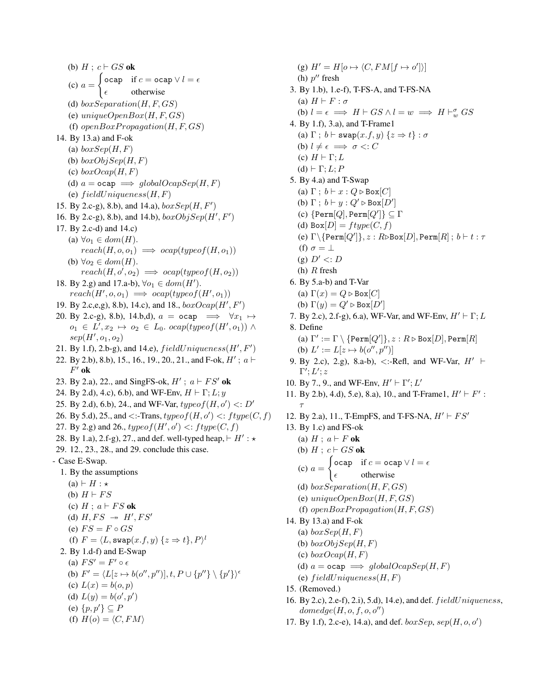(b)  $H$ ;  $c \vdash GS$  ok  $(c) a =$  $\int$  ocap if  $c =$  ocap  $\vee l = \epsilon$  $\epsilon$  otherwise (d)  $boxSeparation(H, F, GS)$ (e)  $uniqueOpenBox(H, F, GS)$ (f)  $openBoxPropagation(H, F, GS)$ 14. By 13.a) and F-ok (a)  $boxSep(H, F)$ (b)  $boxObjSep(H, F)$ (c)  $boxOcap(H, F)$ (d)  $a = \text{ocap} \implies globalOcapSep(H, F)$ (e)  $field Uniqueness(H, F)$ 15. By 2.c-g), 8.b), and 14.a),  $boxSep(H, F')$ 16. By 2.c-g), 8.b), and 14.b),  $boxObjSep(H', F')$ 17. By 2.c-d) and 14.c) (a)  $\forall o_1 \in dom(H)$ .  $reach(H, o, o_1) \implies ocap(typeof(H, o_1))$ (b)  $\forall o_2 \in dom(H)$ .  $reach(H, o', o_2) \implies ocap(typeof(H, o_2))$ 18. By 2.g) and 17.a-b),  $\forall o_1 \in dom(H')$ .  $reach(H', o, o_1) \implies ocap(typeof(H', o_1))$ 19. By 2.c,e,g), 8.b), 14.c), and 18.,  $boxOcap(H', F')$ 20. By 2.c-g), 8.b), 14.b,d),  $a = \text{ocap} \implies \forall x_1 \mapsto$  $o_1 \in L', x_2 \mapsto o_2 \in L_0$ . ocap(typeof(H',  $o_1$ ))  $\wedge$  $sep(H', o_1, o_2)$ 21. By 1.f), 2.b-g), and 14.e),  $field Uniqueness(H', F')$ 22. By 2.b), 8.b), 15., 16., 19., 20., 21., and F-ok,  $H'$ ;  $a \vdash$  $F'$  ok 23. By 2.a), 22., and SingFS-ok,  $H'$ ;  $a \vdash FS'$  ok 24. By 2.d), 4.c), 6.b), and WF-Env,  $H \vdash \Gamma; L; y$ 25. By 2.d), 6.b), 24., and WF-Var,  $typeof(H, o') \le D'$ 26. By 5.d), 25., and  $\leq$ :-Trans,  $typeof(H, o') \leq$ :  $ftppe(C, f)$ 27. By 2.g) and 26.,  $typeof(H', o') \leq:fty(C, f)$ 28. By 1.a), 2.f-g), 27., and def. well-typed heap,  $\vdash H' : \star$ 29. 12., 23., 28., and 29. conclude this case. - Case E-Swap. 1. By the assumptions  $(a) \vdash H : \star$ (b)  $H \vdash FS$ (c)  $H$ ;  $a \vdash FS$  ok (d)  $H, FS \rightarrow H', FS'$ (e)  $FS = F \circ GS$ (f)  $F = \langle L, \texttt{swap}(x.f, y) \; \{z \Rightarrow t\}, P \rangle^l$ 2. By 1.d-f) and E-Swap (a)  $FS' = F' \circ \epsilon$ (b)  $F' = \langle L[z \mapsto b(o'', p'')], t, P \cup \{p''\} \setminus \{p'\}\rangle^{\epsilon}$ (c)  $L(x) = b(o, p)$ (d)  $L(y) = b(o', p')$ (e)  $\{p, p'\}\subseteq P$ (f)  $H(o) = \langle C, FM \rangle$ 

(g)  $H' = H[o \mapsto \langle C, FM[f \mapsto o'] \rangle]$ (h)  $p''$  fresh 3. By 1.b), 1.e-f), T-FS-A, and T-FS-NA (a)  $H \vdash F : \sigma$ (b)  $l = \epsilon \implies H \vdash GS \land l = w \implies H \vdash_w^{\sigma} GS$ 4. By 1.f), 3.a), and T-Frame1 (a)  $\Gamma$ ;  $b \vdash \textsf{swap}(x.f, y)$   $\{z \Rightarrow t\} : \sigma$ (b)  $l \neq \epsilon \implies \sigma \lt: C$ (c)  $H \vdash \Gamma; L$ (d)  $\vdash \Gamma; L; P$ 5. By 4.a) and T-Swap (a)  $\Gamma$ ;  $b \vdash x : Q \triangleright \text{Box}[C]$ (b)  $\Gamma$ ;  $b \vdash y : Q' \triangleright \text{Box}[D']$ (c)  $\{\texttt{Perm}[Q], \texttt{Perm}[Q']\} \subseteq \Gamma$ (d)  $Box[D] =fty(C, f)$ (e)  $\Gamma \backslash \{\texttt{Perm}[Q']\}, z : R \triangleright \texttt{Box}[D], \texttt{Perm}[R] \, ; \, b \vdash t : \tau$ (f)  $\sigma = \perp$ (g)  $D' \lt: D$ (h)  $R$  fresh 6. By 5.a-b) and T-Var (a)  $\Gamma(x) = Q \triangleright \text{Box}[C]$ (b)  $\Gamma(y) = Q' \triangleright \text{Box}[D']$ 7. By 2.c), 2.f-g), 6.a), WF-Var, and WF-Env,  $H' \vdash \Gamma$ ; L 8. Define (a)  $\Gamma' := \Gamma \setminus \{\texttt{Perm}[Q']\}, z : R \triangleright \texttt{Box}[D], \texttt{Perm}[R]$ (b)  $L' := L[z \mapsto b(o'', p'')]$ 9. By 2.c), 2.g), 8.a-b),  $\lt$ :-Refl, and WF-Var,  $H' \vdash$  $\Gamma'; L'; z$ 10. By 7., 9., and WF-Env,  $H' \vdash \Gamma'; L'$ 11. By 2.b), 4.d), 5.e), 8.a), 10., and T-Frame1,  $H' \vdash F'$ : τ 12. By 2.a), 11., T-EmpFS, and T-FS-NA,  $H' \vdash FS'$ 13. By 1.c) and FS-ok (a)  $H$ ;  $a \vdash F$  ok (b)  $H$ ;  $c \vdash GS$  ok  $(c) a =$  $\int$  ocap if  $c =$  ocap  $\vee l = e$  $\epsilon$  otherwise (d)  $boxSeparation(H, F, GS)$ (e)  $uniqueOpenBox(H, F, GS)$ (f)  $openBoxPropagation(H, F, GS)$ 14. By 13.a) and F-ok (a)  $boxSep(H, F)$ (b)  $boxObjSep(H, F)$ (c)  $boxOcap(H, F)$ (d)  $a = \text{ocap} \implies globalOcapSep(H, F)$ (e)  $field Uniqueness(H, F)$ 15. (Removed.)

- 16. By 2.c), 2.e-f), 2.i), 5.d), 14.e), and def. f ieldUniqueness,  $domedge(H, o, f, o, o'')$
- 17. By 1.f), 2.c-e), 14.a), and def.  $boxSep, sep(H, o, o')$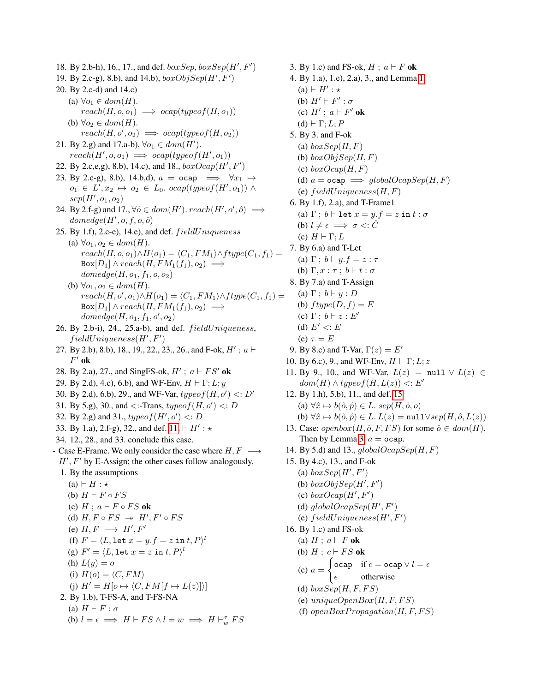18. By 2.b-h), 16., 17., and def.  $boxSep, boxSep(H', F')$ 19. By 2.c-g), 8.b), and 14.b),  $boxObjSep(H', F')$ 20. By 2.c-d) and 14.c) (a)  $\forall o_1 \in dom(H)$ .  $reach(H, o, o_1) \implies ocap(typeof(H, o_1))$ (b)  $\forall o_2 \in dom(H)$ .  $reach(H, o', o_2) \implies ocap(typeof(H, o_2))$ 21. By 2.g) and 17.a-b),  $\forall o_1 \in dom(H')$ .  $reach(H', o, o_1) \implies ocap(typeof(H', o_1))$ 22. By 2.c,e,g), 8.b), 14.c), and 18.,  $boxOcap(H', F')$ 23. By 2.c-g), 8.b), 14.b,d),  $a = \text{ocap} \implies \forall x_1 \mapsto$  $o_1 \in L', x_2 \mapsto o_2 \in L_0$ . ocap $(typeo f(H', o_1))$   $\wedge$  $sep(H', o_1, o_2)$ 24. By 2.f-g) and 17.,  $\forall \hat{o} \in dom(H')$ .  $reach(H', o', \hat{o}) \implies$  $\phi(\hat{H}', o, f, o, \hat{o})$ 25. By 1.f), 2.c-e), 14.e), and def.  $field Uniqueness$ (a)  $\forall o_1, o_2 \in dom(H)$ .  $reach(H, o, o_1) \wedge H(o_1) = \langle C_1, FM_1 \rangle \wedge ftype(C_1, f_1) =$  $Box[D_1] \wedge reach(H, FM_1(f_1), o_2) \implies$  $domedge(H, o_1, f_1, o, o_2)$ (b)  $\forall o_1, o_2 \in dom(H)$ .  $reach(H, o', o_1) \wedge H(o_1) = \langle C_1, FM_1 \rangle \wedge ftype(C_1, f_1) =$  $Box[D_1] \wedge reach(H, FM_1(f_1), o_2) \implies$  $\mathit{domedge}(H, o_1, f_1, o', o_2)$ 26. By 2.b-i), 24., 25.a-b), and def.  $fieldUniqueness$ ,  $field Uniqueness(H', F')$ 27. By 2.b), 8.b), 18., 19., 22., 23., 26., and F-ok,  $H'$ ;  $a \vdash$  $F'$  ok 28. By 2.a), 27., and SingFS-ok,  $H'$ ;  $a \vdash FS'$  ok 29. By 2.d), 4.c), 6.b), and WF-Env,  $H \vdash \Gamma; L; y$ 30. By 2.d), 6.b), 29., and WF-Var,  $typeof(H, o') \le D'$ 31. By 5.g), 30., and <:-Trans,  $typeof(H, o') \lt D$ 32. By 2.g) and 31.,  $typeof(H', o') \le D$ 33. By 1.a), 2.f-g), 32., and def.  $11, \vdash H' : \star$ 34. 12., 28., and 33. conclude this case. - Case E-Frame. We only consider the case where  $H, F \longrightarrow$  $H'$ ,  $F'$  by E-Assign; the other cases follow analogously. 1. By the assumptions  $(a) \vdash H : \star$ (b)  $H \vdash F \circ FS$ (c)  $H : a \vdash F \circ FS$  ok (d)  $H, F \circ FS \rightarrow H', F' \circ FS$ (e)  $H, F \longrightarrow H', F'$ (f)  $F = \langle L, \texttt{let } x = y.f = z \texttt{ in } t, P \rangle^l$ (g)  $F' = \langle L, \texttt{let } x = z \texttt{ in } t, P \rangle^l$ (h)  $L(y) = o$ (i)  $H(o) = \langle C, FM \rangle$ (j)  $H' = H[o \mapsto \langle C, FM[f \mapsto L(z)] \rangle]$ 2. By 1.b), T-FS-A, and T-FS-NA (a)  $H \vdash F : \sigma$ (b)  $l = \epsilon \implies H \vdash FS \land l = w \implies H \vdash_w^{\sigma} FS$ 

3. By 1.c) and FS-ok,  $H$ ;  $a \vdash F$  ok 4. By 1.a), 1.e), 2.a), 3., and Lemma [1](#page-20-7)  $(a) \vdash H' : \star$ (b)  $H' \vdash F' : \sigma$ (c)  $H'$ ;  $a \vdash F'$  ok  $(d) \vdash Γ; L; P$ 5. By 3. and F-ok (a)  $boxSep(H, F)$ (b)  $boxObjSep(H, F)$ (c)  $boxOcap(H, F)$ (d)  $a = \text{ocap} \implies globalOcapSep(H, F)$ (e)  $field Uniqueness(H, F)$ 6. By 1.f), 2.a), and T-Frame1 (a)  $\Gamma$ ;  $b \vdash$  let  $x = y.f = z$  in  $t : \sigma$ (b)  $l \neq \epsilon \implies \sigma \leq : \hat{C}$ (c)  $H \vdash \Gamma; L$ 7. By 6.a) and T-Let (a)  $\Gamma$ ;  $b \vdash y.f = z : \tau$ (b)  $\Gamma, x : \tau : b \vdash t : \sigma$ 8. By 7.a) and T-Assign (a)  $\Gamma$ ;  $b \vdash y : D$ (b)  $f type(D, f) = E$ (c)  $\Gamma$ ;  $b \vdash z : E'$ (d)  $E' \leq E$ (e)  $\tau = E$ 9. By 8.c) and T-Var,  $\Gamma(z) = E'$ 10. By 6.c), 9., and WF-Env,  $H \vdash \Gamma$ ; L; z 11. By 9., 10., and WF-Var,  $L(z) = \text{null} \lor L(z) \in$  $dom(H) \wedge typeof(H, L(z)) < E'$ 12. By 1.h), 5.b), 11., and def. [15](#page-20-1) (a)  $\forall \hat{x} \mapsto b(\hat{o}, \hat{p}) \in L$ . sep $(H, \hat{o}, o)$ (b)  $\forall \hat{x} \mapsto b(\hat{o}, \hat{p}) \in L$ .  $L(z) = \text{null} \vee sep(H, \hat{o}, L(z))$ 13. Case: *openbox*(*H*,  $\hat{o}$ , *F*, *FS*) for some  $\hat{o} \in dom(H)$ . Then by Lemma [3,](#page-28-0)  $a =$  ocap. 14. By 5.d) and 13.,  $globalOcapSep(H, F)$ 15. By 4.c), 13., and F-ok (a)  $boxSep(H',F')$ (b)  $boxObjSep(H',F')$ (c)  $boxOcap(H', F')$ (d)  $globalOcapSep(H', F')$ (e)  $field Uniqueness(H', F')$ 16. By 1.c) and FS-ok (a)  $H$ ;  $a \vdash F$  ok (b)  $H$ ;  $c \vdash FS$  ok  $(c) a =$  $\int$  ocap if  $c =$  ocap  $\vee l = e$  $\epsilon$  otherwise (d)  $boxSep(H, F, FS)$ (e)  $uniqueOpenBox(H, F, FS)$ (f)  $openBoxPropagation(H, F, FS)$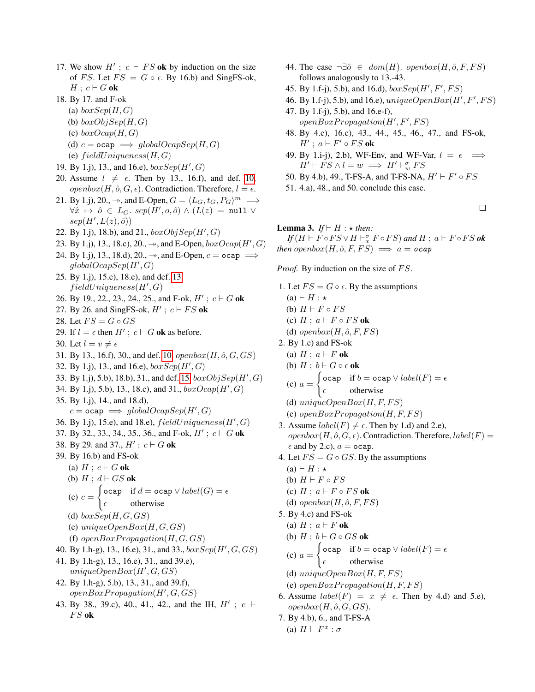- 17. We show  $H'$ ;  $c \vdash FS$  ok by induction on the size of FS. Let  $FS = G \circ \epsilon$ . By 16.b) and SingFS-ok,  $H$ ;  $c \vdash G$  ok
- 18. By 17. and F-ok
	- (a)  $boxSep(H,G)$
	- (b)  $boxObjSep(H, G)$
	- (c)  $boxOcap(H, G)$
	- (d)  $c = \texttt{ocap} \implies globalOcapSep(H, G)$
	- (e)  $field Uniqueness(H, G)$
- 19. By 1.j), 13., and 16.e),  $boxSep(H',G)$
- 20. Assume  $l \neq \epsilon$ . Then by 13., 16.f), and def. [10,](#page-8-8)  $openbox(H, \hat{o}, G, \epsilon)$ . Contradiction. Therefore,  $l = \epsilon$ .
- 21. By 1.j), 20., →, and E-Open,  $G = \langle L_G, t_G, P_G \rangle^m \implies$  $\forall \hat{x} \ \mapsto \ \hat{o} \ \in \ L_G. \ sep(H', o, \hat{o}) \ \wedge \ (L(z) \ = \ \texttt{null} \ \vee$  $sep(H', L(z), \hat{o}))$
- 22. By 1.j), 18.b), and 21.,  $boxObjSep(H',G)$
- 23. By 1.j), 13., 18.c), 20.,  $\rightarrow$ , and E-Open,  $boxOcap(H', G)$
- 24. By 1.j), 13., 18.d), 20.,  $\rightarrow$ , and E-Open,  $c =$  ocap  $\Rightarrow$  $globalOcapSep(H',G)$
- 25. By 1.j), 15.e), 18.e), and def. [13,](#page-12-5)  $field Uniqueness(H', G)$
- 26. By 19., 22., 23., 24., 25., and F-ok,  $H'$ ;  $c \vdash G$  ok
- 27. By 26. and SingFS-ok,  $H'$ ;  $c \vdash FS$  ok
- 28. Let  $FS = G \circ GS$
- 29. If  $l = \epsilon$  then  $H'$ ;  $c \vdash G$  ok as before.
- 30. Let  $l = v \neq \epsilon$
- 31. By 13., 16.f), 30., and def. [10,](#page-8-8)  $openbox(H, \hat{o}, G, GS)$
- 32. By 1.j), 13., and 16.e),  $boxSep(H',G)$
- 33. By 1.j), 5.b), 18.b), 31., and def. [15,](#page-20-1)  $boxObjSep(H', G)$
- 34. By 1.j), 5.b), 13., 18.c), and 31.,  $boxOcap(H', G)$
- 35. By 1.j), 14., and 18.d),

 $c = \texttt{ocap} \implies globalOcapSep(H',G)$ 

- 36. By 1.j), 15.e), and 18.e),  $field Uniqueness(H', G)$
- 37. By 32., 33., 34., 35., 36., and F-ok,  $H'$ ;  $c \vdash G$  ok
- 38. By 29. and 37.,  $H'$ ;  $c \vdash G$  ok
- 39. By 16.b) and FS-ok
	- (a)  $H : c \vdash G$  ok
	- (b)  $H : d \vdash GS$  ok
	- $(c)$   $c =$  $\int$  ocap if  $d =$  ocap  $\vee$  label(G) =  $\epsilon$  $\epsilon$  otherwise
	- (d)  $boxSep(H, G, GS)$
	- (e)  $uniqueOpenBox(H, G, GS)$
	- (f)  $openBoxPropagation(H, G, GS)$
- 40. By 1.h-g), 13., 16.e), 31., and 33.,  $boxSep(H',G,GS)$
- 41. By 1.h-g), 13., 16.e), 31., and 39.e),  $uniqueOpenBox(H', G, GS)$
- 42. By 1.h-g), 5.b), 13., 31., and 39.f),  $openBox Propagation(H', G, GS)$
- 43. By 38., 39.c), 40., 41., 42., and the IH,  $H'$ ;  $c \vdash$  $FS$  ok
- 44. The case  $\neg \exists \hat{o} \in dom(H)$ . openbox $(H, \hat{o}, F, FS)$ follows analogously to 13.-43.
- 45. By 1.f-j), 5.b), and 16.d),  $boxSep(H', F', FS)$
- 46. By 1.f-j), 5.b), and 16.e),  $uniqueOpenBox(H', F', FS)$
- 47. By 1.f-j), 5.b), and 16.e-f),  $openBox Propagation(H', F', FS)$
- 48. By 4.c), 16.c), 43., 44., 45., 46., 47., and FS-ok,  $H'$ ;  $a \vdash F' \circ FS$  ok
- 49. By 1.i-j), 2.b), WF-Env, and WF-Var,  $l = \epsilon \implies$  $H' \vdash FS \land l = w \implies H' \vdash_w^{\sigma} FS$
- 50. By 4.b), 49., T-FS-A, and T-FS-NA,  $H' \vdash F' \circ FS$
- 51. 4.a), 48., and 50. conclude this case.

 $\Box$ 

# <span id="page-28-0"></span>**Lemma 3.** *If*  $\vdash$  *H* :  $\star$  *then:*

 $\mathit{I} f(H \vdash F \circ FS \lor H \vdash^{\sigma}_{x} F \circ FS)$  and  $H \; ; \; a \vdash F \circ FS$  ok *then* openbox $(H, \hat{o}, F, FS) \implies a = ocap$ 

*Proof.* By induction on the size of FS.

- 1. Let  $FS = G \circ \epsilon$ . By the assumptions  $(a) \vdash H : \star$ (b)  $H \vdash F \circ FS$ (c)  $H : a \vdash F \circ FS$  ok (d) openbox $(H, \hat{o}, F, FS)$ 2. By 1.c) and FS-ok (a)  $H$ ;  $a \vdash F$  ok (b)  $H$ ;  $b \vdash G \circ \epsilon$  ok  $(c) a =$  $\int$  ocap if  $b =$  ocap  $\vee$  label(F) =  $\epsilon$  $\epsilon$  otherwise (d)  $uniqueOpenBox(H, F, FS)$ (e)  $openBox Propagation(H, F, FS)$ 3. Assume  $label(F) \neq \epsilon$ . Then by 1.d) and 2.e),  $openbox(H, \hat{o}, G, \epsilon)$ . Contradiction. Therefore,  $label(F)$  $\epsilon$  and by 2.c),  $a =$  ocap. 4. Let  $FS = G \circ GS$ . By the assumptions  $(a) \vdash H : \star$ (b)  $H \vdash F \circ FS$ (c)  $H : a \vdash F \circ FS$  ok (d) openbox $(H, \hat{o}, F, FS)$ 5. By 4.c) and FS-ok (a)  $H$ ;  $a \vdash F$  ok (b)  $H$ ;  $b \vdash G \circ GS$  ok  $(c) a =$  $\int$  ocap if  $b =$  ocap  $\vee$  label(F) =  $\epsilon$  $\epsilon$  otherwise (d)  $uniqueOpenBox(H, F, FS)$ 
	- (e)  $openBox Propagation(H, F, FS)$
- 6. Assume  $label(F) = x \neq \epsilon$ . Then by 4.d) and 5.e),  $openbox(H, \hat{o}, G, GS).$
- 7. By 4.b), 6., and T-FS-A (a)  $H \vdash F^x : \sigma$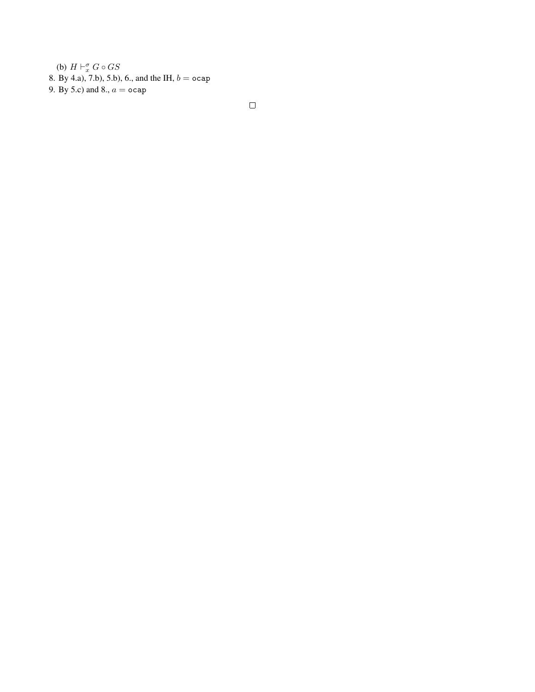(b)  $H \vdash_{x}^{\sigma} G \circ GS$ 8. By 4.a), 7.b), 5.b), 6., and the IH,  $b = ocap$ 9. By 5.c) and 8.,  $a =$  ocap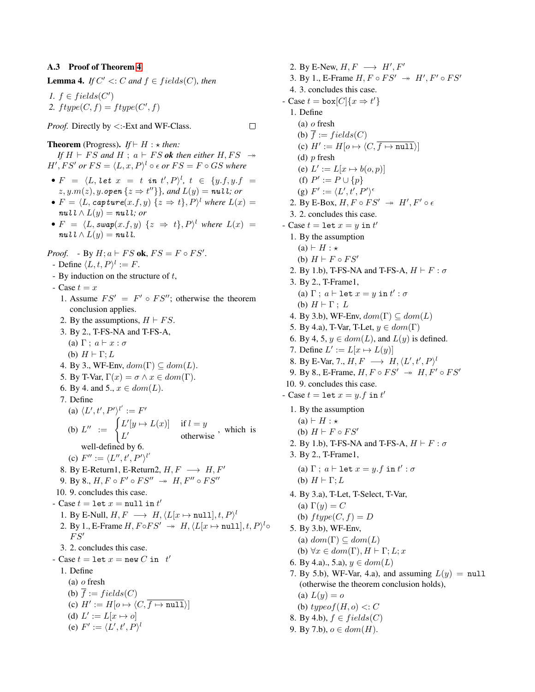### <span id="page-30-0"></span>A.3 Proof of Theorem [4](#page-12-6)

<span id="page-30-1"></span>**Lemma 4.** *If*  $C' \leq C$  *and*  $f \in fields(C)$ *, then* 

*1.*  $f \in fields(C')$ 2.  $ftype(C, f) = ftype(C', f)$ 

# *Proof.* Directly by  $\lt$ :-Ext and WF-Class.

 $\Box$ 

**Theorem** (Progress). *If*  $\vdash H : \star$  *then: If*  $H \vdash FS$  *and*  $H \text{ ; } a \vdash FS$  *ok then either*  $H, FS \rightarrow$  $H', FS'$  or  $FS = \langle L, x, P \rangle^l \circ \epsilon$  or  $FS = F \circ GS$  where

- $F = \langle L, \, let \, x \ = \ t \ \ in \ t', P \rangle^{l}, \ t \ \in \ \{y.f, y.f \ = \ z$  $z, y.m(z), y.\text{open} \{z \Rightarrow t''\}\}, \text{and } L(y) = \textit{null}; \text{or}$
- $F = \langle L, \textit{capture}(x.f, y) \, \{z \Rightarrow t\}, P \rangle^l$  where  $L(x) =$  $\mathbf{null} \wedge L(y) = \mathbf{null}$ *; or*
- $F = \langle L, \text{swap}(x.f, y) \; \{z \Rightarrow t\}, P \rangle^l$  where  $L(x) =$  $\mathbf{null} \wedge L(y) = \mathbf{null}.$

*Proof.* - By  $H; a \vdash FS$  ok,  $FS = F \circ FS'$ .

- Define  $\langle L, t, P \rangle^l := F$ .
- By induction on the structure of  $t$ ,
- Case  $t = x$
- 1. Assume  $FS' = F' \circ FS''$ ; otherwise the theorem conclusion applies.
- 2. By the assumptions,  $H \vdash FS$ .
- 3. By 2., T-FS-NA and T-FS-A,
- (a)  $\Gamma$  ;  $a \vdash x : \sigma$
- (b)  $H \vdash \Gamma; L$
- 4. By 3., WF-Env,  $dom(\Gamma) \subseteq dom(L)$ .
- 5. By T-Var,  $\Gamma(x) = \sigma \wedge x \in dom(\Gamma)$ .
- 6. By 4. and 5.,  $x \in dom(L)$ .
- 7. Define

(a)  $\langle L', t', P'\rangle^{l'} := F'$ (b)  $L'' := \begin{cases} L'[y \mapsto L(x)] & \text{if } l = y \\ L' \end{cases}$  $L'$  otherwise, which is

- well-defined by 6.
- (c)  $F'' := \langle L'', t', P' \rangle^{l'}$
- 8. By E-Return1, E-Return2,  $H, F \longrightarrow H, F'$
- 9. By 8.,  $H, F \circ F' \circ FS'' \rightarrow H, F'' \circ FS''$

10. 9. concludes this case.

- Case  $t = \text{let } x = \text{null in } t'$
- 1. By E-Null,  $H, F \longrightarrow H, \langle L[x \mapsto \text{null}], t, P \rangle^l$
- 2. By 1., E-Frame  $H, F \circ FS' \rightarrow H, \langle L[x \mapsto \text{null}], t, P \rangle^l \circ$  $FS'$
- 3. 2. concludes this case.
- Case  $t = \texttt{let } x = \texttt{new } C$  in  $t'$ 
	- 1. Define
		- (a) o fresh
		- (b)  $\overline{f} := fields(C)$
		- (c)  $H' := H[o \mapsto \langle C, \overline{f \mapsto \text{null}} \rangle]$
		- (d)  $L' := L[x \mapsto o]$
		- (e)  $F' := \langle L', t', P \rangle^l$

2. By E-New,  $H, F \longrightarrow H', F'$ 3. By 1., E-Frame  $H, F \circ FS' \rightarrow H', F' \circ FS'$ 4. 3. concludes this case. - Case  $t = \text{box}[C] \{x \Rightarrow t'\}$ 1. Define (a) o fresh (b)  $\overline{f} := fields(C)$ (c)  $H' := H[o \mapsto \langle C, \overline{f \mapsto \texttt{null}} \rangle]$ (d)  $p$  fresh (e)  $L' := L[x \mapsto b(o, p)]$ (f)  $P' := P \cup \{p\}$ (g)  $F' := \langle L', t', P' \rangle^{\epsilon}$ 2. By E-Box,  $H, F \circ FS' \rightarrow H', F' \circ \epsilon$ 3. 2. concludes this case. - Case  $t = \text{let } x = y \text{ in } t'$ 1. By the assumption  $(a) \vdash H : \star$ (b)  $H \vdash F \circ FS'$ 2. By 1.b), T-FS-NA and T-FS-A,  $H \vdash F : \sigma$ 3. By 2., T-Frame1, (a)  $\Gamma$ ;  $a \vdash \texttt{let } x = y \texttt{ in } t' : \sigma$ (b)  $H \vdash \Gamma$ ; L 4. By 3.b), WF-Env,  $dom(\Gamma) \subseteq dom(L)$ 5. By 4.a), T-Var, T-Let,  $y \in dom(\Gamma)$ 6. By 4, 5,  $y \in dom(L)$ , and  $L(y)$  is defined. 7. Define  $L' := L[x \mapsto L(y)]$ 8. By E-Var, 7.,  $H, F \longrightarrow H, \langle L', t', P \rangle^l$ 9. By 8., E-Frame,  $H, F \circ FS' \rightarrow H, F' \circ FS'$ 10. 9. concludes this case. - Case  $t = \text{let } x = y.f \text{ in } t'$ 1. By the assumption  $(a) \vdash H : \star$ (b)  $H \vdash F \circ FS'$ 2. By 1.b), T-FS-NA and T-FS-A,  $H \vdash F : \sigma$ 3. By 2., T-Frame1, (a)  $\Gamma$ ;  $a \vdash \texttt{let } x = y.f \texttt{ in } t' : \sigma$ (b)  $H \vdash \Gamma$ ; L 4. By 3.a), T-Let, T-Select, T-Var, (a)  $\Gamma(y) = C$ (b)  $ftype(C, f) = D$ 5. By 3.b), WF-Env, (a)  $dom(\Gamma) \subseteq dom(L)$ (b)  $\forall x \in dom(\Gamma), H \vdash \Gamma; L; x$ 6. By 4.a)., 5.a),  $y \in dom(L)$ 7. By 5.b), WF-Var, 4.a), and assuming  $L(y) = \text{null}$ (otherwise the theorem conclusion holds), (a)  $L(y) = o$ 

- (b)  $typeof(H, o) \leq C$
- 8. By 4.b),  $f \in fields(C)$
- 9. By 7.b),  $o \in dom(H)$ .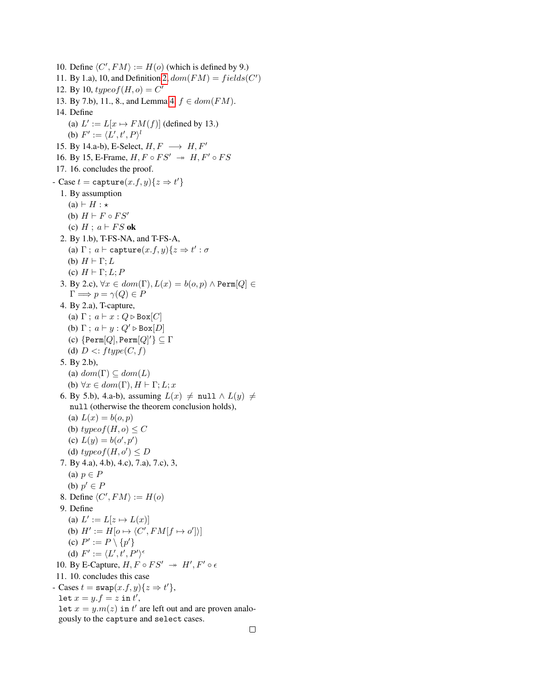10. Define  $\langle C', FM \rangle := H(o)$  (which is defined by 9.) 11. By 1.a), 10, and Definition [2,](#page-7-3)  $dom(FM) = fields(C')$ 12. By 10,  $typeof(H, o) = C'$ 13. By 7.b), 11., 8., and Lemma [4,](#page-30-1)  $f \in dom(FM)$ . 14. Define (a)  $L' := L[x \mapsto FM(f)]$  (defined by 13.) (b)  $F' := \langle L', t', P \rangle^l$ 15. By 14.a-b), E-Select,  $H, F \longrightarrow H, F'$ 16. By 15, E-Frame,  $H, F \circ FS' \rightarrow H, F' \circ FS$ 17. 16. concludes the proof. - Case  $t =$  capture $(x.f, y){z \Rightarrow t'}$ 1. By assumption  $(a) \vdash H : \star$ (b)  $H \vdash F \circ FS'$ (c)  $H$ ;  $a \vdash FS$  ok 2. By 1.b), T-FS-NA, and T-FS-A, (a)  $\Gamma$ ;  $a \vdash$  capture $(x.f, y) \{ z \Rightarrow t' : \sigma$ (b)  $H \vdash \Gamma$ ; L (c)  $H \vdash \Gamma; L; P$ 3. By 2.c),  $\forall x \in dom(\Gamma), L(x) = b(o, p) \land \text{Perm}[Q] \in$  $\Gamma \Longrightarrow p = \gamma(Q) \in P$ 4. By 2.a), T-capture, (a)  $\Gamma$ ;  $a \vdash x : Q \triangleright \text{Box}[C]$ (b)  $\Gamma$ ;  $a \vdash y : Q' \triangleright \text{Box}[D]$ (c)  $\{\texttt{Perm}[Q], \texttt{Perm}[Q]'\} \subseteq \Gamma$ (d)  $D < ftype(C, f)$ 5. By 2.b), (a)  $dom(\Gamma) \subseteq dom(L)$ (b)  $\forall x \in dom(\Gamma), H \vdash \Gamma; L; x$ 6. By 5.b), 4.a-b), assuming  $L(x) \neq \text{null} \wedge L(y) \neq$ null (otherwise the theorem conclusion holds), (a)  $L(x) = b(o, p)$ (b) typeof(H, o)  $\leq C$ (c)  $L(y) = b(o', p')$ (d)  $typeof(H, o') \leq D$ 7. By 4.a), 4.b), 4.c), 7.a), 7.c), 3, (a)  $p \in P$ (b)  $p' \in F$ 8. Define  $\langle C', FM \rangle := H(o)$ 9. Define (a)  $L' := L[z \mapsto L(x)]$ (b)  $H' := H[o \mapsto \langle C', FM[f \mapsto o'] \rangle]$ (c)  $P' := P \setminus \{p'\}$ (d)  $F' := \langle L', t', P' \rangle^{\epsilon}$ 10. By E-Capture,  $H, F \circ FS' \rightarrow H', F' \circ \epsilon$ 11. 10. concludes this case - Cases  $t = \text{swap}(x.f, y) \{ z \Rightarrow t' \},$ let  $x = y.f = z$  in  $t'$ , Let  $x = y.m(z)$  in  $t'$  are left out and are proven analogously to the capture and select cases.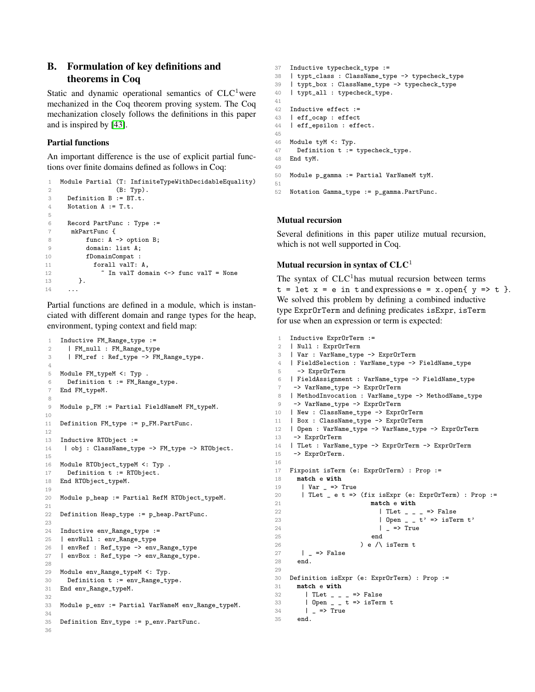# <span id="page-32-0"></span>B. Formulation of key definitions and theorems in Coq

Static and dynamic operational semantics of  $CLC<sup>1</sup>$  were mechanized in the Coq theorem proving system. The Coq mechanization closely follows the definitions in this paper and is inspired by [\[43\]](#page-18-40).

# Partial functions

An important difference is the use of explicit partial functions over finite domains defined as follows in Coq:

```
1 Module Partial (T: InfiniteTypeWithDecidableEquality)
2 (B: Typ).
3 Definition B := BT.t.
4 Notation A := T.t.
5
6 Record PartFunc : Type :=
7 mkPartFunc {
8 func: A -> option B;
9 domain: list A;
10 fDomainCompat :
11 forall valT: A,
12 ~ In valT domain <-> func valT = None
13 }.
14
```
Partial functions are defined in a module, which is instanciated with different domain and range types for the heap, environment, typing context and field map:

```
1 Inductive FM_Range_type :=
2 | FM_null : FM_Range_type
3 | FM_ref : Ref_type -> FM_Range_type.
4
5 Module FM_typeM <: Typ .
6 Definition t := FM_Range_type.
7 End FM_typeM.
8
9 Module p_FM := Partial FieldNameM FM_typeM.
10
11 Definition FM_type := p_FM.PartFunc.
12
13 Inductive RTObject :=
14 | obj : ClassName_type -> FM_type -> RTObject.
15
16 Module RTObject_typeM <: Typ .
17 Definition t := RTObject.
18 End RTObject_typeM.
19
20 Module p_heap := Partial RefM RTObject_typeM.
21
22 Definition Heap_type := p_heap.PartFunc.
23
24 Inductive env_Range_type :=
25 | envNull : env_Range_type
26 | envRef : Ref_type -> env_Range_type
27 | envBox : Ref_type -> env_Range_type.
28
29 Module env_Range_typeM <: Typ.
30 Definition t := env_Range_type.
31 End env_Range_typeM.
32
33 Module p_env := Partial VarNameM env_Range_typeM.
34
35 Definition Env_type := p_env.PartFunc.
36
```

```
37 Inductive typecheck_type :=
38 | typt_class : ClassName_type -> typecheck_type
39 | typt_box : ClassName_type -> typecheck_type
40 | typt_all : typecheck_type.
41
42 Inductive effect :=
43 | eff_ocap : effect
44 | eff_epsilon : effect.
45
46 Module tyM <: Typ.
47 Definition t := typecheck_type.
48 End tyM.
49
50 Module p_gamma := Partial VarNameM tyM.
51
52 Notation Gamma_type := p_gamma.PartFunc.
```
### Mutual recursion

Several definitions in this paper utilize mutual recursion, which is not well supported in Coq.

# Mutual recursion in syntax of  $CLC<sup>1</sup>$

The syntax of  $CLC<sup>1</sup>$  has mutual recursion between terms  $t = \text{let } x = e \text{ in } t \text{ and expressions } e = x \text{ .open} \{ y \Rightarrow t \}.$ We solved this problem by defining a combined inductive type ExprOrTerm and defining predicates isExpr, isTerm for use when an expression or term is expected:

```
1 Inductive ExprOrTerm :=
 2 | Null : ExprOrTerm
 3 | Var : VarName_type -> ExprOrTerm
 4 | FieldSelection : VarName_type -> FieldName_type
 5 -> ExprOrTerm
 6 | FieldAssignment : VarName_type -> FieldName_type
     -> VarName_type -> ExprOrTerm
 8 | MethodInvocation : VarName_type -> MethodName_type
 9 -> VarName_type -> ExprOrTerm
10 | New : ClassName_type -> ExprOrTerm
11 | Box : ClassName_type -> ExprOrTerm
12 | Open : VarName_type -> VarName_type -> ExprOrTerm
13 -> ExprOrTerm
14 | TLet : VarName_type -> ExprOrTerm -> ExprOrTerm
15 -> ExprOrTerm.
16
17 Fixpoint isTerm (e: ExprOrTerm) : Prop :=
18 match e with
19 | Var _ => True
20 | TLet _ e t => (fix isExpr (e: ExprOrTerm) : Prop := 21match e with
22 | TLet _ _ _ => False
23 | Open - t' => isTerm t'24 | _ => True
 25 end
26 \qquad ) e /\ isTerm t
27 | => False<br>28 end.
      end.
29
30 Definition isExpr (e: ExprOrTerm) : Prop :=
31 match e with
32 | TLet \angle \angle \angle => False
33 | Open _ _ t => isTerm t
34 | = > True
35 end.
```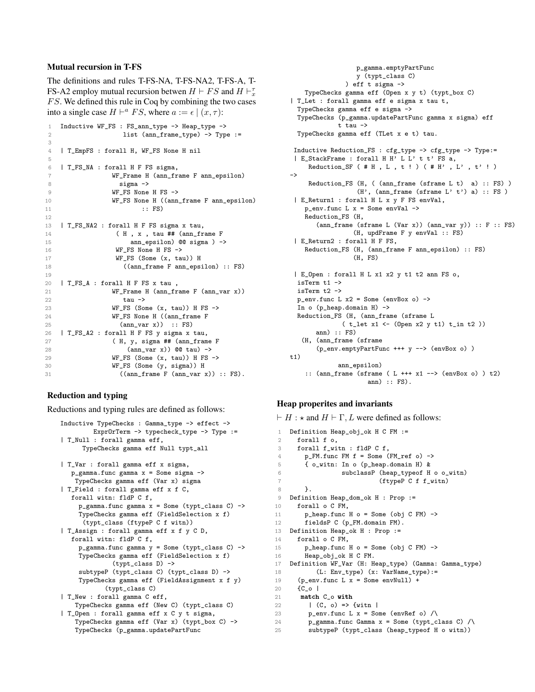# Mutual recursion in T-FS

The definitions and rules T-FS-NA, T-FS-NA2, T-FS-A, T-FS-A2 employ mutual recursion betwen  $H \vdash FS$  and  $H \vdash_{x}^{\tau}$  $FS$ . We defined this rule in Coq by combining the two cases into a single case  $H \vdash^a FS$ , where  $a := \epsilon \mid (x, \tau)$ :

```
1 Inductive WF_FS : FS_ann_type -> Heap_type -> 2<br>2<br>2<br>3<br>2<br>Type
                  list (ann-frame_type) -> Type :=
3
4 | T_EmpFS : forall H, WF_FS None H nil
5
6 | T_FS_NA : forall H F FS sigma,
7 WF_Frame H (ann_frame F ann_epsilon)
8 sigma ->
9 WF_FS None H FS ->
10 WF_FS None H ((ann_frame F ann_epsilon)
11 :: FS)
12
13 | T_FS_NA2 : forall H F FS sigma x tau,
14 (H, x, tau ## (ann_frame F)
15 ann_epsilon) @@ sigma ) ->
16 WF_FS None H FS ->
17 WF_FS (Some (x, tau)) H
18 ((ann_frame F ann_epsilon) :: FS)
19
20 | T_FS_A : forall H F FS x tau ,
21 WF_Frame H (ann_frame F (ann_var x))
22 \tan^{-}23 WF_FS (Some (x, tau)) H FS -><br>24 WF FS None H ((ann frame F)
               WF_FS None H ((ann_frame F
25 (ann_var x)) :: FS)
26 | T_FS_A2 : forall H F FS y sigma x tau,<br>27 (H, y, sigma ## (ann_fram
               (H, y, sigma ## (ann_frame F
28 (ann_var x)) @@ tau) ->
29 WF_FS (Some (x, tau)) H FS ->
30 WF_FS (Some (y, sigma)) H<br>31 (ann frame F (ann war y
                 ((ann-frame F (ann-var x)) :: FS).
```
### Reduction and typing

Reductions and typing rules are defined as follows:

```
Inductive TypeChecks : Gamma_type -> effect ->
        ExprOrTerm -> typecheck_type -> Type :=
| T_Null : forall gamma eff,
     TypeChecks gamma eff Null typt_all
| T_Var : forall gamma eff x sigma,
  p_{\text{gamma}.func gamma} = Some sigma \rightarrowTypeChecks gamma eff (Var x) sigma
| T_Field : forall gamma eff x f C,
  forall witn: fldP C f,
    p_{gamma}.func gamma x = Some (typt_{class} C) ->
     TypeChecks gamma eff (FieldSelection x f)
      (typt_class (ftypeP C f witn))
| T_Assign : forall gamma eff x f y C D,
   forall witn: fldP C f,
     p_gamma.func gamma y = Some (typt_class C) ->
     TypeChecks gamma eff (FieldSelection x f)
             (typt_class D) ->
     subtypeP (typt_class C) (typt_class D) ->
     TypeChecks gamma eff (FieldAssignment x f y)
            (typt_class C)
| T_New : forall gamma C eff,
   TypeChecks gamma eff (New C) (typt_class C)
| T_Open : forall gamma eff x C y t sigma,
    TypeChecks gamma eff (Var x) (typt_box C) ->
   TypeChecks (p_gamma.updatePartFunc
```

```
p_gamma.emptyPartFunc
                  y (typt_class C)
               ) eff t sigma ->
    TypeChecks gamma eff (Open x y t) (typt_box C)
| T_Let : forall gamma eff e sigma x tau t,
  TypeChecks gamma eff e sigma ->
  TypeChecks (p_gamma.updatePartFunc gamma x sigma) eff
             t tau ->
  TypeChecks gamma eff (TLet x e t) tau.
 Inductive Reduction_FS : cfg_type -> cfg_type -> Type:=
 | E_StackFrame : forall H H' L L' t t' FS a,
     Reduction_SF (#H, L, t ! ) (#H', L', t' !)
->
     Reduction_FS (H, ( (ann_frame (sframe L t) a) :: FS) )
                  (H', \text{ (ann-frame (sframe L'} t') a) :: FS)| E_Return1 : forall H L x y F FS envVal,
    p_{env}.func L x = Some envVal ->
    Reduction_FS (H,
       (ann-frame (sframe L (Var x)) (ann_var y)) :: F :: FS)(H, updFrame F y envVal :: FS)
 | E_Return2 : forall H F FS,
    Reduction_FS (H, (ann_frame F ann_epsilon) :: FS)
                 (H, FS)
 | E_Open : forall H L x1 x2 y t1 t2 ann FS o,
  isTerm t1 ->
  isTerm t2 ->
  p_{env}.func L x2 = Some (envBox o) ->
  In o (p_heap.domain H) ->
  Reduction_FS (H, (ann_frame (sframe L
              ( t_let x1 <- (Open x2 y t1) t_in t2 ))
       ann) :: FS)
  (H, (ann_frame (sframe
       (p_env.emptyPartFunc +++ y --> (envBox o) )
t1)ann_epsilon)
    :: (ann_frame (sframe ( L +++ x1 --> (envBox o) ) t2)
                     ann) :: FS).
```
### Heap properites and invariants

 $\vdash H : \star$  and  $H \vdash \Gamma, L$  were defined as follows:

```
1 Definition Heap_obj_ok H C FM :=
 2 forall f o,<br>3 forall f_wi
       3 forall f_witn : fldP C f,
 4 p_FM.func FM f = Some (FM_ref o) ->
 5 { o_witn: In o (p_heap.domain H) &
 6 subclassP (heap_typeof H o o_witn)
 7 (ftypeP C f f_witn)<br>8 }.
         8 }.
 9 Definition Heap_dom_ok H : Prop :=
10 forall o C FM,
11 p_heap.func H o = Some (obj C FM) ->
12 fieldsP C (p_FM.domain FM).
13 Definition Heap_ok H : Prop :=
14 forall o C FM,
15 p_heap.func H o = Some (obj C FM) ->
16 Heap_obj_ok H C FM.
17 Definition WF_Var (H: Heap_type) (Gamma: Gamma_type)
18 (L: Env_type) (x: VarName_type):=
19 (p_{env}.func L x = Some envNull) +20 {C_o |
21 match C_o with<br>22 \qquad \qquad \qquad \qquad \qquad \qquad \qquad \qquad \qquad \qquad \qquad \qquad \qquad \qquad \qquad \qquad \qquad \qquad \qquad \qquad \qquad \qquad \qquad \qquad \qquad \qquad \qquad \qquad \qquad \qquad \qquad \qquad \qquad \q|(C, o) \Rightarrow \{witn |23 p_env.func L x = Some (envRef o) \land24 p_gamma.func Gamma x = Some (typt_class C) /\
25 subtypeP (typt_class (heap_typeof H o witn))
```